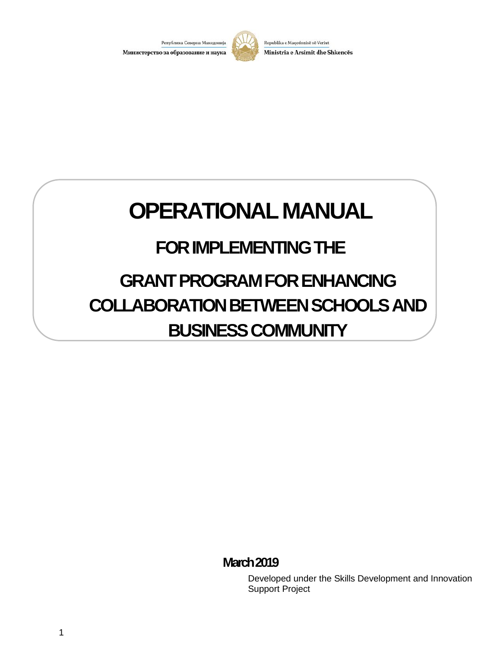

Republika e Maqedonisë së Veriut Ministria e Arsimit dhe Shkencës

# **OPERATIONAL MANUAL**

# **FOR IMPLEMENTING THE**

# **GRANT PROGRAM FOR ENHANCING COLLABORATION BETWEEN SCHOOLS AND BUSINESS COMMUNITY**

# **March2019**

Developed under the Skills Development and Innovation Support Project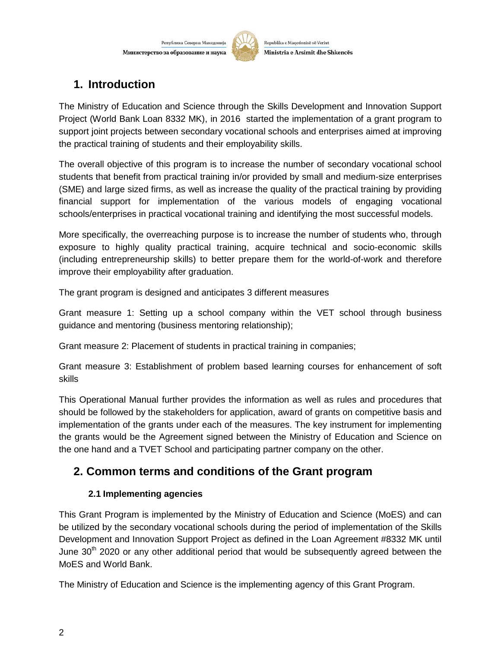

Republika e Maqedonisë së Veriut Ministria e Arsimit dhe Shkencës

# **1. Introduction**

The Ministry of Education and Science through the Skills Development and Innovation Support Project (World Bank Loan 8332 MK), in 2016 started the implementation of a grant program to support joint projects between secondary vocational schools and enterprises aimed at improving the practical training of students and their employability skills.

The overall objective of this program is to increase the number of secondary vocational school students that benefit from practical training in/or provided by small and medium-size enterprises (SME) and large sized firms, as well as increase the quality of the practical training by providing financial support for implementation of the various models of engaging vocational schools/enterprises in practical vocational training and identifying the most successful models.

More specifically, the overreaching purpose is to increase the number of students who, through exposure to highly quality practical training, acquire technical and socio-economic skills (including entrepreneurship skills) to better prepare them for the world-of-work and therefore improve their employability after graduation.

The grant program is designed and anticipates 3 different measures

Grant measure 1: Setting up a school company within the VET school through business guidance and mentoring (business mentoring relationship);

Grant measure 2: Placement of students in practical training in companies;

Grant measure 3: Establishment of problem based learning courses for enhancement of soft skills

This Operational Manual further provides the information as well as rules and procedures that should be followed by the stakeholders for application, award of grants on competitive basis and implementation of the grants under each of the measures. The key instrument for implementing the grants would be the Agreement signed between the Ministry of Education and Science on the one hand and a TVET School and participating partner company on the other.

# **2. Common terms and conditions of the Grant program**

# **2.1 Implementing agencies**

This Grant Program is implemented by the Ministry of Education and Science (MoES) and can be utilized by the secondary vocational schools during the period of implementation of the Skills Development and Innovation Support Project as defined in the Loan Agreement #8332 MK until June  $30<sup>th</sup>$  2020 or any other additional period that would be subsequently agreed between the MoES and World Bank.

The Ministry of Education and Science is the implementing agency of this Grant Program.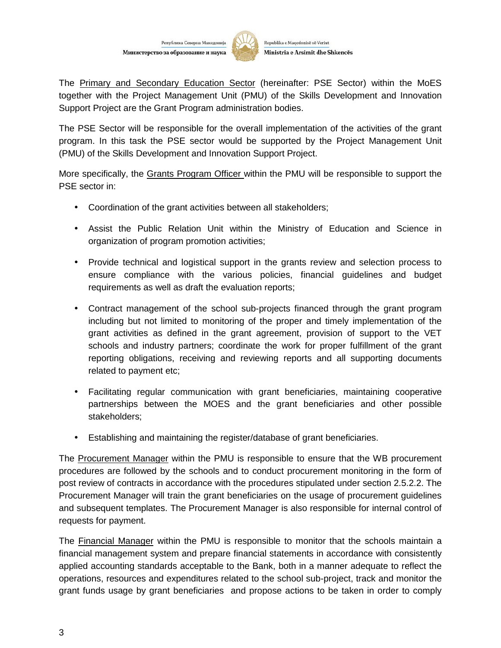

The Primary and Secondary Education Sector (hereinafter: PSE Sector) within the MoES together with the Project Management Unit (PMU) of the Skills Development and Innovation Support Project are the Grant Program administration bodies.

The PSE Sector will be responsible for the overall implementation of the activities of the grant program. In this task the PSE sector would be supported by the Project Management Unit (PMU) of the Skills Development and Innovation Support Project.

More specifically, the Grants Program Officer within the PMU will be responsible to support the PSE sector in:

- Coordination of the grant activities between all stakeholders;
- Assist the Public Relation Unit within the Ministry of Education and Science in organization of program promotion activities;
- Provide technical and logistical support in the grants review and selection process to ensure compliance with the various policies, financial guidelines and budget requirements as well as draft the evaluation reports;
- Contract management of the school sub-projects financed through the grant program including but not limited to monitoring of the proper and timely implementation of the grant activities as defined in the grant agreement, provision of support to the VET schools and industry partners; coordinate the work for proper fulfillment of the grant reporting obligations, receiving and reviewing reports and all supporting documents related to payment etc;
- Facilitating regular communication with grant beneficiaries, maintaining cooperative partnerships between the MOES and the grant beneficiaries and other possible stakeholders;
- Establishing and maintaining the register/database of grant beneficiaries.

The Procurement Manager within the PMU is responsible to ensure that the WB procurement procedures are followed by the schools and to conduct procurement monitoring in the form of post review of contracts in accordance with the procedures stipulated under section 2.5.2.2. The Procurement Manager will train the grant beneficiaries on the usage of procurement guidelines and subsequent templates. The Procurement Manager is also responsible for internal control of requests for payment.

The Financial Manager within the PMU is responsible to monitor that the schools maintain a financial management system and prepare financial statements in accordance with consistently applied accounting standards acceptable to the Bank, both in a manner adequate to reflect the operations, resources and expenditures related to the school sub-project, track and monitor the grant funds usage by grant beneficiaries and propose actions to be taken in order to comply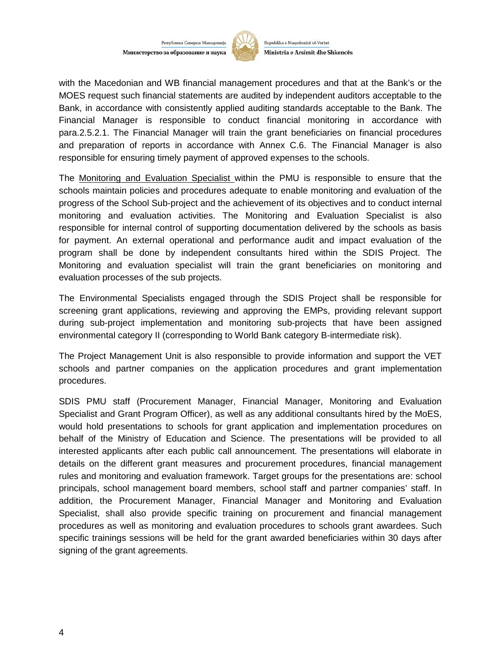

Republika e Maqedonisë së Veriut Ministria e Arsimit dhe Shkencës

with the Macedonian and WB financial management procedures and that at the Bank's or the MOES request such financial statements are audited by independent auditors acceptable to the Bank, in accordance with consistently applied auditing standards acceptable to the Bank. The Financial Manager is responsible to conduct financial monitoring in accordance with para.2.5.2.1. The Financial Manager will train the grant beneficiaries on financial procedures and preparation of reports in accordance with Annex C.6. The Financial Manager is also responsible for ensuring timely payment of approved expenses to the schools.

The Monitoring and Evaluation Specialist within the PMU is responsible to ensure that the schools maintain policies and procedures adequate to enable monitoring and evaluation of the progress of the School Sub-project and the achievement of its objectives and to conduct internal monitoring and evaluation activities. The Monitoring and Evaluation Specialist is also responsible for internal control of supporting documentation delivered by the schools as basis for payment. An external operational and performance audit and impact evaluation of the program shall be done by independent consultants hired within the SDIS Project. The Monitoring and evaluation specialist will train the grant beneficiaries on monitoring and evaluation processes of the sub projects.

The Environmental Specialists engaged through the SDIS Project shall be responsible for screening grant applications, reviewing and approving the EMPs, providing relevant support during sub-project implementation and monitoring sub-projects that have been assigned environmental category II (corresponding to World Bank category B-intermediate risk).

The Project Management Unit is also responsible to provide information and support the VET schools and partner companies on the application procedures and grant implementation procedures.

SDIS PMU staff (Procurement Manager, Financial Manager, Monitoring and Evaluation Specialist and Grant Program Officer), as well as any additional consultants hired by the MoES, would hold presentations to schools for grant application and implementation procedures on behalf of the Ministry of Education and Science. The presentations will be provided to all interested applicants after each public call announcement. The presentations will elaborate in details on the different grant measures and procurement procedures, financial management rules and monitoring and evaluation framework. Target groups for the presentations are: school principals, school management board members, school staff and partner companies' staff. In addition, the Procurement Manager, Financial Manager and Monitoring and Evaluation Specialist, shall also provide specific training on procurement and financial management procedures as well as monitoring and evaluation procedures to schools grant awardees. Such specific trainings sessions will be held for the grant awarded beneficiaries within 30 days after signing of the grant agreements.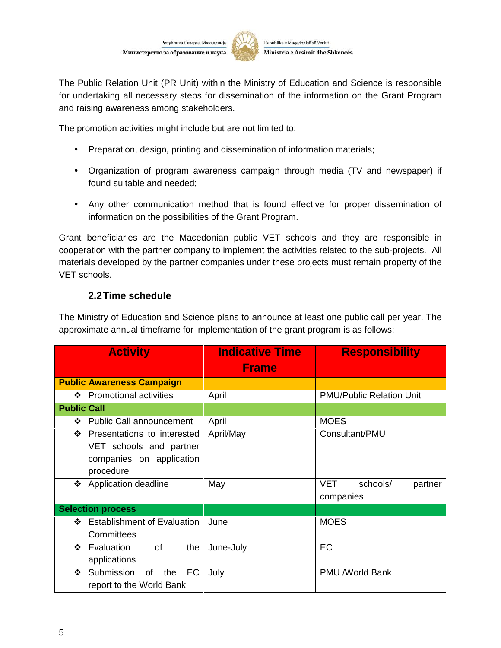

The Public Relation Unit (PR Unit) within the Ministry of Education and Science is responsible for undertaking all necessary steps for dissemination of the information on the Grant Program and raising awareness among stakeholders.

The promotion activities might include but are not limited to:

- Preparation, design, printing and dissemination of information materials;
- Organization of program awareness campaign through media (TV and newspaper) if found suitable and needed;
- Any other communication method that is found effective for proper dissemination of information on the possibilities of the Grant Program.

Grant beneficiaries are the Macedonian public VET schools and they are responsible in cooperation with the partner company to implement the activities related to the sub-projects. All materials developed by the partner companies under these projects must remain property of the VET schools.

#### **2.2Time schedule**

The Ministry of Education and Science plans to announce at least one public call per year. The approximate annual timeframe for implementation of the grant program is as follows:

| <b>Activity</b>                         | <b>Indicative Time</b> | <b>Responsibility</b>             |
|-----------------------------------------|------------------------|-----------------------------------|
|                                         | <b>Frame</b>           |                                   |
| <b>Public Awareness Campaign</b>        |                        |                                   |
| ❖ Promotional activities                | April                  | <b>PMU/Public Relation Unit</b>   |
| <b>Public Call</b>                      |                        |                                   |
| <b>Public Call announcement</b><br>❖    | April                  | <b>MOES</b>                       |
| Presentations to interested<br>❖        | April/May              | Consultant/PMU                    |
| VET schools and partner                 |                        |                                   |
| companies on application                |                        |                                   |
| procedure                               |                        |                                   |
| <b>Application deadline</b><br>❖        | May                    | <b>VET</b><br>schools/<br>partner |
|                                         |                        | companies                         |
| <b>Selection process</b>                |                        |                                   |
| <b>Establishment of Evaluation</b><br>❖ | June                   | <b>MOES</b>                       |
| Committees                              |                        |                                   |
| Evaluation<br>of<br>the<br>❖            | June-July              | EC                                |
| applications                            |                        |                                   |
| Submission<br>EC<br>❖<br>of<br>the      | July                   | <b>PMU /World Bank</b>            |
| report to the World Bank                |                        |                                   |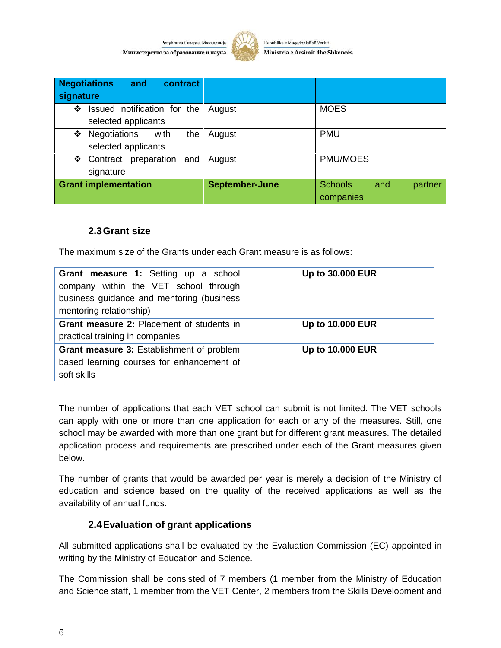

Republika e Maqedonisë së Veriut Ministria e Arsimit dhe Shkencës

| <b>Negotiations</b><br>and<br>contract<br>signature     |                |                                               |
|---------------------------------------------------------|----------------|-----------------------------------------------|
| Issued notification for the<br>❖<br>selected applicants | August         | <b>MOES</b>                                   |
| Negotiations<br>with<br>the<br>❖<br>selected applicants | August         | <b>PMU</b>                                    |
| Contract preparation and<br>❖<br>signature              | August         | <b>PMU/MOES</b>                               |
| <b>Grant implementation</b>                             | September-June | <b>Schools</b><br>and<br>partner<br>companies |

#### **2.3Grant size**

The maximum size of the Grants under each Grant measure is as follows:

| <b>Grant measure 1:</b> Setting up a school<br>company within the VET school through<br>business guidance and mentoring (business<br>mentoring relationship) | <b>Up to 30.000 EUR</b> |
|--------------------------------------------------------------------------------------------------------------------------------------------------------------|-------------------------|
| <b>Grant measure 2: Placement of students in</b>                                                                                                             | <b>Up to 10.000 EUR</b> |
| practical training in companies                                                                                                                              |                         |
| Grant measure 3: Establishment of problem                                                                                                                    | <b>Up to 10.000 EUR</b> |
| based learning courses for enhancement of                                                                                                                    |                         |
| soft skills                                                                                                                                                  |                         |

The number of applications that each VET school can submit is not limited. The VET schools can apply with one or more than one application for each or any of the measures. Still, one school may be awarded with more than one grant but for different grant measures. The detailed application process and requirements are prescribed under each of the Grant measures given below.

The number of grants that would be awarded per year is merely a decision of the Ministry of education and science based on the quality of the received applications as well as the availability of annual funds.

#### **2.4Evaluation of grant applications**

All submitted applications shall be evaluated by the Evaluation Commission (EC) appointed in writing by the Ministry of Education and Science.

The Commission shall be consisted of 7 members (1 member from the Ministry of Education and Science staff, 1 member from the VET Center, 2 members from the Skills Development and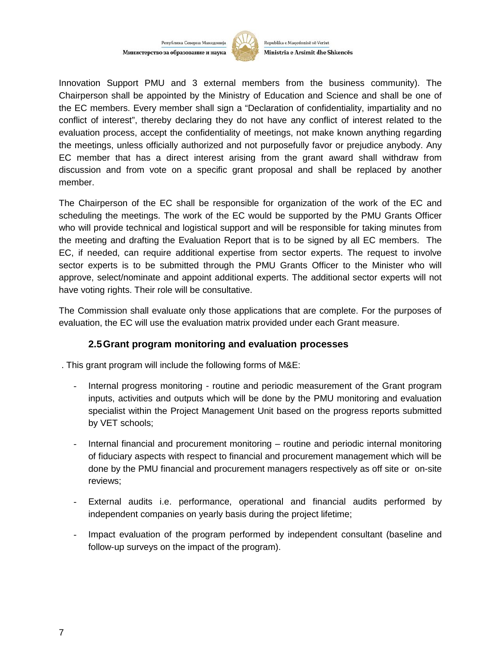

Republika e Maqedonisë së Veriut Ministria e Arsimit dhe Shkencës

Innovation Support PMU and 3 external members from the business community). The Chairperson shall be appointed by the Ministry of Education and Science and shall be one of the EC members. Every member shall sign a "Declaration of confidentiality, impartiality and no conflict of interest", thereby declaring they do not have any conflict of interest related to the evaluation process, accept the confidentiality of meetings, not make known anything regarding the meetings, unless officially authorized and not purposefully favor or prejudice anybody. Any EC member that has a direct interest arising from the grant award shall withdraw from discussion and from vote on a specific grant proposal and shall be replaced by another member.

The Chairperson of the EC shall be responsible for organization of the work of the EC and scheduling the meetings. The work of the EC would be supported by the PMU Grants Officer who will provide technical and logistical support and will be responsible for taking minutes from the meeting and drafting the Evaluation Report that is to be signed by all EC members. The EC, if needed, can require additional expertise from sector experts. The request to involve sector experts is to be submitted through the PMU Grants Officer to the Minister who will approve, select/nominate and appoint additional experts. The additional sector experts will not have voting rights. Their role will be consultative.

The Commission shall evaluate only those applications that are complete. For the purposes of evaluation, the EC will use the evaluation matrix provided under each Grant measure.

#### **2.5Grant program monitoring and evaluation processes**

. This grant program will include the following forms of M&E:

- Internal progress monitoring routine and periodic measurement of the Grant program inputs, activities and outputs which will be done by the PMU monitoring and evaluation specialist within the Project Management Unit based on the progress reports submitted by VET schools;
- Internal financial and procurement monitoring routine and periodic internal monitoring of fiduciary aspects with respect to financial and procurement management which will be done by the PMU financial and procurement managers respectively as off site or on-site reviews;
- External audits i.e. performance, operational and financial audits performed by independent companies on yearly basis during the project lifetime;
- Impact evaluation of the program performed by independent consultant (baseline and follow-up surveys on the impact of the program).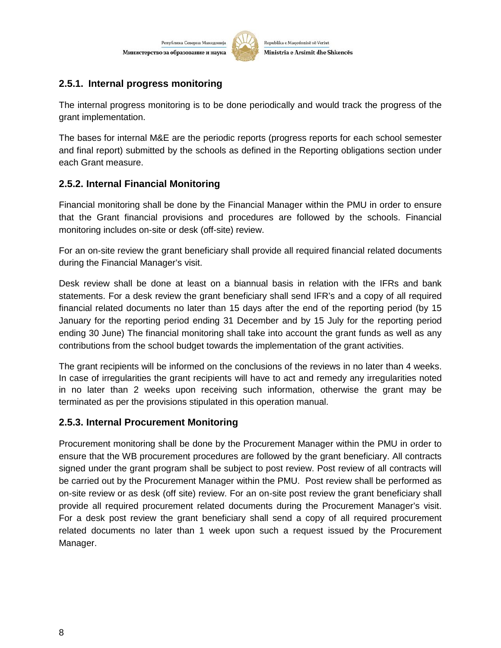

Republika e Maqedonisë së Veriut Ministria e Arsimit dhe Shkencës

# **2.5.1. Internal progress monitoring**

The internal progress monitoring is to be done periodically and would track the progress of the grant implementation.

The bases for internal M&E are the periodic reports (progress reports for each school semester and final report) submitted by the schools as defined in the Reporting obligations section under each Grant measure.

# **2.5.2. Internal Financial Monitoring**

Financial monitoring shall be done by the Financial Manager within the PMU in order to ensure that the Grant financial provisions and procedures are followed by the schools. Financial monitoring includes on-site or desk (off-site) review.

For an on-site review the grant beneficiary shall provide all required financial related documents during the Financial Manager's visit.

Desk review shall be done at least on a biannual basis in relation with the IFRs and bank statements. For a desk review the grant beneficiary shall send IFR's and a copy of all required financial related documents no later than 15 days after the end of the reporting period (by 15 January for the reporting period ending 31 December and by 15 July for the reporting period ending 30 June) The financial monitoring shall take into account the grant funds as well as any contributions from the school budget towards the implementation of the grant activities.

The grant recipients will be informed on the conclusions of the reviews in no later than 4 weeks. In case of irregularities the grant recipients will have to act and remedy any irregularities noted in no later than 2 weeks upon receiving such information, otherwise the grant may be terminated as per the provisions stipulated in this operation manual.

#### **2.5.3. Internal Procurement Monitoring**

Procurement monitoring shall be done by the Procurement Manager within the PMU in order to ensure that the WB procurement procedures are followed by the grant beneficiary. All contracts signed under the grant program shall be subject to post review. Post review of all contracts will be carried out by the Procurement Manager within the PMU. Post review shall be performed as on-site review or as desk (off site) review. For an on-site post review the grant beneficiary shall provide all required procurement related documents during the Procurement Manager's visit. For a desk post review the grant beneficiary shall send a copy of all required procurement related documents no later than 1 week upon such a request issued by the Procurement Manager.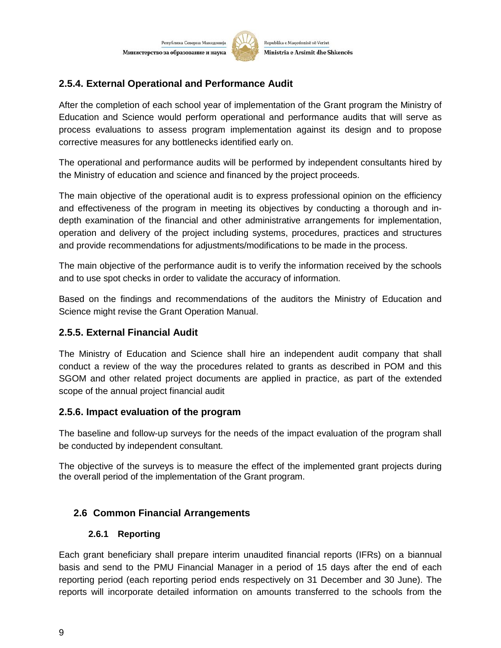

Republika e Maqedonisë së Veriut Ministria e Arsimit dhe Shkencës

# **2.5.4. External Operational and Performance Audit**

After the completion of each school year of implementation of the Grant program the Ministry of Education and Science would perform operational and performance audits that will serve as process evaluations to assess program implementation against its design and to propose corrective measures for any bottlenecks identified early on.

The operational and performance audits will be performed by independent consultants hired by the Ministry of education and science and financed by the project proceeds.

The main objective of the operational audit is to express professional opinion on the efficiency and effectiveness of the program in meeting its objectives by conducting a thorough and in depth examination of the financial and other administrative arrangements for implementation, operation and delivery of the project including systems, procedures, practices and structures and provide recommendations for adjustments/modifications to be made in the process.

The main objective of the performance audit is to verify the information received by the schools and to use spot checks in order to validate the accuracy of information.

Based on the findings and recommendations of the auditors the Ministry of Education and Science might revise the Grant Operation Manual.

#### **2.5.5. External Financial Audit**

The Ministry of Education and Science shall hire an independent audit company that shall conduct a review of the way the procedures related to grants as described in POM and this SGOM and other related project documents are applied in practice, as part of the extended scope of the annual project financial audit

#### **2.5.6. Impact evaluation of the program**

The baseline and follow-up surveys for the needs of the impact evaluation of the program shall be conducted by independent consultant.

The objective of the surveys is to measure the effect of the implemented grant projects during the overall period of the implementation of the Grant program.

#### **2.6 Common Financial Arrangements**

#### **2.6.1 Reporting**

Each grant beneficiary shall prepare interim unaudited financial reports (IFRs) on a biannual basis and send to the PMU Financial Manager in a period of 15 days after the end of each reporting period (each reporting period ends respectively on 31 December and 30 June). The reports will incorporate detailed information on amounts transferred to the schools from the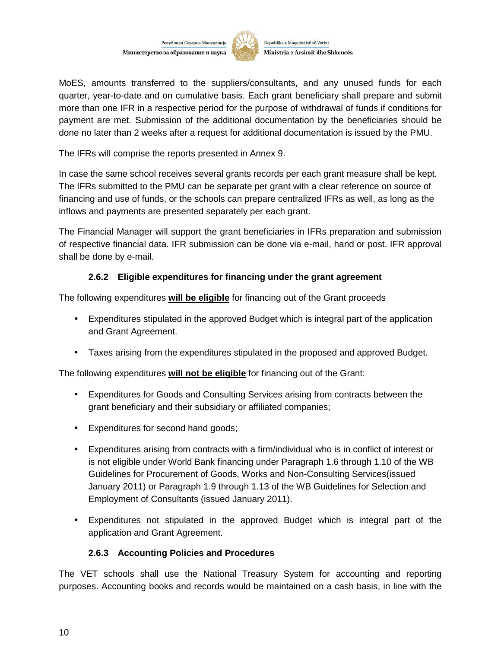

Republika e Maqedonisë së Veriut Ministria e Arsimit dhe Shkencës

MoES, amounts transferred to the suppliers/consultants, and any unused funds for each quarter, year-to-date and on cumulative basis. Each grant beneficiary shall prepare and submit more than one IFR in a respective period for the purpose of withdrawal of funds if conditions for payment are met. Submission of the additional documentation by the beneficiaries should be done no later than 2 weeks after a request for additional documentation is issued by the PMU.

The IFRs will comprise the reports presented in Annex 9.

In case the same school receives several grants records per each grant measure shall be kept. The IFRs submitted to the PMU can be separate per grant with a clear reference on source of financing and use of funds, or the schools can prepare centralized IFRs as well, as long as the inflows and payments are presented separately per each grant.

The Financial Manager will support the grant beneficiaries in IFRs preparation and submission of respective financial data. IFR submission can be done via e-mail, hand or post. IFR approval shall be done by e-mail.

### **2.6.2 Eligible expenditures for financing under the grant agreement**

The following expenditures **will be eligible** for financing out of the Grant proceeds

- Expenditures stipulated in the approved Budget which is integral part of the application and Grant Agreement.
- Taxes arising from the expenditures stipulated in the proposed and approved Budget.

The following expenditures **will not be eligible** for financing out of the Grant:

- Expenditures for Goods and Consulting Services arising from contracts between the grant beneficiary and their subsidiary or affiliated companies;
- Expenditures for second hand goods;
- Expenditures arising from contracts with a firm/individual who is in conflict of interest or is not eligible under World Bank financing under Paragraph 1.6 through 1.10 of the WB Guidelines for Procurement of Goods, Works and Non-Consulting Services(issued January 2011) or Paragraph 1.9 through 1.13 of the WB Guidelines for Selection and Employment of Consultants (issued January 2011).
- Expenditures not stipulated in the approved Budget which is integral part of the application and Grant Agreement.

#### **2.6.3 Accounting Policies and Procedures**

The VET schools shall use the National Treasury System for accounting and reporting purposes. Accounting books and records would be maintained on a cash basis, in line with the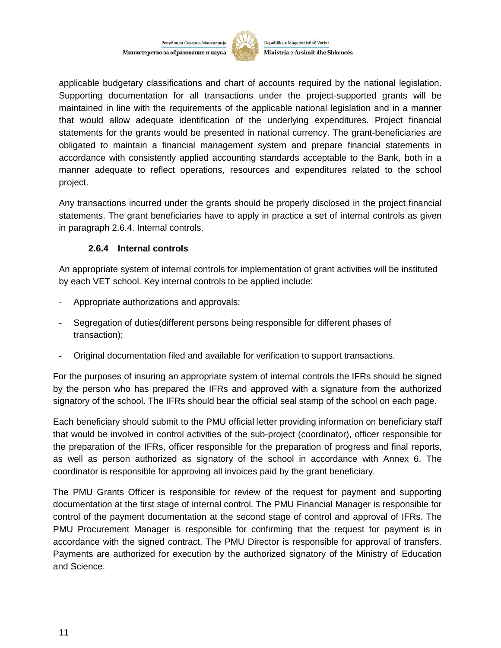

Republika e Maqedonisë së Veriut Ministria e Arsimit dhe Shkencës

applicable budgetary classifications and chart of accounts required by the national legislation. Supporting documentation for all transactions under the project-supported grants will be maintained in line with the requirements of the applicable national legislation and in a manner that would allow adequate identification of the underlying expenditures. Project financial statements for the grants would be presented in national currency. The grant-beneficiaries are obligated to maintain a financial management system and prepare financial statements in accordance with consistently applied accounting standards acceptable to the Bank, both in a manner adequate to reflect operations, resources and expenditures related to the school project.

Any transactions incurred under the grants should be properly disclosed in the project financial statements. The grant beneficiaries have to apply in practice a set of internal controls as given in paragraph 2.6.4. Internal controls.

#### **2.6.4 Internal controls**

An appropriate system of internal controls for implementation of grant activities will be instituted by each VET school. Key internal controls to be applied include:

- Appropriate authorizations and approvals;
- Segregation of duties(different persons being responsible for different phases of transaction);
- Original documentation filed and available for verification to support transactions.

For the purposes of insuring an appropriate system of internal controls the IFRs should be signed by the person who has prepared the IFRs and approved with a signature from the authorized signatory of the school. The IFRs should bear the official seal stamp of the school on each page.

Each beneficiary should submit to the PMU official letter providing information on beneficiary staff that would be involved in control activities of the sub-project (coordinator), officer responsible for the preparation of the IFRs, officer responsible for the preparation of progress and final reports, as well as person authorized as signatory of the school in accordance with Annex 6. The coordinator is responsible for approving all invoices paid by the grant beneficiary.

The PMU Grants Officer is responsible for review of the request for payment and supporting documentation at the first stage of internal control. The PMU Financial Manager is responsible for control of the payment documentation at the second stage of control and approval of IFRs. The PMU Procurement Manager is responsible for confirming that the request for payment is in accordance with the signed contract. The PMU Director is responsible for approval of transfers. Payments are authorized for execution by the authorized signatory of the Ministry of Education and Science.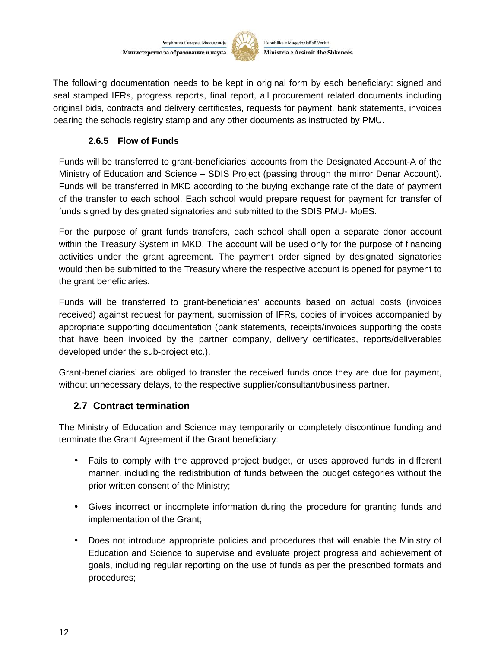

Republika e Maqedonisë së Veriut Ministria e Arsimit dhe Shkencës

The following documentation needs to be kept in original form by each beneficiary: signed and seal stamped IFRs, progress reports, final report, all procurement related documents including original bids, contracts and delivery certificates, requests for payment, bank statements, invoices bearing the schools registry stamp and any other documents as instructed by PMU.

#### **2.6.5 Flow of Funds**

Funds will be transferred to grant-beneficiaries' accounts from the Designated Account-A of the Ministry of Education and Science – SDIS Project (passing through the mirror Denar Account). Funds will be transferred in MKD according to the buying exchange rate of the date of payment of the transfer to each school. Each school would prepare request for payment for transfer of funds signed by designated signatories and submitted to the SDIS PMU- MoES.

For the purpose of grant funds transfers, each school shall open a separate donor account within the Treasury System in MKD. The account will be used only for the purpose of financing activities under the grant agreement. The payment order signed by designated signatories would then be submitted to the Treasury where the respective account is opened for payment to the grant beneficiaries.

Funds will be transferred to grant-beneficiaries' accounts based on actual costs (invoices received) against request for payment, submission of IFRs, copies of invoices accompanied by appropriate supporting documentation (bank statements, receipts/invoices supporting the costs that have been invoiced by the partner company, delivery certificates, reports/deliverables developed under the sub-project etc.).

Grant-beneficiaries' are obliged to transfer the received funds once they are due for payment, without unnecessary delays, to the respective supplier/consultant/business partner.

#### **2.7 Contract termination**

The Ministry of Education and Science may temporarily or completely discontinue funding and terminate the Grant Agreement if the Grant beneficiary:

- Fails to comply with the approved project budget, or uses approved funds in different manner, including the redistribution of funds between the budget categories without the prior written consent of the Ministry;
- Gives incorrect or incomplete information during the procedure for granting funds and implementation of the Grant;
- Does not introduce appropriate policies and procedures that will enable the Ministry of Education and Science to supervise and evaluate project progress and achievement of goals, including regular reporting on the use of funds as per the prescribed formats and procedures;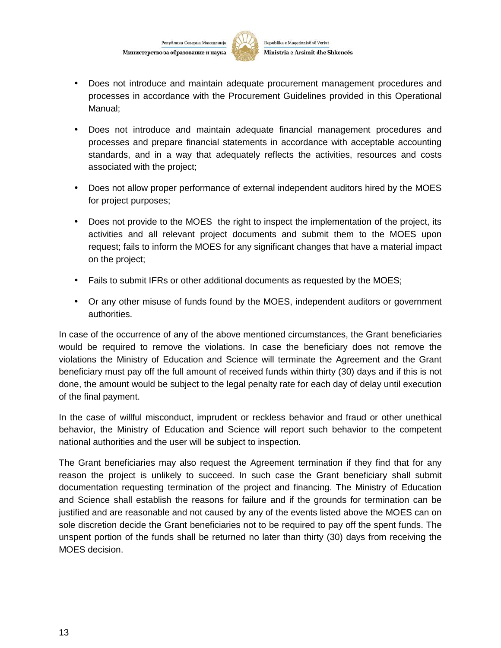

- Does not introduce and maintain adequate procurement management procedures and processes in accordance with the Procurement Guidelines provided in this Operational Manual;
- Does not introduce and maintain adequate financial management procedures and processes and prepare financial statements in accordance with acceptable accounting standards, and in a way that adequately reflects the activities, resources and costs associated with the project;
- Does not allow proper performance of external independent auditors hired by the MOES for project purposes;
- Does not provide to the MOES the right to inspect the implementation of the project, its activities and all relevant project documents and submit them to the MOES upon request; fails to inform the MOES for any significant changes that have a material impact on the project;
- Fails to submit IFRs or other additional documents as requested by the MOES;
- Or any other misuse of funds found by the MOES, independent auditors or government authorities.

In case of the occurrence of any of the above mentioned circumstances, the Grant beneficiaries would be required to remove the violations. In case the beneficiary does not remove the violations the Ministry of Education and Science will terminate the Agreement and the Grant beneficiary must pay off the full amount of received funds within thirty (30) days and if this is not done, the amount would be subject to the legal penalty rate for each day of delay until execution of the final payment.

In the case of willful misconduct, imprudent or reckless behavior and fraud or other unethical behavior, the Ministry of Education and Science will report such behavior to the competent national authorities and the user will be subject to inspection.

The Grant beneficiaries may also request the Agreement termination if they find that for any reason the project is unlikely to succeed. In such case the Grant beneficiary shall submit documentation requesting termination of the project and financing. The Ministry of Education and Science shall establish the reasons for failure and if the grounds for termination can be justified and are reasonable and not caused by any of the events listed above the MOES can on sole discretion decide the Grant beneficiaries not to be required to pay off the spent funds. The unspent portion of the funds shall be returned no later than thirty (30) days from receiving the MOES decision.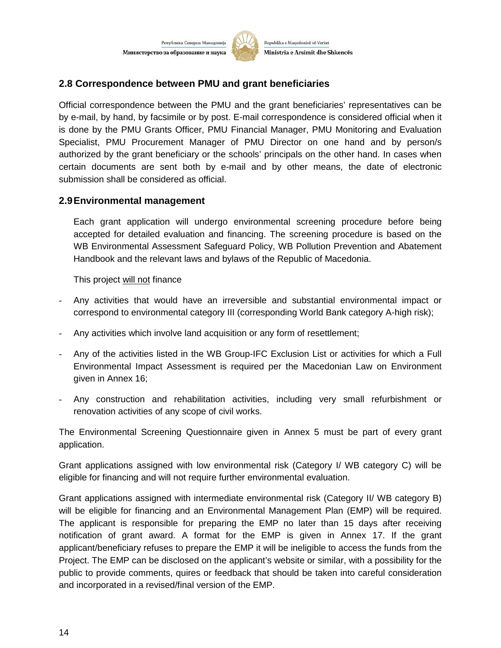

Republika e Maqedonisë së Veriut Ministria e Arsimit dhe Shkencës

#### **2.8 Correspondence between PMU and grant beneficiaries**

Official correspondence between the PMU and the grant beneficiaries' representatives can be by e-mail, by hand, by facsimile or by post. E-mail correspondence is considered official when it is done by the PMU Grants Officer, PMU Financial Manager, PMU Monitoring and Evaluation Specialist, PMU Procurement Manager of PMU Director on one hand and by person/s authorized by the grant beneficiary or the schools' principals on the other hand. In cases when certain documents are sent both by e-mail and by other means, the date of electronic submission shall be considered as official.

#### **2.9Environmental management**

Each grant application will undergo environmental screening procedure before being accepted for detailed evaluation and financing. The screening procedure is based on the WB Environmental Assessment Safeguard Policy, WB Pollution Prevention and Abatement Handbook and the relevant laws and bylaws of the Republic of Macedonia.

This project will not finance

- Any activities that would have an irreversible and substantial environmental impact or correspond to environmental category III (corresponding World Bank category A-high risk);
- Any activities which involve land acquisition or any form of resettlement;
- Any of the activities listed in the WB Group-IFC Exclusion List or activities for which a Full Environmental Impact Assessment is required per the Macedonian Law on Environment given in Annex 16;
- Any construction and rehabilitation activities, including very small refurbishment or renovation activities of any scope of civil works.

The Environmental Screening Questionnaire given in Annex 5 must be part of every grant application.

Grant applications assigned with low environmental risk (Category I/ WB category C) will be eligible for financing and will not require further environmental evaluation.

Grant applications assigned with intermediate environmental risk (Category II/ WB category B) will be eligible for financing and an Environmental Management Plan (EMP) will be required. The applicant is responsible for preparing the EMP no later than 15 days after receiving notification of grant award. A format for the EMP is given in Annex 17. If the grant applicant/beneficiary refuses to prepare the EMP it will be ineligible to access the funds from the Project. The EMP can be disclosed on the applicant's website or similar, with a possibility for the public to provide comments, quires or feedback that should be taken into careful consideration and incorporated in a revised/final version of the EMP.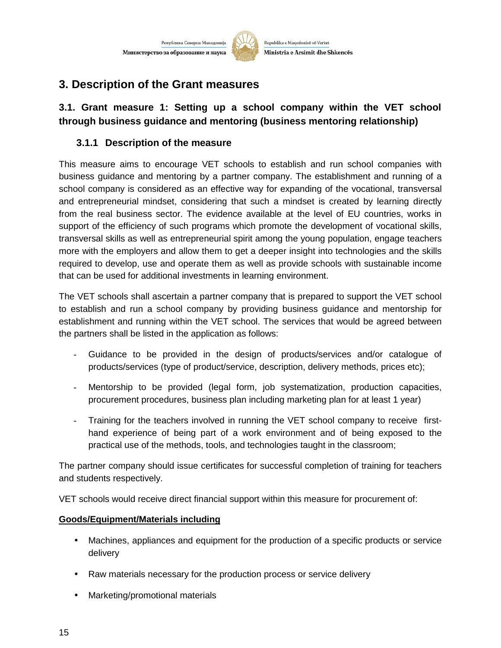

Republika e Maqedonisë së Veriut Ministria e Arsimit dhe Shkencës

# **3. Description of the Grant measures**

# **3.1. Grant measure 1: Setting up a school company within the VET school through business guidance and mentoring (business mentoring relationship)**

# **3.1.1 Description of the measure**

This measure aims to encourage VET schools to establish and run school companies with business guidance and mentoring by a partner company. The establishment and running of a school company is considered as an effective way for expanding of the vocational, transversal and entrepreneurial mindset, considering that such a mindset is created by learning directly from the real business sector. The evidence available at the level of EU countries, works in support of the efficiency of such programs which promote the development of vocational skills, transversal skills as well as entrepreneurial spirit among the young population, engage teachers more with the employers and allow them to get a deeper insight into technologies and the skills required to develop, use and operate them as well as provide schools with sustainable income that can be used for additional investments in learning environment.

The VET schools shall ascertain a partner company that is prepared to support the VET school to establish and run a school company by providing business guidance and mentorship for establishment and running within the VET school. The services that would be agreed between the partners shall be listed in the application as follows:

- Guidance to be provided in the design of products/services and/or catalogue of products/services (type of product/service, description, delivery methods, prices etc);
- Mentorship to be provided (legal form, job systematization, production capacities, procurement procedures, business plan including marketing plan for at least 1 year)
- Training for the teachers involved in running the VET school company to receive first hand experience of being part of a work environment and of being exposed to the practical use of the methods, tools, and technologies taught in the classroom;

The partner company should issue certificates for successful completion of training for teachers and students respectively.

VET schools would receive direct financial support within this measure for procurement of:

# **Goods/Equipment/Materials including**

- Machines, appliances and equipment for the production of a specific products or service delivery
- Raw materials necessary for the production process or service delivery
- Marketing/promotional materials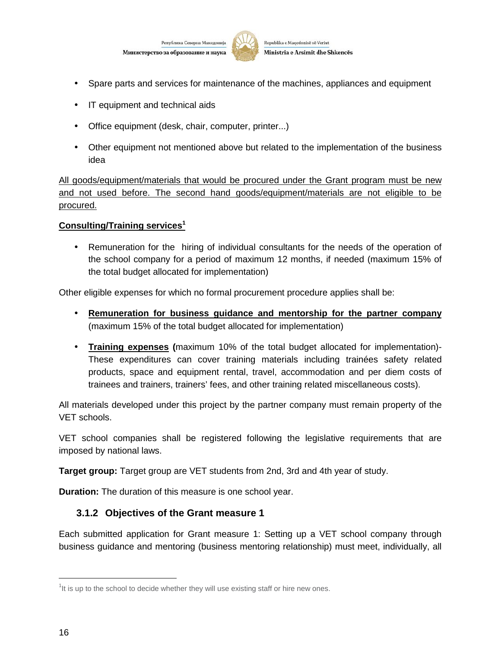



- Spare parts and services for maintenance of the machines, appliances and equipment
- IT equipment and technical aids
- Office equipment (desk, chair, computer, printer...)
- Other equipment not mentioned above but related to the implementation of the business idea

All goods/equipment/materials that would be procured under the Grant program must be new and not used before. The second hand goods/equipment/materials are not eligible to be procured.

#### **Consulting/Training services<sup>1</sup>**

 Remuneration for the hiring of individual consultants for the needs of the operation of the school company for a period of maximum 12 months, if needed (maximum 15% of the total budget allocated for implementation)

Other eligible expenses for which no formal procurement procedure applies shall be:

- **Remuneration for business guidance and mentorship for the partner company** (maximum 15% of the total budget allocated for implementation)
- **Training expenses (**maximum 10% of the total budget allocated for implementation)- These expenditures can cover training materials including trainées safety related products, space and equipment rental, travel, accommodation and per diem costs of trainees and trainers, trainers' fees, and other training related miscellaneous costs).

All materials developed under this project by the partner company must remain property of the VET schools.

VET school companies shall be registered following the legislative requirements that are imposed by national laws.

**Target group:** Target group are VET students from 2nd, 3rd and 4th year of study.

**Duration:** The duration of this measure is one school year.

#### **3.1.2 Objectives of the Grant measure 1**

Each submitted application for Grant measure 1: Setting up a VET school company through business guidance and mentoring (business mentoring relationship) must meet, individually, all

 $1$ It is up to the school to decide whether they will use existing staff or hire new ones.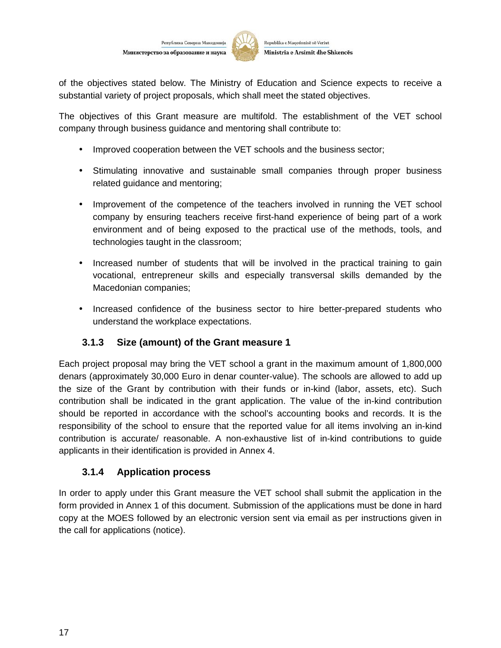

of the objectives stated below. The Ministry of Education and Science expects to receive a substantial variety of project proposals, which shall meet the stated objectives.

The objectives of this Grant measure are multifold. The establishment of the VET school company through business guidance and mentoring shall contribute to:

- Improved cooperation between the VET schools and the business sector;
- Stimulating innovative and sustainable small companies through proper business related guidance and mentoring;
- Improvement of the competence of the teachers involved in running the VET school company by ensuring teachers receive first-hand experience of being part of a work environment and of being exposed to the practical use of the methods, tools, and technologies taught in the classroom;
- Increased number of students that will be involved in the practical training to gain vocational, entrepreneur skills and especially transversal skills demanded by the Macedonian companies;
- Increased confidence of the business sector to hire better-prepared students who understand the workplace expectations.

# **3.1.3 Size (amount) of the Grant measure 1**

Each project proposal may bring the VET school a grant in the maximum amount of 1,800,000 denars (approximately 30,000 Euro in denar counter-value). The schools are allowed to add up the size of the Grant by contribution with their funds or in-kind (labor, assets, etc). Such contribution shall be indicated in the grant application. The value of the in-kind contribution should be reported in accordance with the school's accounting books and records. It is the responsibility of the school to ensure that the reported value for all items involving an in-kind contribution is accurate/ reasonable. A non-exhaustive list of in-kind contributions to guide applicants in their identification is provided in Annex 4.

#### **3.1.4 Application process**

In order to apply under this Grant measure the VET school shall submit the application in the form provided in Annex 1 of this document. Submission of the applications must be done in hard copy at the MOES followed by an electronic version sent via email as per instructions given in the call for applications (notice).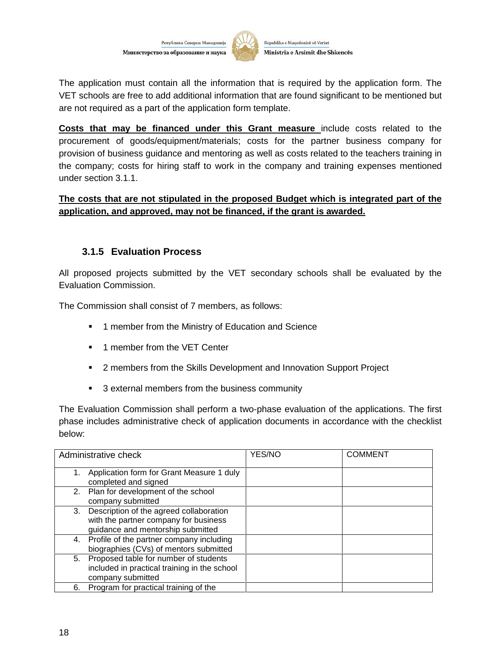

Republika e Maqedonisë së Veriut Ministria e Arsimit dhe Shkencës

The application must contain all the information that is required by the application form. The VET schools are free to add additional information that are found significant to be mentioned but are not required as a part of the application form template.

**Costs that may be financed under this Grant measure** include costs related to the procurement of goods/equipment/materials; costs for the partner business company for provision of business guidance and mentoring as well as costs related to the teachers training in the company; costs for hiring staff to work in the company and training expenses mentioned under section 3.1.1.

#### **The costs that are not stipulated in the proposed Budget which is integrated part of the application, and approved, may not be financed, if the grant is awarded.**

### **3.1.5 Evaluation Process**

All proposed projects submitted by the VET secondary schools shall be evaluated by the Evaluation Commission.

The Commission shall consist of 7 members, as follows:

- **1** member from the Ministry of Education and Science
- **1** member from the VET Center
- **2** members from the Skills Development and Innovation Support Project
- 3 external members from the business community

The Evaluation Commission shall perform a two-phase evaluation of the applications. The first phase includes administrative check of application documents in accordance with the checklist below:

| Administrative check                                                                                                        | YES/NO | <b>COMMENT</b> |
|-----------------------------------------------------------------------------------------------------------------------------|--------|----------------|
| Application form for Grant Measure 1 duly<br>1.<br>completed and signed                                                     |        |                |
| Plan for development of the school<br>2.<br>company submitted                                                               |        |                |
| Description of the agreed collaboration<br>3.<br>with the partner company for business<br>guidance and mentorship submitted |        |                |
| Profile of the partner company including<br>4.<br>biographies (CVs) of mentors submitted                                    |        |                |
| 5. Proposed table for number of students<br>included in practical training in the school<br>company submitted               |        |                |
| Program for practical training of the<br>6.                                                                                 |        |                |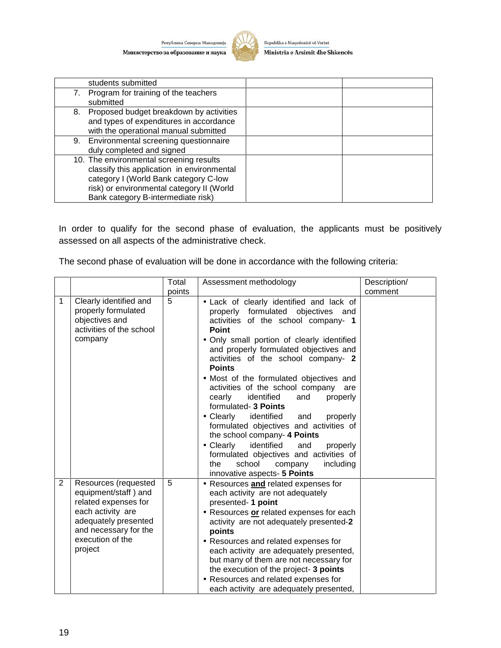

Republika e Maqedonisë së Veriut Ministria e Arsimit dhe Shkencës

| students submitted                                                                                                                                                                                                |  |
|-------------------------------------------------------------------------------------------------------------------------------------------------------------------------------------------------------------------|--|
| Program for training of the teachers<br>7.<br>submitted                                                                                                                                                           |  |
| Proposed budget breakdown by activities<br>8.<br>and types of expenditures in accordance<br>with the operational manual submitted                                                                                 |  |
| Environmental screening questionnaire<br>9.<br>duly completed and signed                                                                                                                                          |  |
| 10. The environmental screening results<br>classify this application in environmental<br>category I (World Bank category C-low<br>risk) or environmental category II (World<br>Bank category B-intermediate risk) |  |

In order to qualify for the second phase of evaluation, the applicants must be positively assessed on all aspects of the administrative check.

The second phase of evaluation will be done in accordance with the following criteria:

|   |                                                                                                                                                                           | Total  | Assessment methodology                                                                                                                                                                                                                                                                                                                                                                                                                                                                                                                                                                                                                                                                                                                                | Description/ |
|---|---------------------------------------------------------------------------------------------------------------------------------------------------------------------------|--------|-------------------------------------------------------------------------------------------------------------------------------------------------------------------------------------------------------------------------------------------------------------------------------------------------------------------------------------------------------------------------------------------------------------------------------------------------------------------------------------------------------------------------------------------------------------------------------------------------------------------------------------------------------------------------------------------------------------------------------------------------------|--------------|
|   |                                                                                                                                                                           | points |                                                                                                                                                                                                                                                                                                                                                                                                                                                                                                                                                                                                                                                                                                                                                       | comment      |
| 1 | Clearly identified and<br>properly formulated<br>objectives and<br>activities of the school<br>company                                                                    | 5      | . Lack of clearly identified and lack of<br>properly formulated objectives<br>and<br>activities of the school company- 1<br>Point<br>• Only small portion of clearly identified<br>and properly formulated objectives and<br>activities of the school company- 2<br><b>Points</b><br>• Most of the formulated objectives and<br>activities of the school company<br>are<br>cearly<br>identified<br>and<br>properly<br>formulated- 3 Points<br>$\bullet$ Clearly<br>identified<br>properly<br>and<br>formulated objectives and activities of<br>the school company- 4 Points<br>$\bullet$ Clearly<br>identified<br>and<br>properly<br>formulated objectives and activities of<br>school<br>the<br>company<br>including<br>innovative aspects- 5 Points |              |
| 2 | Resources (requested<br>equipment/staff) and<br>related expenses for<br>each activity are<br>adequately presented<br>and necessary for the<br>execution of the<br>project | 5      | • Resources and related expenses for<br>each activity are not adequately<br>presented- 1 point<br>• Resources or related expenses for each<br>activity are not adequately presented-2<br>points<br>• Resources and related expenses for<br>each activity are adequately presented,<br>but many of them are not necessary for<br>the execution of the project- 3 points<br>• Resources and related expenses for<br>each activity are adequately presented,                                                                                                                                                                                                                                                                                             |              |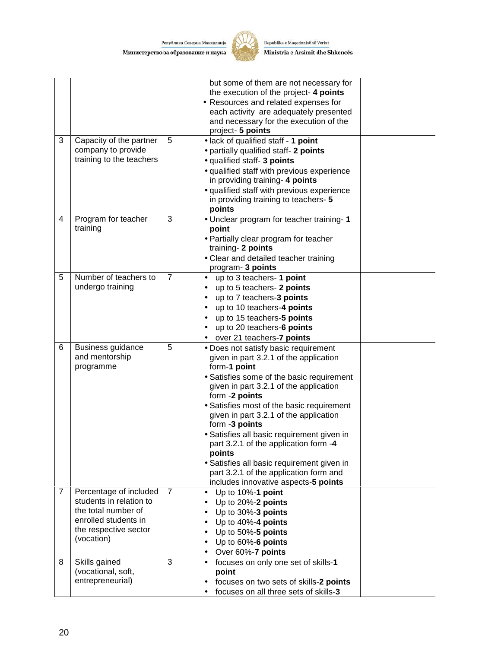

Republika e Maqedonisë së Veriut Ministria e Arsimit dhe Shkencës

|                |                                                                                                                                         |                | but some of them are not necessary for<br>the execution of the project- 4 points<br>• Resources and related expenses for<br>each activity are adequately presented<br>and necessary for the execution of the<br>project- 5 points                                                                                                                                                                                                                                                                                                                 |  |
|----------------|-----------------------------------------------------------------------------------------------------------------------------------------|----------------|---------------------------------------------------------------------------------------------------------------------------------------------------------------------------------------------------------------------------------------------------------------------------------------------------------------------------------------------------------------------------------------------------------------------------------------------------------------------------------------------------------------------------------------------------|--|
| 3              | Capacity of the partner<br>company to provide<br>training to the teachers                                                               | 5              | · lack of qualified staff - 1 point<br>• partially qualified staff- 2 points<br>· qualified staff- 3 points<br>· qualified staff with previous experience<br>in providing training- 4 points<br>· qualified staff with previous experience<br>in providing training to teachers- 5<br>points                                                                                                                                                                                                                                                      |  |
| 4              | Program for teacher<br>training                                                                                                         | 3              | • Unclear program for teacher training-1<br>point<br>• Partially clear program for teacher<br>training- 2 points<br>• Clear and detailed teacher training<br>program- 3 points                                                                                                                                                                                                                                                                                                                                                                    |  |
| 5              | Number of teachers to<br>undergo training                                                                                               | $\overline{7}$ | up to 3 teachers- 1 point<br>$\bullet$<br>up to 5 teachers- 2 points<br>up to 7 teachers-3 points<br>$\bullet$<br>up to 10 teachers-4 points<br>up to 15 teachers-5 points<br>up to 20 teachers-6 points<br>over 21 teachers-7 points                                                                                                                                                                                                                                                                                                             |  |
| 6              | Business guidance<br>and mentorship<br>programme                                                                                        | 5              | • Does not satisfy basic requirement<br>given in part 3.2.1 of the application<br>form-1 point<br>• Satisfies some of the basic requirement<br>given in part 3.2.1 of the application<br>form -2 points<br>• Satisfies most of the basic requirement<br>given in part 3.2.1 of the application<br>form -3 points<br>· Satisfies all basic requirement given in<br>part 3.2.1 of the application form -4<br>points<br>• Satisfies all basic requirement given in<br>part 3.2.1 of the application form and<br>includes innovative aspects-5 points |  |
| $\overline{7}$ | Percentage of included<br>students in relation to<br>the total number of<br>enrolled students in<br>the respective sector<br>(vocation) | $\overline{7}$ | Up to 10%-1 point<br>Up to 20%-2 points<br>Up to 30%-3 points<br>Up to 40%-4 points<br>Up to 50%-5 points<br>Up to 60%-6 points<br>Over 60%-7 points                                                                                                                                                                                                                                                                                                                                                                                              |  |
| 8              | Skills gained<br>(vocational, soft,<br>entrepreneurial)                                                                                 | 3              | focuses on only one set of skills-1<br>point<br>focuses on two sets of skills-2 points<br>focuses on all three sets of skills-3                                                                                                                                                                                                                                                                                                                                                                                                                   |  |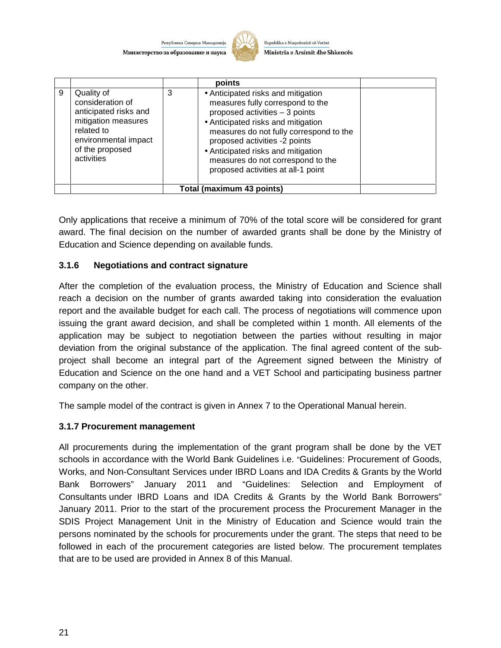

Republika e Maqedonisë së Veriut Ministria e Arsimit dhe Shkencës

|   |                                                                                                                                                       |   | points                                                                                                                                                                                                                                                                                                                                      |  |
|---|-------------------------------------------------------------------------------------------------------------------------------------------------------|---|---------------------------------------------------------------------------------------------------------------------------------------------------------------------------------------------------------------------------------------------------------------------------------------------------------------------------------------------|--|
| 9 | Quality of<br>consideration of<br>anticipated risks and<br>mitigation measures<br>related to<br>environmental impact<br>of the proposed<br>activities | 3 | • Anticipated risks and mitigation<br>measures fully correspond to the<br>proposed activities - 3 points<br>• Anticipated risks and mitigation<br>measures do not fully correspond to the<br>proposed activities -2 points<br>• Anticipated risks and mitigation<br>measures do not correspond to the<br>proposed activities at all-1 point |  |
|   |                                                                                                                                                       |   | Total (maximum 43 points)                                                                                                                                                                                                                                                                                                                   |  |

Only applications that receive a minimum of 70% of the total score will be considered for grant award. The final decision on the number of awarded grants shall be done by the Ministry of Education and Science depending on available funds.

#### **3.1.6 Negotiations and contract signature**

After the completion of the evaluation process, the Ministry of Education and Science shall reach a decision on the number of grants awarded taking into consideration the evaluation report and the available budget for each call. The process of negotiations will commence upon issuing the grant award decision, and shall be completed within 1 month. All elements of the application may be subject to negotiation between the parties without resulting in major deviation from the original substance of the application. The final agreed content of the sub project shall become an integral part of the Agreement signed between the Ministry of Education and Science on the one hand and a VET School and participating business partner company on the other.

The sample model of the contract is given in Annex 7 to the Operational Manual herein.

#### **3.1.7 Procurement management**

All procurements during the implementation of the grant program shall be done by the VET schools in accordance with the World Bank Guidelines i.e. "Guidelines: Procurement of Goods, Works, and Non-Consultant Services under IBRD Loans and IDA Credits & Grants by the World Bank Borrowers" January 2011 and "Guidelines: Selection and Employment of Consultants under IBRD Loans and IDA Credits & Grants by the World Bank Borrowers" January 2011. Prior to the start of the procurement process the Procurement Manager in the SDIS Project Management Unit in the Ministry of Education and Science would train the persons nominated by the schools for procurements under the grant. The steps that need to be followed in each of the procurement categories are listed below. The procurement templates that are to be used are provided in Annex 8 of this Manual.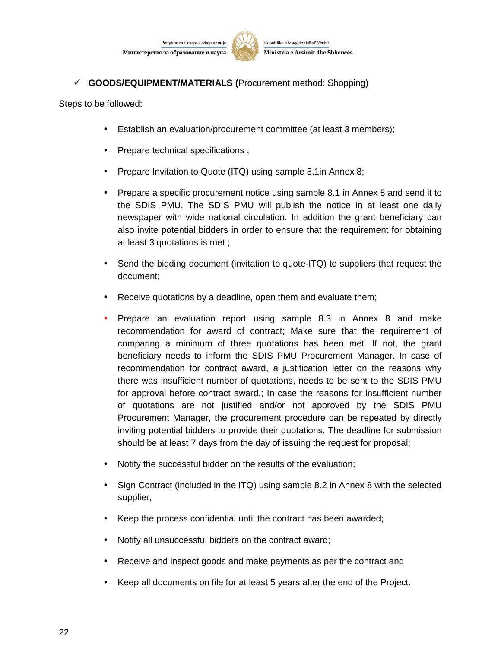

Republika e Maqedonisë së Veriut Ministria e Arsimit dhe Shkencës

**GOODS/EQUIPMENT/MATERIALS (**Procurement method: Shopping)

Steps to be followed:

- Establish an evaluation/procurement committee (at least 3 members);
- Prepare technical specifications ;
- Prepare Invitation to Quote (ITQ) using sample 8.1 in Annex 8;
- Prepare a specific procurement notice using sample 8.1 in Annex 8 and send it to the SDIS PMU. The SDIS PMU will publish the notice in at least one daily newspaper with wide national circulation. In addition the grant beneficiary can also invite potential bidders in order to ensure that the requirement for obtaining at least 3 quotations is met ;
- Send the bidding document (invitation to quote-ITQ) to suppliers that request the document;
- Receive quotations by a deadline, open them and evaluate them;
- Prepare an evaluation report using sample 8.3 in Annex 8 and make recommendation for award of contract; Make sure that the requirement of comparing a minimum of three quotations has been met. If not, the grant beneficiary needs to inform the SDIS PMU Procurement Manager. In case of recommendation for contract award, a justification letter on the reasons why there was insufficient number of quotations, needs to be sent to the SDIS PMU for approval before contract award.; In case the reasons for insufficient number of quotations are not justified and/or not approved by the SDIS PMU Procurement Manager, the procurement procedure can be repeated by directly inviting potential bidders to provide their quotations. The deadline for submission should be at least 7 days from the day of issuing the request for proposal;
- Notify the successful bidder on the results of the evaluation;
- Sign Contract (included in the ITQ) using sample 8.2 in Annex 8 with the selected supplier;
- Keep the process confidential until the contract has been awarded;
- Notify all unsuccessful bidders on the contract award;
- Receive and inspect goods and make payments as per the contract and
- Keep all documents on file for at least 5 years after the end of the Project.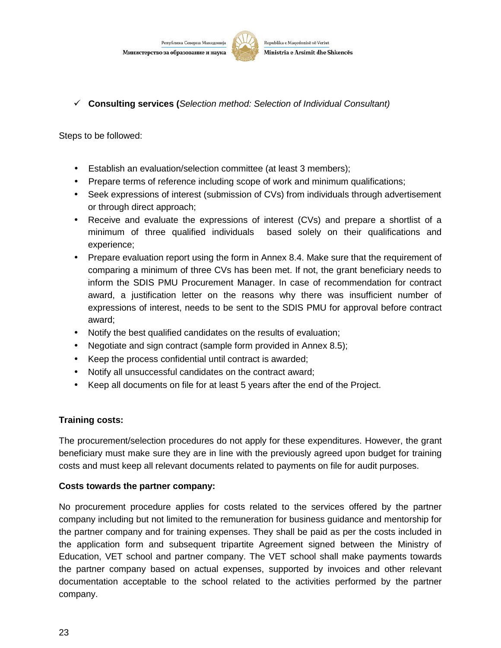

**Consulting services (***Selection method: Selection of Individual Consultant)*

Steps to be followed:

- Establish an evaluation/selection committee (at least 3 members);
- Prepare terms of reference including scope of work and minimum qualifications;
- Seek expressions of interest (submission of CVs) from individuals through advertisement or through direct approach;
- Receive and evaluate the expressions of interest (CVs) and prepare a shortlist of a minimum of three qualified individuals based solely on their qualifications and experience;
- Prepare evaluation report using the form in Annex 8.4. Make sure that the requirement of comparing a minimum of three CVs has been met. If not, the grant beneficiary needs to inform the SDIS PMU Procurement Manager. In case of recommendation for contract award, a justification letter on the reasons why there was insufficient number of expressions of interest, needs to be sent to the SDIS PMU for approval before contract award;
- Notify the best qualified candidates on the results of evaluation;
- Negotiate and sign contract (sample form provided in Annex 8.5);
- Keep the process confidential until contract is awarded;
- Notify all unsuccessful candidates on the contract award;
- Keep all documents on file for at least 5 years after the end of the Project.

# **Training costs:**

The procurement/selection procedures do not apply for these expenditures. However, the grant beneficiary must make sure they are in line with the previously agreed upon budget for training costs and must keep all relevant documents related to payments on file for audit purposes.

#### **Costs towards the partner company:**

No procurement procedure applies for costs related to the services offered by the partner company including but not limited to the remuneration for business guidance and mentorship for the partner company and for training expenses. They shall be paid as per the costs included in the application form and subsequent tripartite Agreement signed between the Ministry of Education, VET school and partner company. The VET school shall make payments towards the partner company based on actual expenses, supported by invoices and other relevant documentation acceptable to the school related to the activities performed by the partner company.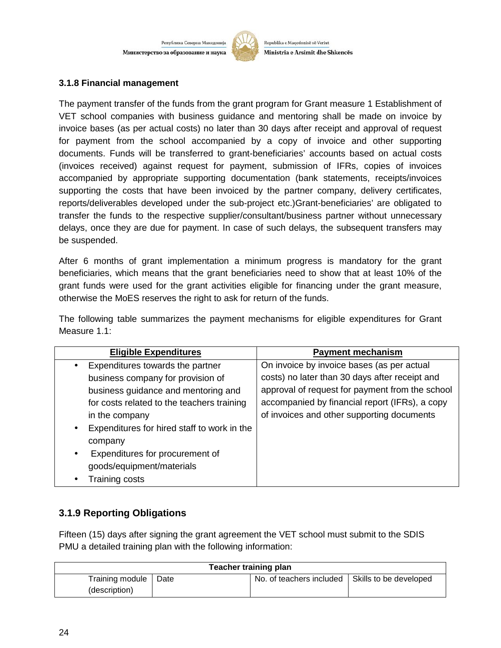

Republika e Maqedonisë së Veriut Ministria e Arsimit dhe Shkencës

#### **3.1.8 Financial management**

The payment transfer of the funds from the grant program for Grant measure 1 Establishment of VET school companies with business guidance and mentoring shall be made on invoice by invoice bases (as per actual costs) no later than 30 days after receipt and approval of request for payment from the school accompanied by a copy of invoice and other supporting documents. Funds will be transferred to grant-beneficiaries' accounts based on actual costs (invoices received) against request for payment, submission of IFRs, copies of invoices accompanied by appropriate supporting documentation (bank statements, receipts/invoices supporting the costs that have been invoiced by the partner company, delivery certificates, reports/deliverables developed under the sub-project etc.)Grant-beneficiaries' are obligated to transfer the funds to the respective supplier/consultant/business partner without unnecessary delays, once they are due for payment. In case of such delays, the subsequent transfers may be suspended.

After 6 months of grant implementation a minimum progress is mandatory for the grant beneficiaries, which means that the grant beneficiaries need to show that at least 10% of the grant funds were used for the grant activities eligible for financing under the grant measure, otherwise the MoES reserves the right to ask for return of the funds.

The following table summarizes the payment mechanisms for eligible expenditures for Grant Measure 1.1:

| <b>Eligible Expenditures</b>                                                                                                                                                                                                                                                                                                                       | <b>Payment mechanism</b>                                                                                                                                                                                                                        |
|----------------------------------------------------------------------------------------------------------------------------------------------------------------------------------------------------------------------------------------------------------------------------------------------------------------------------------------------------|-------------------------------------------------------------------------------------------------------------------------------------------------------------------------------------------------------------------------------------------------|
| Expenditures towards the partner<br>$\bullet$<br>business company for provision of<br>business guidance and mentoring and<br>for costs related to the teachers training<br>in the company<br>Expenditures for hired staff to work in the<br>company<br>Expenditures for procurement of<br>$\bullet$<br>goods/equipment/materials<br>Training costs | On invoice by invoice bases (as per actual<br>costs) no later than 30 days after receipt and<br>approval of request for payment from the school<br>accompanied by financial report (IFRs), a copy<br>of invoices and other supporting documents |

# **3.1.9 Reporting Obligations**

Fifteen (15) days after signing the grant agreement the VET school must submit to the SDIS PMU a detailed training plan with the following information:

| <b>Teacher training plan</b>     |      |                          |                        |
|----------------------------------|------|--------------------------|------------------------|
| Training module<br>(description) | Date | No. of teachers included | Skills to be developed |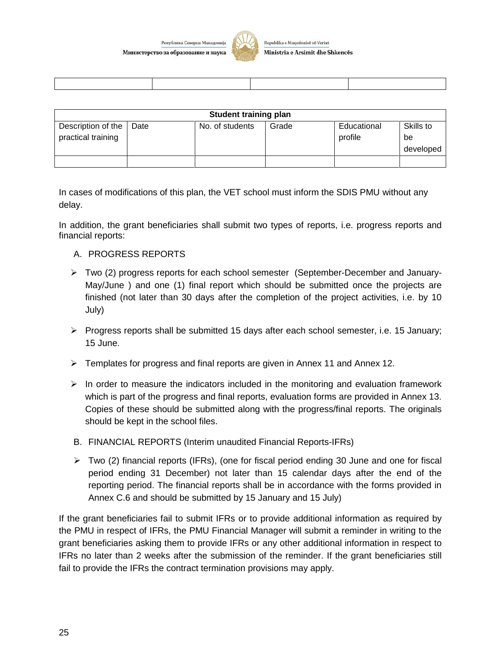

Republika e Maqedonisë së Veriut Ministria e Arsimit dhe Shkencës

| <b>Student training plan</b>             |      |                 |       |                        |                              |
|------------------------------------------|------|-----------------|-------|------------------------|------------------------------|
| Description of the<br>practical training | Date | No. of students | Grade | Educational<br>profile | Skills to<br>be<br>developed |
|                                          |      |                 |       |                        |                              |

In cases of modifications of this plan, the VET school must inform the SDIS PMU without any delay.

In addition, the grant beneficiaries shall submit two types of reports, i.e. progress reports and financial reports:

#### A. PROGRESS REPORTS

- $\triangleright$  Two (2) progress reports for each school semester (September-December and January-May/June ) and one (1) final report which should be submitted once the projects are finished (not later than 30 days after the completion of the project activities, i.e. by 10 July)
- $\triangleright$  Progress reports shall be submitted 15 days after each school semester, i.e. 15 January; 15 June.
- Templates for progress and final reports are given in Annex 11 and Annex 12.
- $\triangleright$  In order to measure the indicators included in the monitoring and evaluation framework which is part of the progress and final reports, evaluation forms are provided in Annex 13. Copies of these should be submitted along with the progress/final reports. The originals should be kept in the school files.
- B. FINANCIAL REPORTS (Interim unaudited Financial Reports-IFRs)
- $\triangleright$  Two (2) financial reports (IFRs), (one for fiscal period ending 30 June and one for fiscal period ending 31 December) not later than 15 calendar days after the end of the reporting period. The financial reports shall be in accordance with the forms provided in Annex C.6 and should be submitted by 15 January and 15 July)

If the grant beneficiaries fail to submit IFRs or to provide additional information as required by the PMU in respect of IFRs, the PMU Financial Manager will submit a reminder in writing to the grant beneficiaries asking them to provide IFRs or any other additional information in respect to IFRs no later than 2 weeks after the submission of the reminder. If the grant beneficiaries still fail to provide the IFRs the contract termination provisions may apply.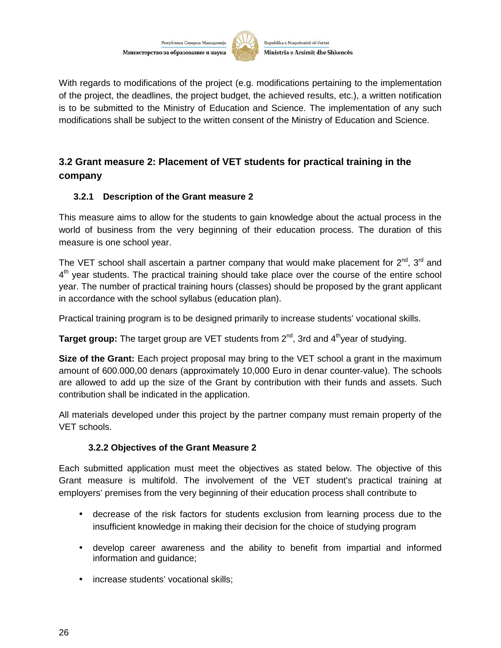

Republika e Maqedonisë së Veriut Ministria e Arsimit dhe Shkencës

With regards to modifications of the project (e.g. modifications pertaining to the implementation of the project, the deadlines, the project budget, the achieved results, etc.), a written notification is to be submitted to the Ministry of Education and Science. The implementation of any such modifications shall be subject to the written consent of the Ministry of Education and Science.

# **3.2 Grant measure 2: Placement of VET students for practical training in the company**

#### **3.2.1 Description of the Grant measure 2**

This measure aims to allow for the students to gain knowledge about the actual process in the world of business from the very beginning of their education process. The duration of this measure is one school year.

The VET school shall ascertain a partner company that would make placement for  $2^{\text{nd}}$ ,  $3^{\text{rd}}$  and 4<sup>th</sup> year students. The practical training should take place over the course of the entire school year. The number of practical training hours (classes) should be proposed by the grant applicant in accordance with the school syllabus (education plan).

Practical training program is to be designed primarily to increase students' vocational skills.

**Target group:** The target group are VET students from 2<sup>nd</sup>, 3rd and 4<sup>th</sup>year of studying.

**Size of the Grant:** Each project proposal may bring to the VET school a grant in the maximum amount of 600.000,00 denars (approximately 10,000 Euro in denar counter-value). The schools are allowed to add up the size of the Grant by contribution with their funds and assets. Such contribution shall be indicated in the application.

All materials developed under this project by the partner company must remain property of the VET schools.

#### **3.2.2 Objectives of the Grant Measure 2**

Each submitted application must meet the objectives as stated below. The objective of this Grant measure is multifold. The involvement of the VET student's practical training at employers' premises from the very beginning of their education process shall contribute to

- decrease of the risk factors for students exclusion from learning process due to the insufficient knowledge in making their decision for the choice of studying program
- develop career awareness and the ability to benefit from impartial and informed information and guidance;
- increase students' vocational skills;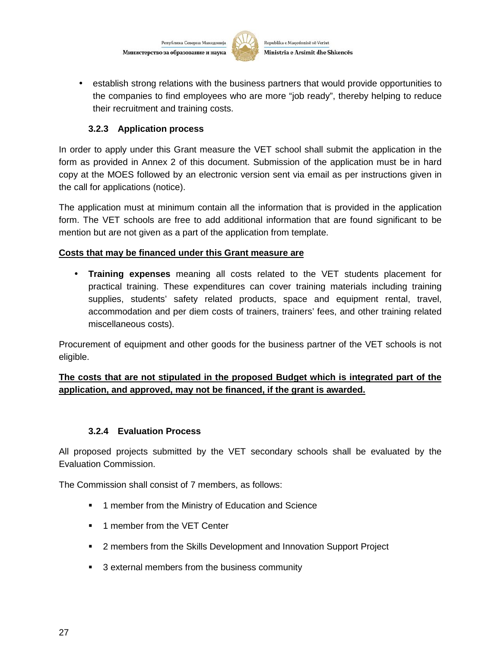

Republika e Maqedonisë së Veriut Ministria e Arsimit dhe Shkencës

 establish strong relations with the business partners that would provide opportunities to the companies to find employees who are more "job ready", thereby helping to reduce their recruitment and training costs.

#### **3.2.3 Application process**

In order to apply under this Grant measure the VET school shall submit the application in the form as provided in Annex 2 of this document. Submission of the application must be in hard copy at the MOES followed by an electronic version sent via email as per instructions given in the call for applications (notice).

The application must at minimum contain all the information that is provided in the application form. The VET schools are free to add additional information that are found significant to be mention but are not given as a part of the application from template.

#### **Costs that may be financed under this Grant measure are**

 **Training expenses** meaning all costs related to the VET students placement for practical training. These expenditures can cover training materials including training supplies, students' safety related products, space and equipment rental, travel, accommodation and per diem costs of trainers, trainers' fees, and other training related miscellaneous costs).

Procurement of equipment and other goods for the business partner of the VET schools is not eligible.

#### **The costs that are not stipulated in the proposed Budget which is integrated part of the application, and approved, may not be financed, if the grant is awarded.**

#### **3.2.4 Evaluation Process**

All proposed projects submitted by the VET secondary schools shall be evaluated by the Evaluation Commission.

The Commission shall consist of 7 members, as follows:

- **1** member from the Ministry of Education and Science
- **1** member from the VET Center
- 2 members from the Skills Development and Innovation Support Project
- **3** external members from the business community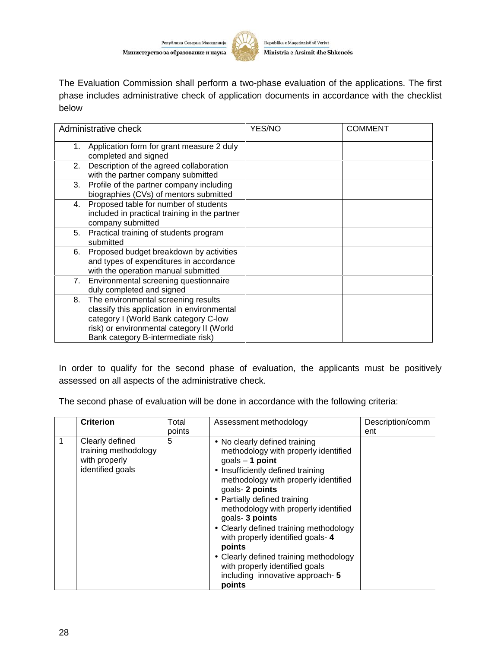

The Evaluation Commission shall perform a two-phase evaluation of the applications. The first phase includes administrative check of application documents in accordance with the checklist below

| Administrative check                                                                                                                                                                                                | YES/NO | <b>COMMENT</b> |
|---------------------------------------------------------------------------------------------------------------------------------------------------------------------------------------------------------------------|--------|----------------|
| Application form for grant measure 2 duly<br>1.<br>completed and signed                                                                                                                                             |        |                |
| Description of the agreed collaboration<br>2.<br>with the partner company submitted                                                                                                                                 |        |                |
| Profile of the partner company including<br>3.<br>biographies (CVs) of mentors submitted                                                                                                                            |        |                |
| Proposed table for number of students<br>4.<br>included in practical training in the partner<br>company submitted                                                                                                   |        |                |
| Practical training of students program<br>5.<br>submitted                                                                                                                                                           |        |                |
| Proposed budget breakdown by activities<br>6.<br>and types of expenditures in accordance<br>with the operation manual submitted                                                                                     |        |                |
| 7. Environmental screening questionnaire<br>duly completed and signed                                                                                                                                               |        |                |
| The environmental screening results<br>8.<br>classify this application in environmental<br>category I (World Bank category C-low<br>risk) or environmental category II (World<br>Bank category B-intermediate risk) |        |                |

In order to qualify for the second phase of evaluation, the applicants must be positively assessed on all aspects of the administrative check.

The second phase of evaluation will be done in accordance with the following criteria:

| <b>Criterion</b>                                                             | Total<br>points | Assessment methodology                                                                                                                                                                                                                                                                                                                                                                                                                                                                                   | Description/comm<br>ent |
|------------------------------------------------------------------------------|-----------------|----------------------------------------------------------------------------------------------------------------------------------------------------------------------------------------------------------------------------------------------------------------------------------------------------------------------------------------------------------------------------------------------------------------------------------------------------------------------------------------------------------|-------------------------|
| Clearly defined<br>training methodology<br>with properly<br>identified goals | 5               | • No clearly defined training<br>methodology with properly identified<br>goals $-$ 1 point<br>• Insufficiently defined training<br>methodology with properly identified<br>goals- 2 points<br>• Partially defined training<br>methodology with properly identified<br>goals- 3 points<br>• Clearly defined training methodology<br>with properly identified goals- 4<br>points<br>• Clearly defined training methodology<br>with properly identified goals<br>including innovative approach- 5<br>points |                         |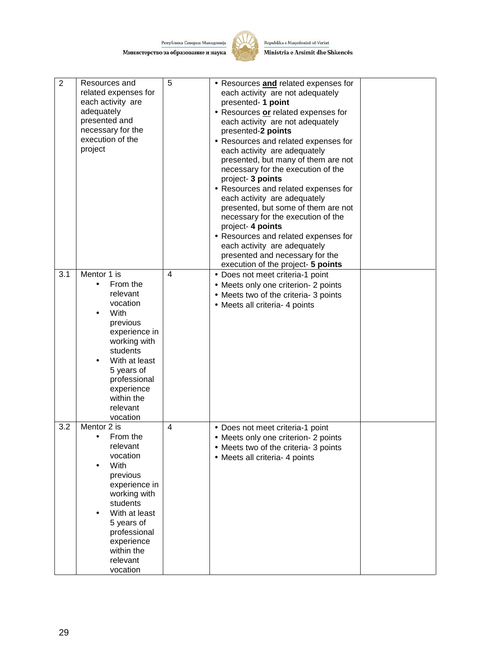

Republika e Maqedonisë së Veriut Ministria e Arsimit dhe Shkencës

| $\overline{2}$ | Resources and<br>related expenses for<br>each activity are<br>adequately<br>presented and<br>necessary for the<br>execution of the<br>project | 5              | • Resources and related expenses for<br>each activity are not adequately<br>presented- 1 point<br>• Resources or related expenses for<br>each activity are not adequately<br>presented-2 points<br>• Resources and related expenses for<br>each activity are adequately<br>presented, but many of them are not<br>necessary for the execution of the<br>project- 3 points<br>• Resources and related expenses for<br>each activity are adequately<br>presented, but some of them are not<br>necessary for the execution of the<br>project- 4 points<br>• Resources and related expenses for<br>each activity are adequately<br>presented and necessary for the<br>execution of the project- 5 points |  |
|----------------|-----------------------------------------------------------------------------------------------------------------------------------------------|----------------|------------------------------------------------------------------------------------------------------------------------------------------------------------------------------------------------------------------------------------------------------------------------------------------------------------------------------------------------------------------------------------------------------------------------------------------------------------------------------------------------------------------------------------------------------------------------------------------------------------------------------------------------------------------------------------------------------|--|
| 3.1            | Mentor 1 is<br>From the<br>$\bullet$                                                                                                          | 4              | • Does not meet criteria-1 point<br>• Meets only one criterion- 2 points                                                                                                                                                                                                                                                                                                                                                                                                                                                                                                                                                                                                                             |  |
|                | relevant<br>vocation                                                                                                                          |                | • Meets two of the criteria- 3 points                                                                                                                                                                                                                                                                                                                                                                                                                                                                                                                                                                                                                                                                |  |
|                | With                                                                                                                                          |                | • Meets all criteria- 4 points                                                                                                                                                                                                                                                                                                                                                                                                                                                                                                                                                                                                                                                                       |  |
|                | previous                                                                                                                                      |                |                                                                                                                                                                                                                                                                                                                                                                                                                                                                                                                                                                                                                                                                                                      |  |
|                | experience in                                                                                                                                 |                |                                                                                                                                                                                                                                                                                                                                                                                                                                                                                                                                                                                                                                                                                                      |  |
|                | working with<br>students                                                                                                                      |                |                                                                                                                                                                                                                                                                                                                                                                                                                                                                                                                                                                                                                                                                                                      |  |
|                | With at least                                                                                                                                 |                |                                                                                                                                                                                                                                                                                                                                                                                                                                                                                                                                                                                                                                                                                                      |  |
|                | 5 years of<br>professional                                                                                                                    |                |                                                                                                                                                                                                                                                                                                                                                                                                                                                                                                                                                                                                                                                                                                      |  |
|                | experience                                                                                                                                    |                |                                                                                                                                                                                                                                                                                                                                                                                                                                                                                                                                                                                                                                                                                                      |  |
|                | within the                                                                                                                                    |                |                                                                                                                                                                                                                                                                                                                                                                                                                                                                                                                                                                                                                                                                                                      |  |
|                | relevant<br>vocation                                                                                                                          |                |                                                                                                                                                                                                                                                                                                                                                                                                                                                                                                                                                                                                                                                                                                      |  |
| 3.2            | Mentor 2 is                                                                                                                                   | $\overline{4}$ | • Does not meet criteria-1 point                                                                                                                                                                                                                                                                                                                                                                                                                                                                                                                                                                                                                                                                     |  |
|                | From the<br>$\bullet$                                                                                                                         |                | • Meets only one criterion- 2 points                                                                                                                                                                                                                                                                                                                                                                                                                                                                                                                                                                                                                                                                 |  |
|                | relevant<br>vocation                                                                                                                          |                | • Meets two of the criteria- 3 points<br>• Meets all criteria- 4 points                                                                                                                                                                                                                                                                                                                                                                                                                                                                                                                                                                                                                              |  |
|                | With                                                                                                                                          |                |                                                                                                                                                                                                                                                                                                                                                                                                                                                                                                                                                                                                                                                                                                      |  |
|                | previous                                                                                                                                      |                |                                                                                                                                                                                                                                                                                                                                                                                                                                                                                                                                                                                                                                                                                                      |  |
|                | experience in<br>working with                                                                                                                 |                |                                                                                                                                                                                                                                                                                                                                                                                                                                                                                                                                                                                                                                                                                                      |  |
|                | students                                                                                                                                      |                |                                                                                                                                                                                                                                                                                                                                                                                                                                                                                                                                                                                                                                                                                                      |  |
|                | With at least                                                                                                                                 |                |                                                                                                                                                                                                                                                                                                                                                                                                                                                                                                                                                                                                                                                                                                      |  |
|                | 5 years of<br>professional                                                                                                                    |                |                                                                                                                                                                                                                                                                                                                                                                                                                                                                                                                                                                                                                                                                                                      |  |
|                | experience                                                                                                                                    |                |                                                                                                                                                                                                                                                                                                                                                                                                                                                                                                                                                                                                                                                                                                      |  |
|                | within the                                                                                                                                    |                |                                                                                                                                                                                                                                                                                                                                                                                                                                                                                                                                                                                                                                                                                                      |  |
|                | relevant<br>vocation                                                                                                                          |                |                                                                                                                                                                                                                                                                                                                                                                                                                                                                                                                                                                                                                                                                                                      |  |
|                |                                                                                                                                               |                |                                                                                                                                                                                                                                                                                                                                                                                                                                                                                                                                                                                                                                                                                                      |  |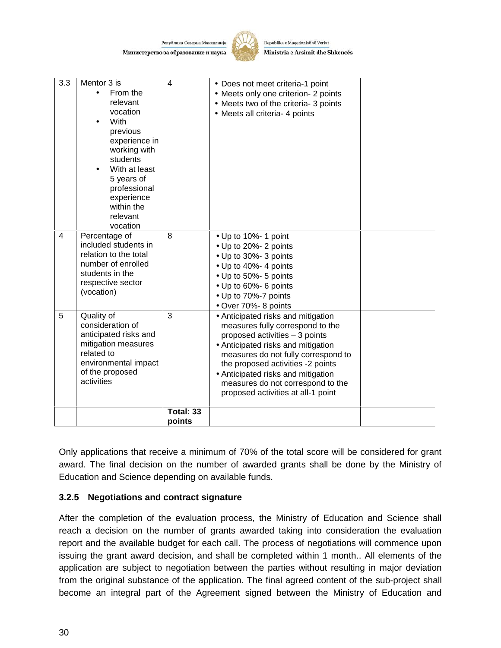

Republika e Maqedonisë së Veriut Ministria e Arsimit dhe Shkencës

| 3.3            | Mentor 3 is<br>From the<br>$\bullet$<br>relevant<br>vocation<br>With<br>previous<br>experience in<br>working with<br>students<br>With at least<br>5 years of | $\overline{4}$      | • Does not meet criteria-1 point<br>• Meets only one criterion- 2 points<br>• Meets two of the criteria- 3 points<br>• Meets all criteria- 4 points                                                                                                                                                                                         |  |
|----------------|--------------------------------------------------------------------------------------------------------------------------------------------------------------|---------------------|---------------------------------------------------------------------------------------------------------------------------------------------------------------------------------------------------------------------------------------------------------------------------------------------------------------------------------------------|--|
|                | professional<br>experience<br>within the<br>relevant<br>vocation                                                                                             |                     |                                                                                                                                                                                                                                                                                                                                             |  |
| $\overline{4}$ | Percentage of<br>included students in<br>relation to the total<br>number of enrolled<br>students in the<br>respective sector<br>(vocation)                   | 8                   | • Up to 10%- 1 point<br>• Up to 20%- 2 points<br>• Up to 30%- 3 points<br>• Up to 40%- 4 points<br>• Up to 50%- 5 points<br>• Up to 60%- 6 points<br>• Up to 70%-7 points<br>· Over 70%- 8 points                                                                                                                                           |  |
| 5              | Quality of<br>consideration of<br>anticipated risks and<br>mitigation measures<br>related to<br>environmental impact<br>of the proposed<br>activities        | 3                   | • Anticipated risks and mitigation<br>measures fully correspond to the<br>proposed activities - 3 points<br>• Anticipated risks and mitigation<br>measures do not fully correspond to<br>the proposed activities -2 points<br>• Anticipated risks and mitigation<br>measures do not correspond to the<br>proposed activities at all-1 point |  |
|                |                                                                                                                                                              | Total: 33<br>points |                                                                                                                                                                                                                                                                                                                                             |  |

Only applications that receive a minimum of 70% of the total score will be considered for grant award. The final decision on the number of awarded grants shall be done by the Ministry of Education and Science depending on available funds.

#### **3.2.5 Negotiations and contract signature**

After the completion of the evaluation process, the Ministry of Education and Science shall reach a decision on the number of grants awarded taking into consideration the evaluation report and the available budget for each call. The process of negotiations will commence upon issuing the grant award decision, and shall be completed within 1 month.. All elements of the application are subject to negotiation between the parties without resulting in major deviation from the original substance of the application. The final agreed content of the sub-project shall become an integral part of the Agreement signed between the Ministry of Education and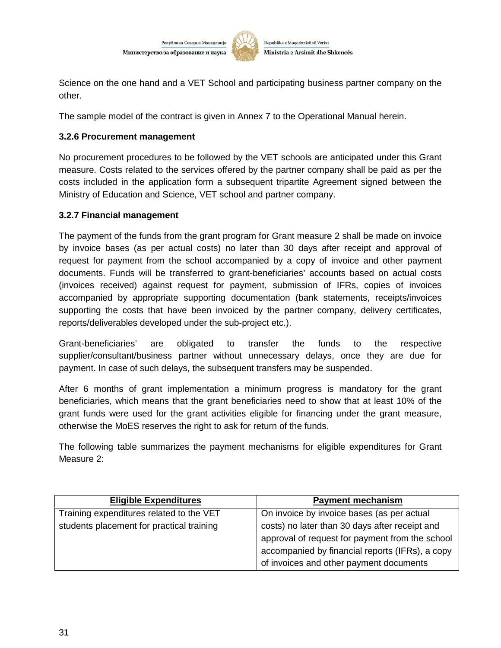

Science on the one hand and a VET School and participating business partner company on the other.

The sample model of the contract is given in Annex 7 to the Operational Manual herein.

#### **3.2.6 Procurement management**

No procurement procedures to be followed by the VET schools are anticipated under this Grant measure. Costs related to the services offered by the partner company shall be paid as per the costs included in the application form a subsequent tripartite Agreement signed between the Ministry of Education and Science, VET school and partner company.

#### **3.2.7 Financial management**

The payment of the funds from the grant program for Grant measure 2 shall be made on invoice by invoice bases (as per actual costs) no later than 30 days after receipt and approval of request for payment from the school accompanied by a copy of invoice and other payment documents. Funds will be transferred to grant-beneficiaries' accounts based on actual costs (invoices received) against request for payment, submission of IFRs, copies of invoices accompanied by appropriate supporting documentation (bank statements, receipts/invoices supporting the costs that have been invoiced by the partner company, delivery certificates, reports/deliverables developed under the sub-project etc.).

Grant-beneficiaries' are obligated to transfer the funds to the respective supplier/consultant/business partner without unnecessary delays, once they are due for payment. In case of such delays, the subsequent transfers may be suspended.

After 6 months of grant implementation a minimum progress is mandatory for the grant beneficiaries, which means that the grant beneficiaries need to show that at least 10% of the grant funds were used for the grant activities eligible for financing under the grant measure, otherwise the MoES reserves the right to ask for return of the funds.

The following table summarizes the payment mechanisms for eligible expenditures for Grant Measure 2:

| <b>Eligible Expenditures</b>              | <b>Payment mechanism</b>                        |
|-------------------------------------------|-------------------------------------------------|
| Training expenditures related to the VET  | On invoice by invoice bases (as per actual      |
| students placement for practical training | costs) no later than 30 days after receipt and  |
|                                           | approval of request for payment from the school |
|                                           | accompanied by financial reports (IFRs), a copy |
|                                           | of invoices and other payment documents         |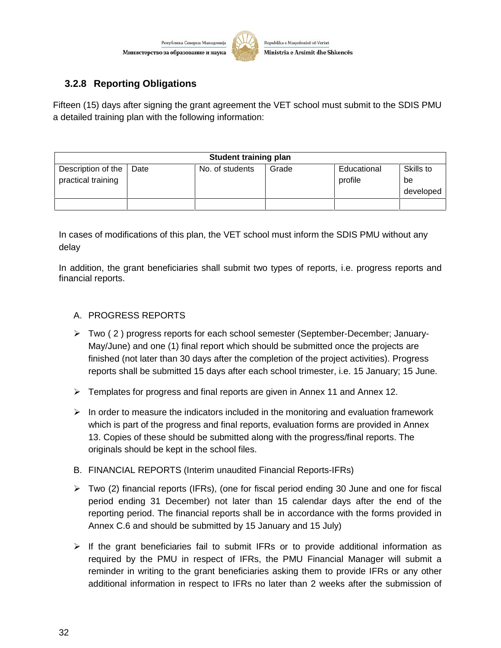

# **3.2.8 Reporting Obligations**

Fifteen (15) days after signing the grant agreement the VET school must submit to the SDIS PMU a detailed training plan with the following information:

| <b>Student training plan</b>             |      |                 |       |                        |                              |
|------------------------------------------|------|-----------------|-------|------------------------|------------------------------|
| Description of the<br>practical training | Date | No. of students | Grade | Educational<br>profile | Skills to<br>be<br>developed |
|                                          |      |                 |       |                        |                              |

In cases of modifications of this plan, the VET school must inform the SDIS PMU without any delay

In addition, the grant beneficiaries shall submit two types of reports, i.e. progress reports and financial reports.

#### A. PROGRESS REPORTS

- $\triangleright$  Two (2) progress reports for each school semester (September-December; January-May/June) and one (1) final report which should be submitted once the projects are finished (not later than 30 days after the completion of the project activities). Progress reports shall be submitted 15 days after each school trimester, i.e. 15 January; 15 June.
- $\triangleright$  Templates for progress and final reports are given in Annex 11 and Annex 12.
- $\triangleright$  In order to measure the indicators included in the monitoring and evaluation framework which is part of the progress and final reports, evaluation forms are provided in Annex 13. Copies of these should be submitted along with the progress/final reports. The originals should be kept in the school files.
- B. FINANCIAL REPORTS (Interim unaudited Financial Reports-IFRs)
- $\triangleright$  Two (2) financial reports (IFRs), (one for fiscal period ending 30 June and one for fiscal period ending 31 December) not later than 15 calendar days after the end of the reporting period. The financial reports shall be in accordance with the forms provided in Annex C.6 and should be submitted by 15 January and 15 July)
- $\triangleright$  If the grant beneficiaries fail to submit IFRs or to provide additional information as required by the PMU in respect of IFRs, the PMU Financial Manager will submit a reminder in writing to the grant beneficiaries asking them to provide IFRs or any other additional information in respect to IFRs no later than 2 weeks after the submission of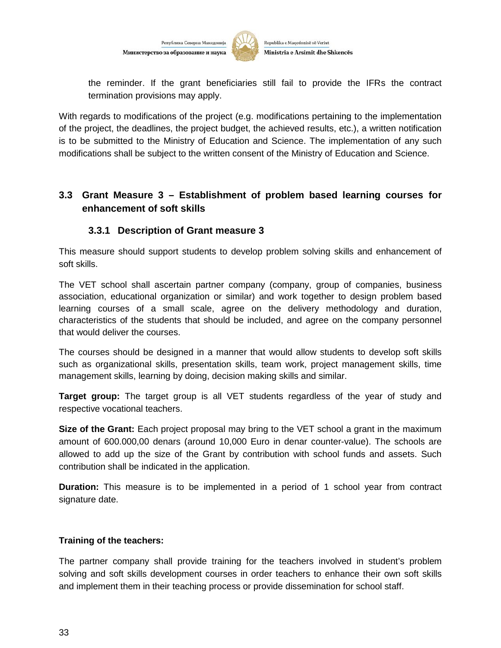

the reminder. If the grant beneficiaries still fail to provide the IFRs the contract termination provisions may apply.

With regards to modifications of the project (e.g. modifications pertaining to the implementation of the project, the deadlines, the project budget, the achieved results, etc.), a written notification is to be submitted to the Ministry of Education and Science. The implementation of any such modifications shall be subject to the written consent of the Ministry of Education and Science.

# **3.3 Grant Measure 3 – Establishment of problem based learning courses for enhancement of soft skills**

### **3.3.1 Description of Grant measure 3**

This measure should support students to develop problem solving skills and enhancement of soft skills.

The VET school shall ascertain partner company (company, group of companies, business association, educational organization or similar) and work together to design problem based learning courses of a small scale, agree on the delivery methodology and duration, characteristics of the students that should be included, and agree on the company personnel that would deliver the courses.

The courses should be designed in a manner that would allow students to develop soft skills such as organizational skills, presentation skills, team work, project management skills, time management skills, learning by doing, decision making skills and similar.

**Target group:** The target group is all VET students regardless of the year of study and respective vocational teachers.

**Size of the Grant:** Each project proposal may bring to the VET school a grant in the maximum amount of 600.000,00 denars (around 10,000 Euro in denar counter-value). The schools are allowed to add up the size of the Grant by contribution with school funds and assets. Such contribution shall be indicated in the application.

**Duration:** This measure is to be implemented in a period of 1 school year from contract signature date.

#### **Training of the teachers:**

The partner company shall provide training for the teachers involved in student's problem solving and soft skills development courses in order teachers to enhance their own soft skills and implement them in their teaching process or provide dissemination for school staff.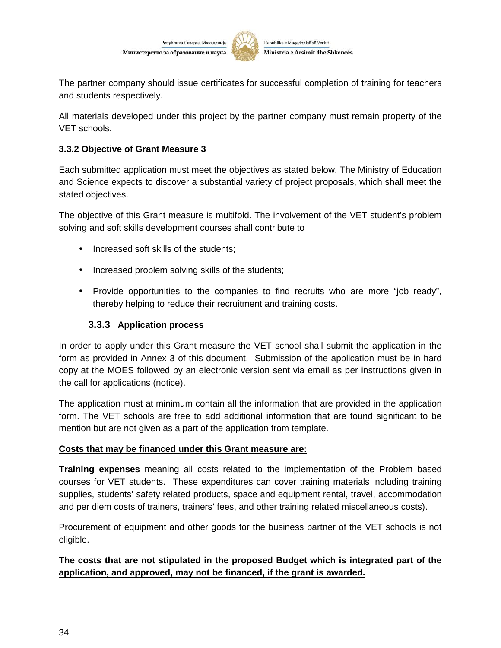

The partner company should issue certificates for successful completion of training for teachers and students respectively.

All materials developed under this project by the partner company must remain property of the VET schools.

#### **3.3.2 Objective of Grant Measure 3**

Each submitted application must meet the objectives as stated below. The Ministry of Education and Science expects to discover a substantial variety of project proposals, which shall meet the stated objectives.

The objective of this Grant measure is multifold. The involvement of the VET student's problem solving and soft skills development courses shall contribute to

- Increased soft skills of the students;
- Increased problem solving skills of the students;
- Provide opportunities to the companies to find recruits who are more "job ready", thereby helping to reduce their recruitment and training costs.

#### **3.3.3 Application process**

In order to apply under this Grant measure the VET school shall submit the application in the form as provided in Annex 3 of this document. Submission of the application must be in hard copy at the MOES followed by an electronic version sent via email as per instructions given in the call for applications (notice).

The application must at minimum contain all the information that are provided in the application form. The VET schools are free to add additional information that are found significant to be mention but are not given as a part of the application from template.

#### **Costs that may be financed under this Grant measure are:**

**Training expenses** meaning all costs related to the implementation of the Problem based courses for VET students. These expenditures can cover training materials including training supplies, students' safety related products, space and equipment rental, travel, accommodation and per diem costs of trainers, trainers' fees, and other training related miscellaneous costs).

Procurement of equipment and other goods for the business partner of the VET schools is not eligible.

#### **The costs that are not stipulated in the proposed Budget which is integrated part of the application, and approved, may not be financed, if the grant is awarded.**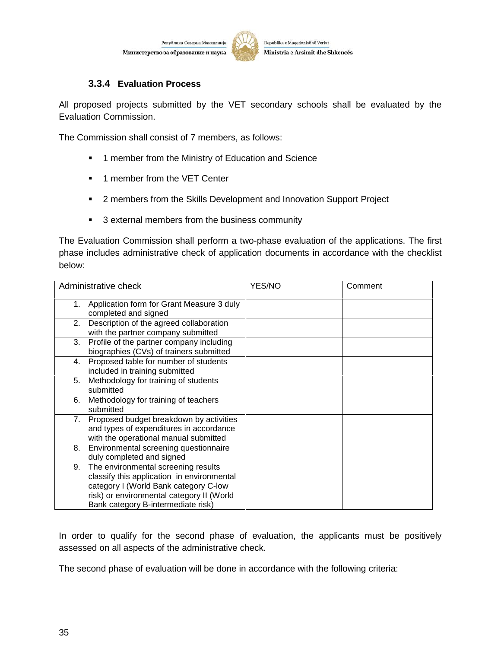

Republika e Maqedonisë së Veriut Ministria e Arsimit dhe Shkencës

#### **3.3.4 Evaluation Process**

All proposed projects submitted by the VET secondary schools shall be evaluated by the Evaluation Commission.

The Commission shall consist of 7 members, as follows:

- **1** member from the Ministry of Education and Science
- **1** member from the VET Center
- **2** members from the Skills Development and Innovation Support Project
- **3** external members from the business community

The Evaluation Commission shall perform a two-phase evaluation of the applications. The first phase includes administrative check of application documents in accordance with the checklist below:

|    | Administrative check                                                                                                                                                                                          | YES/NO | Comment |
|----|---------------------------------------------------------------------------------------------------------------------------------------------------------------------------------------------------------------|--------|---------|
| 1. | Application form for Grant Measure 3 duly<br>completed and signed                                                                                                                                             |        |         |
| 2. | Description of the agreed collaboration<br>with the partner company submitted                                                                                                                                 |        |         |
| 3. | Profile of the partner company including<br>biographies (CVs) of trainers submitted                                                                                                                           |        |         |
| 4. | Proposed table for number of students<br>included in training submitted                                                                                                                                       |        |         |
| 5. | Methodology for training of students<br>submitted                                                                                                                                                             |        |         |
| 6. | Methodology for training of teachers<br>submitted                                                                                                                                                             |        |         |
| 7. | Proposed budget breakdown by activities<br>and types of expenditures in accordance<br>with the operational manual submitted                                                                                   |        |         |
| 8. | Environmental screening questionnaire<br>duly completed and signed                                                                                                                                            |        |         |
| 9. | The environmental screening results<br>classify this application in environmental<br>category I (World Bank category C-low<br>risk) or environmental category II (World<br>Bank category B-intermediate risk) |        |         |

In order to qualify for the second phase of evaluation, the applicants must be positively assessed on all aspects of the administrative check.

The second phase of evaluation will be done in accordance with the following criteria: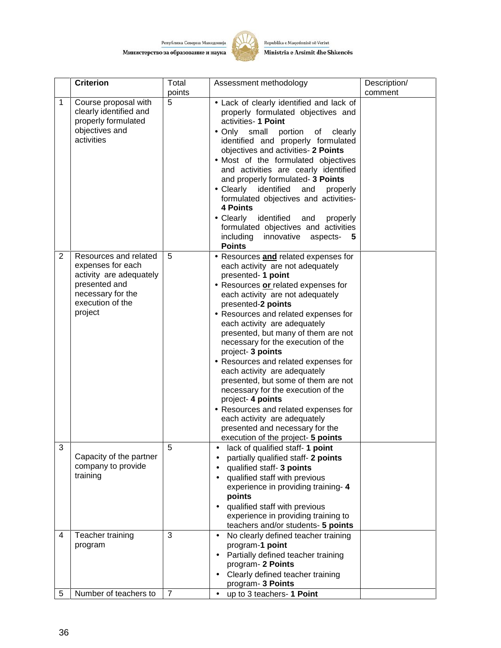

Republika e Maqedonisë së Veriut Ministria e Arsimit dhe Shkencës

|                | <b>Criterion</b>                                                                                                                           | Total          | Assessment methodology                                                                                                                                                                                                                                                                                                                                                                                                                                                                                                                                                                                                                                                                               | Description/ |
|----------------|--------------------------------------------------------------------------------------------------------------------------------------------|----------------|------------------------------------------------------------------------------------------------------------------------------------------------------------------------------------------------------------------------------------------------------------------------------------------------------------------------------------------------------------------------------------------------------------------------------------------------------------------------------------------------------------------------------------------------------------------------------------------------------------------------------------------------------------------------------------------------------|--------------|
| $\mathbf{1}$   | Course proposal with<br>clearly identified and<br>properly formulated<br>objectives and<br>activities                                      | points<br>5    | • Lack of clearly identified and lack of<br>properly formulated objectives and<br>activities- 1 Point<br>• Only small<br>portion<br>of<br>clearly<br>identified and properly formulated<br>objectives and activities- 2 Points<br>• Most of the formulated objectives<br>and activities are cearly identified<br>and properly formulated- 3 Points<br>• Clearly identified<br>and<br>properly<br>formulated objectives and activities-<br>4 Points<br>• Clearly<br>identified<br>and<br>properly<br>formulated objectives and activities<br>including innovative aspects- 5<br><b>Points</b>                                                                                                         | comment      |
| $\overline{2}$ | Resources and related<br>expenses for each<br>activity are adequately<br>presented and<br>necessary for the<br>execution of the<br>project | 5              | • Resources and related expenses for<br>each activity are not adequately<br>presented- 1 point<br>• Resources or related expenses for<br>each activity are not adequately<br>presented-2 points<br>• Resources and related expenses for<br>each activity are adequately<br>presented, but many of them are not<br>necessary for the execution of the<br>project- 3 points<br>• Resources and related expenses for<br>each activity are adequately<br>presented, but some of them are not<br>necessary for the execution of the<br>project- 4 points<br>• Resources and related expenses for<br>each activity are adequately<br>presented and necessary for the<br>execution of the project- 5 points |              |
| 3              | Capacity of the partner<br>company to provide<br>training                                                                                  | 5              | lack of qualified staff- 1 point<br>partially qualified staff- 2 points<br>qualified staff- 3 points<br>qualified staff with previous<br>experience in providing training-4<br>points<br>qualified staff with previous<br>experience in providing training to<br>teachers and/or students- 5 points                                                                                                                                                                                                                                                                                                                                                                                                  |              |
| 4              | Teacher training<br>program                                                                                                                | 3              | No clearly defined teacher training<br>$\bullet$<br>program-1 point<br>Partially defined teacher training<br>program- 2 Points<br>Clearly defined teacher training<br>program- 3 Points                                                                                                                                                                                                                                                                                                                                                                                                                                                                                                              |              |
| 5              | Number of teachers to                                                                                                                      | $\overline{7}$ | up to 3 teachers- 1 Point<br>$\bullet$                                                                                                                                                                                                                                                                                                                                                                                                                                                                                                                                                                                                                                                               |              |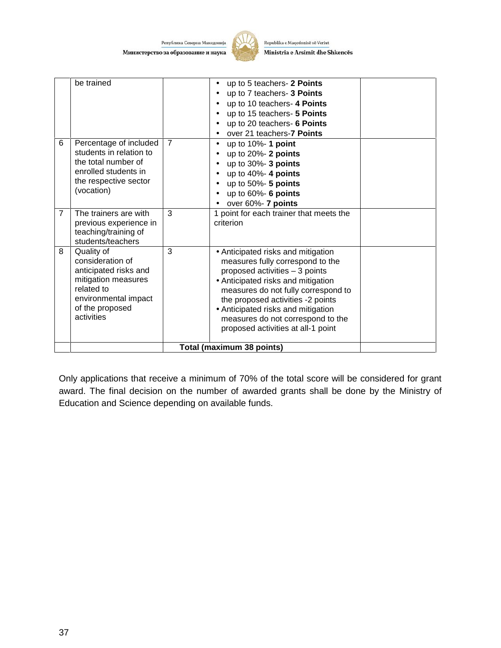Република Северна Македониј Министерство за образование и наука



Republika e Maqedonisë së Veriut Ministria e Arsimit dhe Shkencës

|                | be trained                                                                                                                                            |                | up to 5 teachers- 2 Points<br>up to 7 teachers- 3 Points<br>up to 10 teachers- 4 Points<br>up to 15 teachers- 5 Points<br>up to 20 teachers- 6 Points<br>over 21 teachers-7 Points                                                                                                                                                          |  |
|----------------|-------------------------------------------------------------------------------------------------------------------------------------------------------|----------------|---------------------------------------------------------------------------------------------------------------------------------------------------------------------------------------------------------------------------------------------------------------------------------------------------------------------------------------------|--|
| 6              | Percentage of included<br>students in relation to<br>the total number of<br>enrolled students in<br>the respective sector<br>(vocation)               | $\overline{7}$ | up to 10%- 1 point<br>$\bullet$<br>up to $20\%$ - 2 points<br>up to $30\%$ - 3 points<br>up to $40\%$ - 4 points<br>up to $50\%$ - 5 points<br>up to $60\%$ - 6 points<br>over 60%- 7 points                                                                                                                                                |  |
| $\overline{7}$ | The trainers are with<br>previous experience in<br>teaching/training of<br>students/teachers                                                          | 3              | 1 point for each trainer that meets the<br>criterion                                                                                                                                                                                                                                                                                        |  |
| 8              | Quality of<br>consideration of<br>anticipated risks and<br>mitigation measures<br>related to<br>environmental impact<br>of the proposed<br>activities | 3              | • Anticipated risks and mitigation<br>measures fully correspond to the<br>proposed activities - 3 points<br>• Anticipated risks and mitigation<br>measures do not fully correspond to<br>the proposed activities -2 points<br>• Anticipated risks and mitigation<br>measures do not correspond to the<br>proposed activities at all-1 point |  |
|                |                                                                                                                                                       |                | Total (maximum 38 points)                                                                                                                                                                                                                                                                                                                   |  |

Only applications that receive a minimum of 70% of the total score will be considered for grant award. The final decision on the number of awarded grants shall be done by the Ministry of Education and Science depending on available funds.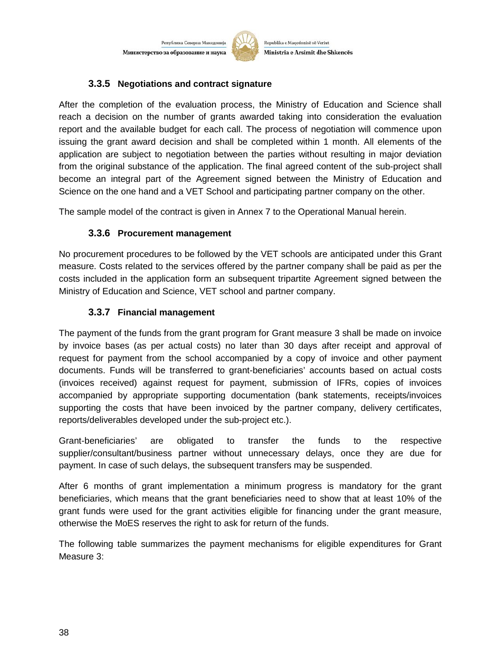Република Северна Македонија Министерство за образование и наука



Republika e Maqedonisë së Veriut Ministria e Arsimit dhe Shkencës

#### **3.3.5 Negotiations and contract signature**

After the completion of the evaluation process, the Ministry of Education and Science shall reach a decision on the number of grants awarded taking into consideration the evaluation report and the available budget for each call. The process of negotiation will commence upon issuing the grant award decision and shall be completed within 1 month. All elements of the application are subject to negotiation between the parties without resulting in major deviation from the original substance of the application. The final agreed content of the sub-project shall become an integral part of the Agreement signed between the Ministry of Education and Science on the one hand and a VET School and participating partner company on the other.

The sample model of the contract is given in Annex 7 to the Operational Manual herein.

#### **3.3.6 Procurement management**

No procurement procedures to be followed by the VET schools are anticipated under this Grant measure. Costs related to the services offered by the partner company shall be paid as per the costs included in the application form an subsequent tripartite Agreement signed between the Ministry of Education and Science, VET school and partner company.

#### **3.3.7 Financial management**

The payment of the funds from the grant program for Grant measure 3 shall be made on invoice by invoice bases (as per actual costs) no later than 30 days after receipt and approval of request for payment from the school accompanied by a copy of invoice and other payment documents. Funds will be transferred to grant-beneficiaries' accounts based on actual costs (invoices received) against request for payment, submission of IFRs, copies of invoices accompanied by appropriate supporting documentation (bank statements, receipts/invoices supporting the costs that have been invoiced by the partner company, delivery certificates, reports/deliverables developed under the sub-project etc.).

Grant-beneficiaries' are obligated to transfer the funds to the respective supplier/consultant/business partner without unnecessary delays, once they are due for payment. In case of such delays, the subsequent transfers may be suspended.

After 6 months of grant implementation a minimum progress is mandatory for the grant beneficiaries, which means that the grant beneficiaries need to show that at least 10% of the grant funds were used for the grant activities eligible for financing under the grant measure, otherwise the MoES reserves the right to ask for return of the funds.

The following table summarizes the payment mechanisms for eligible expenditures for Grant Measure 3: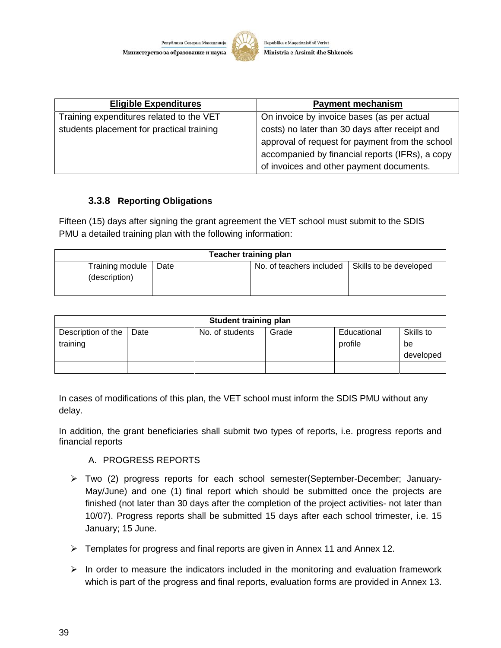

| <b>Eligible Expenditures</b>              | <b>Payment mechanism</b>                                                                                                                                                                         |
|-------------------------------------------|--------------------------------------------------------------------------------------------------------------------------------------------------------------------------------------------------|
| Training expenditures related to the VET  | On invoice by invoice bases (as per actual                                                                                                                                                       |
| students placement for practical training | costs) no later than 30 days after receipt and<br>approval of request for payment from the school<br>accompanied by financial reports (IFRs), a copy<br>of invoices and other payment documents. |

#### **3.3.8 Reporting Obligations**

Fifteen (15) days after signing the grant agreement the VET school must submit to the SDIS PMU a detailed training plan with the following information:

| <b>Teacher training plan</b>     |      |                          |                        |  |
|----------------------------------|------|--------------------------|------------------------|--|
| Training module<br>(description) | Date | No. of teachers included | Skills to be developed |  |
|                                  |      |                          |                        |  |

| <b>Student training plan</b>   |      |                 |       |                        |                              |
|--------------------------------|------|-----------------|-------|------------------------|------------------------------|
| Description of the<br>training | Date | No. of students | Grade | Educational<br>profile | Skills to<br>be<br>developed |
|                                |      |                 |       |                        |                              |

In cases of modifications of this plan, the VET school must inform the SDIS PMU without any delay.

In addition, the grant beneficiaries shall submit two types of reports, i.e. progress reports and financial reports

#### A. PROGRESS REPORTS

- Two (2) progress reports for each school semester(September-December; January- May/June) and one (1) final report which should be submitted once the projects are finished (not later than 30 days after the completion of the project activities- not later than 10/07). Progress reports shall be submitted 15 days after each school trimester, i.e. 15 January; 15 June.
- Templates for progress and final reports are given in Annex 11 and Annex 12.
- $\triangleright$  In order to measure the indicators included in the monitoring and evaluation framework which is part of the progress and final reports, evaluation forms are provided in Annex 13.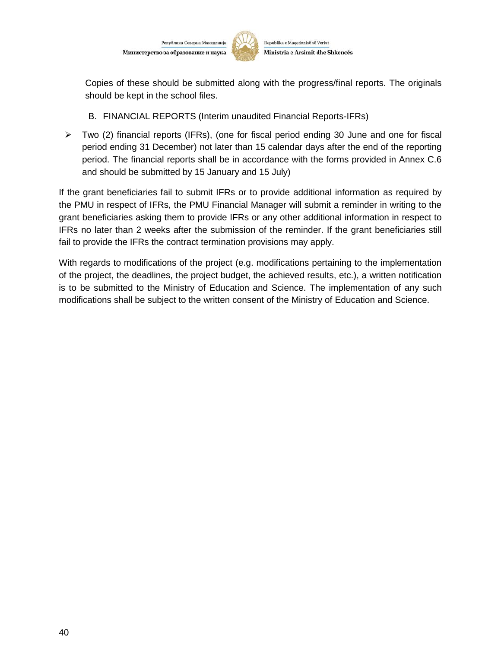

Copies of these should be submitted along with the progress/final reports. The originals should be kept in the school files.

- B. FINANCIAL REPORTS (Interim unaudited Financial Reports-IFRs)
- $\triangleright$  Two (2) financial reports (IFRs), (one for fiscal period ending 30 June and one for fiscal period ending 31 December) not later than 15 calendar days after the end of the reporting period. The financial reports shall be in accordance with the forms provided in Annex C.6 and should be submitted by 15 January and 15 July)

If the grant beneficiaries fail to submit IFRs or to provide additional information as required by the PMU in respect of IFRs, the PMU Financial Manager will submit a reminder in writing to the grant beneficiaries asking them to provide IFRs or any other additional information in respect to IFRs no later than 2 weeks after the submission of the reminder. If the grant beneficiaries still fail to provide the IFRs the contract termination provisions may apply.

With regards to modifications of the project (e.g. modifications pertaining to the implementation of the project, the deadlines, the project budget, the achieved results, etc.), a written notification is to be submitted to the Ministry of Education and Science. The implementation of any such modifications shall be subject to the written consent of the Ministry of Education and Science.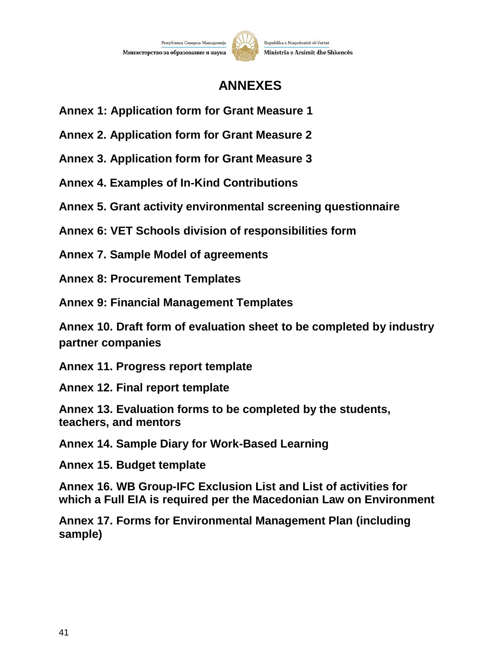

# **ANNEXES**

- **Annex 1: Application form for Grant Measure 1**
- **Annex 2. Application form for Grant Measure 2**

**Annex 3. Application form for Grant Measure 3**

**Annex 4. Examples of In-Kind Contributions**

**Annex 5. Grant activity environmental screening questionnaire**

**Annex 6: VET Schools division of responsibilities form**

**Annex 7. Sample Model of agreements**

**Annex 8: Procurement Templates**

**Annex 9: Financial Management Templates**

**Annex 10. Draft form of evaluation sheet to be completed by industry partner companies**

**Annex 11. Progress report template**

**Annex 12. Final report template**

**Annex 13. Evaluation forms to be completed by the students, teachers, and mentors**

**Annex 14. Sample Diary for Work-Based Learning**

**Annex 15. Budget template**

**Annex 16. WB Group-IFC Exclusion List and List of activities for which a Full EIA is required per the Macedonian Law on Environment**

**Annex 17. Forms for Environmental Management Plan (including sample)**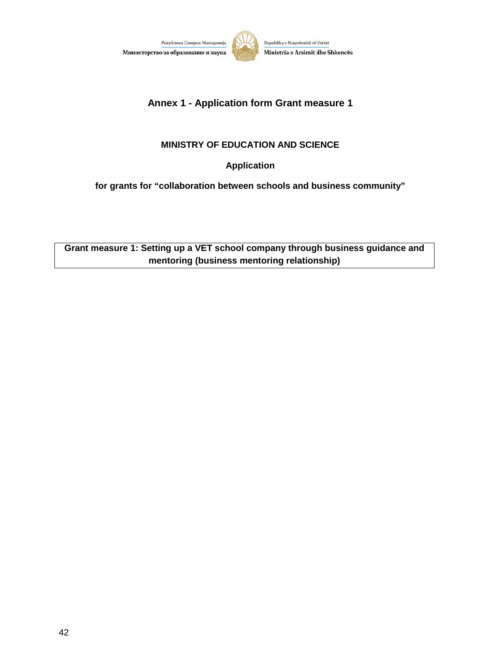



## **Annex 1 - Application form Grant measure 1**

#### **MINISTRY OF EDUCATION AND SCIENCE**

**Application**

**for grants for "collaboration between schools and business community"**

**Grant measure 1: Setting up a VET school company through business guidance and mentoring (business mentoring relationship)**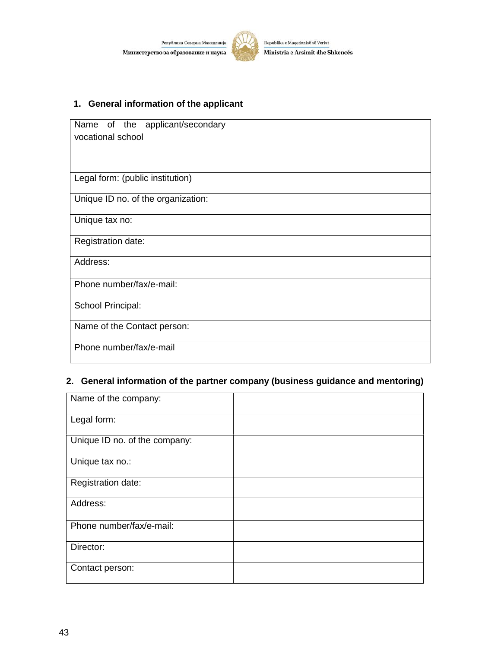

#### **1. General information of the applicant**

| Name of the applicant/secondary<br>vocational school |  |
|------------------------------------------------------|--|
| Legal form: (public institution)                     |  |
| Unique ID no. of the organization:                   |  |
| Unique tax no:                                       |  |
| Registration date:                                   |  |
| Address:                                             |  |
| Phone number/fax/e-mail:                             |  |
| School Principal:                                    |  |
| Name of the Contact person:                          |  |
| Phone number/fax/e-mail                              |  |

## **2. General information of the partner company (business guidance and mentoring)**

| Name of the company:          |  |
|-------------------------------|--|
| Legal form:                   |  |
| Unique ID no. of the company: |  |
| Unique tax no.:               |  |
| Registration date:            |  |
| Address:                      |  |
| Phone number/fax/e-mail:      |  |
| Director:                     |  |
| Contact person:               |  |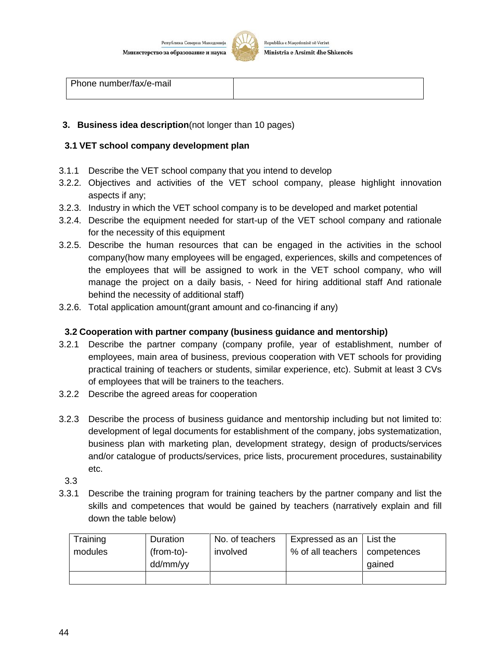

#### **3. Business idea description**(not longer than 10 pages)

#### **3.1 VET school company development plan**

- 3.1.1 Describe the VET school company that you intend to develop
- 3.2.2. Objectives and activities of the VET school company, please highlight innovation aspects if any;
- 3.2.3. Industry in which the VET school company is to be developed and market potential
- 3.2.4. Describe the equipment needed for start-up of the VET school company and rationale for the necessity of this equipment
- 3.2.5. Describe the human resources that can be engaged in the activities in the school company(how many employees will be engaged, experiences, skills and competences of the employees that will be assigned to work in the VET school company, who will manage the project on a daily basis, - Need for hiring additional staff And rationale behind the necessity of additional staff)
- 3.2.6. Total application amount(grant amount and co-financing if any)

#### **3.2 Cooperation with partner company (business guidance and mentorship)**

- 3.2.1 Describe the partner company (company profile, year of establishment, number of employees, main area of business, previous cooperation with VET schools for providing practical training of teachers or students, similar experience, etc). Submit at least 3 CVs of employees that will be trainers to the teachers.
- 3.2.2 Describe the agreed areas for cooperation
- 3.2.3 Describe the process of business guidance and mentorship including but not limited to: development of legal documents for establishment of the company, jobs systematization, business plan with marketing plan, development strategy, design of products/services and/or catalogue of products/services, price lists, procurement procedures, sustainability etc.
	- 3.3
- 3.3.1 Describe the training program for training teachers by the partner company and list the skills and competences that would be gained by teachers (narratively explain and fill down the table below)

| Training<br>modules | Duration<br>(from-to)- | No. of teachers<br>involved | Expressed as an $\vert$ List the<br>% of all teachers   competences |        |
|---------------------|------------------------|-----------------------------|---------------------------------------------------------------------|--------|
|                     | dd/mm/yy               |                             |                                                                     | gained |
|                     |                        |                             |                                                                     |        |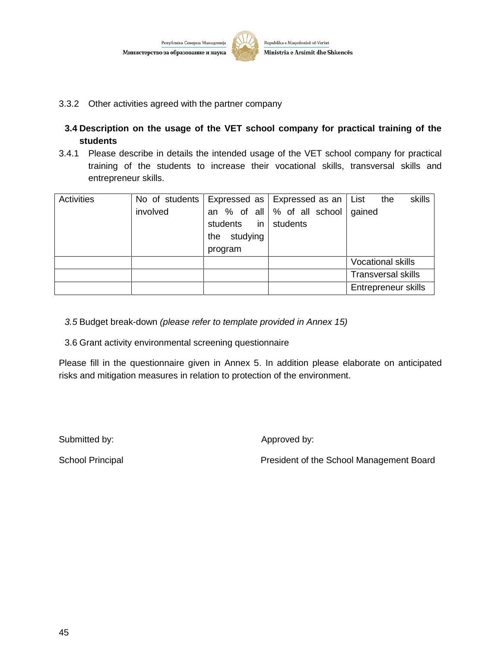

- 3.3.2 Other activities agreed with the partner company
- **3.4 Description on the usage of the VET school company for practical training of the students**
- 3.4.1 Please describe in details the intended usage of the VET school company for practical training of the students to increase their vocational skills, transversal skills and entrepreneur skills.

| <b>Activities</b> | No of students<br>involved | students in students    | Expressed as Expressed as an   List<br>an % of all $\%$ of all school gained | skills<br>the             |
|-------------------|----------------------------|-------------------------|------------------------------------------------------------------------------|---------------------------|
|                   |                            | the studying<br>program |                                                                              |                           |
|                   |                            |                         |                                                                              | <b>Vocational skills</b>  |
|                   |                            |                         |                                                                              | <b>Transversal skills</b> |
|                   |                            |                         |                                                                              | Entrepreneur skills       |

*3.5* Budget break-down *(please refer to template provided in Annex 15)*

3.6 Grant activity environmental screening questionnaire

Please fill in the questionnaire given in Annex 5. In addition please elaborate on anticipated risks and mitigation measures in relation to protection of the environment.

Submitted by:  $\qquad \qquad \qquad$  Approved by:

School Principal **Principal** President of the School Management Board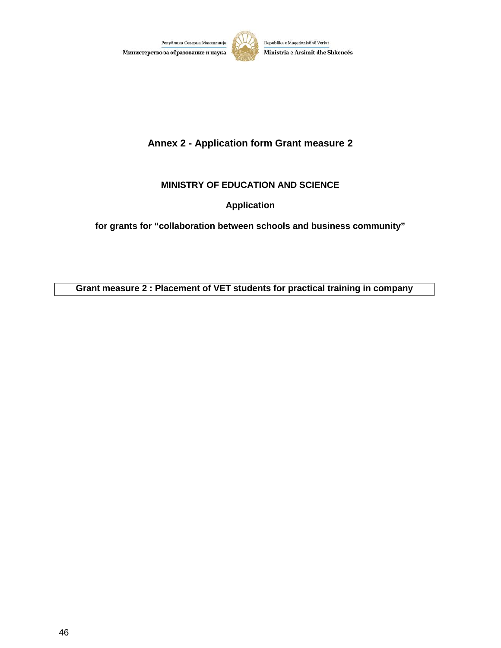



# **Annex 2 - Application form Grant measure 2**

#### **MINISTRY OF EDUCATION AND SCIENCE**

**Application**

**for grants for "collaboration between schools and business community"**

**Grant measure 2 : Placement of VET students for practical training in company**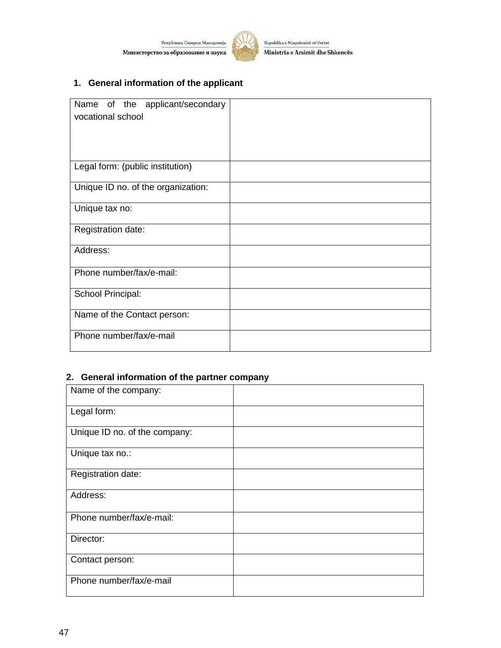Република Северна Македонија Министерство за образование и наука



Republika e Maqedonisë së Veriut Ministria e Arsimit dhe Shkencës

# **1. General information of the applicant**

| Name of the applicant/secondary<br>vocational school |  |
|------------------------------------------------------|--|
| Legal form: (public institution)                     |  |
| Unique ID no. of the organization:                   |  |
| Unique tax no:                                       |  |
| Registration date:                                   |  |
| Address:                                             |  |
| Phone number/fax/e-mail:                             |  |
| School Principal:                                    |  |
| Name of the Contact person:                          |  |
| Phone number/fax/e-mail                              |  |

#### **2. General information of the partner company**

| Name of the company:          |  |
|-------------------------------|--|
| Legal form:                   |  |
| Unique ID no. of the company: |  |
| Unique tax no.:               |  |
| Registration date:            |  |
| Address:                      |  |
| Phone number/fax/e-mail:      |  |
| Director:                     |  |
| Contact person:               |  |
| Phone number/fax/e-mail       |  |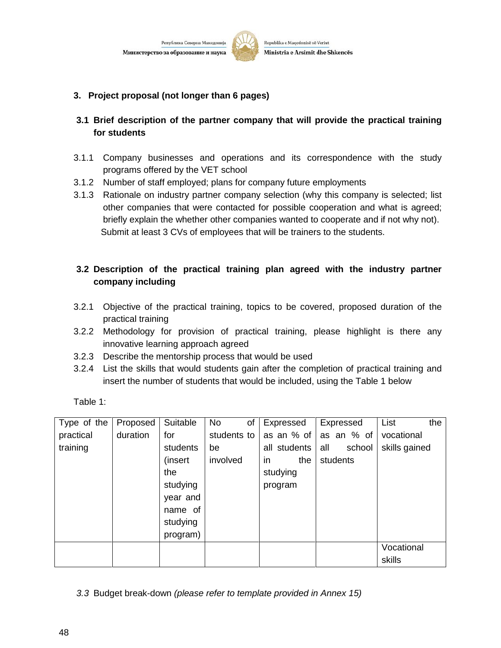Министерство за образование и наука

Република Северна Македони



Republika e Maqedonisë së Veriut Ministria e Arsimit dhe Shkencës

- **3. Project proposal (not longer than 6 pages)**
- **3.1 Brief description of the partner company that will provide the practical training for students**
- 3.1.1 Company businesses and operations and its correspondence with the study programs offered by the VET school
- 3.1.2 Number of staff employed; plans for company future employments
- 3.1.3 Rationale on industry partner company selection (why this company is selected; list other companies that were contacted for possible cooperation and what is agreed; briefly explain the whether other companies wanted to cooperate and if not why not). Submit at least 3 CVs of employees that will be trainers to the students.

#### **3.2 Description of the practical training plan agreed with the industry partner company including**

- 3.2.1 Objective of the practical training, topics to be covered, proposed duration of the practical training
- 3.2.2 Methodology for provision of practical training, please highlight is there any innovative learning approach agreed
- 3.2.3 Describe the mentorship process that would be used
- 3.2.4 List the skills that would students gain after the completion of practical training and insert the number of students that would be included, using the Table 1 below

Table 1:

| Type of the | Proposed | Suitable | <b>No</b><br>of | Expressed        | Expressed     | List<br>the   |
|-------------|----------|----------|-----------------|------------------|---------------|---------------|
| practical   | duration | for      | students to     | as an % of       | as an $%$ of  | vocational    |
| training    |          | students | be              | all students     | all<br>school | skills gained |
|             |          | (insert  | involved        | the<br><i>in</i> | students      |               |
|             |          | the      |                 | studying         |               |               |
|             |          | studying |                 | program          |               |               |
|             |          | year and |                 |                  |               |               |
|             |          | name of  |                 |                  |               |               |
|             |          | studying |                 |                  |               |               |
|             |          | program) |                 |                  |               |               |
|             |          |          |                 |                  |               | Vocational    |
|             |          |          |                 |                  |               | skills        |

*3.3* Budget break-down *(please refer to template provided in Annex 15)*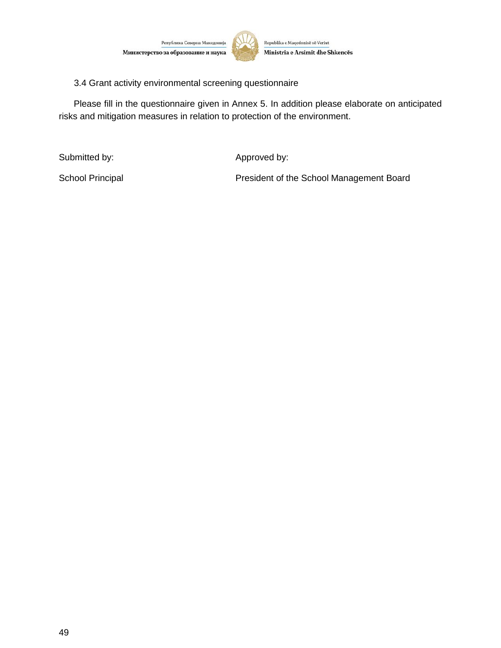



3.4 Grant activity environmental screening questionnaire

Please fill in the questionnaire given in Annex 5. In addition please elaborate on anticipated risks and mitigation measures in relation to protection of the environment.

Submitted by:  $\qquad \qquad \qquad$  Approved by:

School Principal **President of the School Management Board**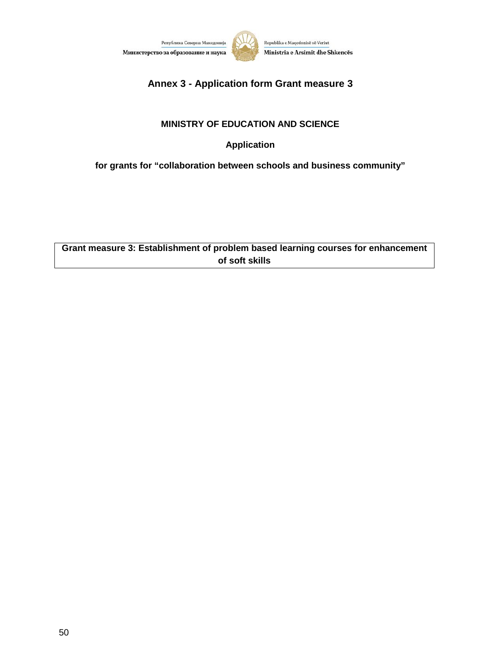



# **Annex 3 - Application form Grant measure 3**

#### **MINISTRY OF EDUCATION AND SCIENCE**

**Application**

**for grants for "collaboration between schools and business community"**

**Grant measure 3: Establishment of problem based learning courses for enhancement of soft skills**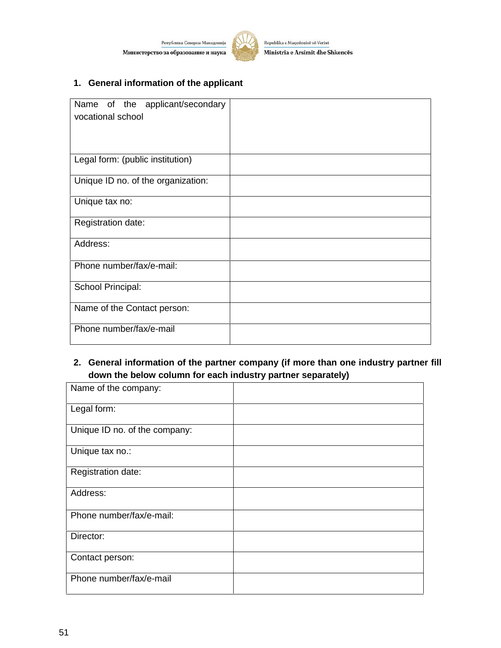Република Северна Македонија Министерство за образование и наука



Republika e Maqedonisë së Veriut Ministria e Arsimit dhe Shkencës

## **1. General information of the applicant**

| Name of the applicant/secondary<br>vocational school |  |
|------------------------------------------------------|--|
| Legal form: (public institution)                     |  |
| Unique ID no. of the organization:                   |  |
| Unique tax no:                                       |  |
| Registration date:                                   |  |
| Address:                                             |  |
| Phone number/fax/e-mail:                             |  |
| School Principal:                                    |  |
| Name of the Contact person:                          |  |
| Phone number/fax/e-mail                              |  |

#### **2. General information of the partner company (if more than one industry partner fill down the below column for each industry partner separately)**

| Name of the company:          |  |
|-------------------------------|--|
| Legal form:                   |  |
| Unique ID no. of the company: |  |
| Unique tax no.:               |  |
| Registration date:            |  |
| Address:                      |  |
| Phone number/fax/e-mail:      |  |
| Director:                     |  |
| Contact person:               |  |
| Phone number/fax/e-mail       |  |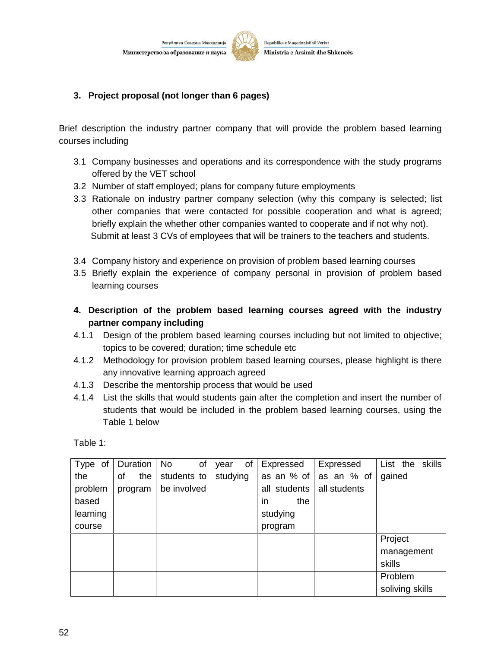Република Северна Македони Министерство за образование и наука



Republika e Maqedonisë së Veriut Ministria e Arsimit dhe Shkencës

#### **3. Project proposal (not longer than 6 pages)**

Brief description the industry partner company that will provide the problem based learning courses including

- 3.1 Company businesses and operations and its correspondence with the study programs offered by the VET school
- 3.2 Number of staff employed; plans for company future employments
- 3.3 Rationale on industry partner company selection (why this company is selected; list other companies that were contacted for possible cooperation and what is agreed; briefly explain the whether other companies wanted to cooperate and if not why not). Submit at least 3 CVs of employees that will be trainers to the teachers and students.
- 3.4 Company history and experience on provision of problem based learning courses
- 3.5 Briefly explain the experience of company personal in provision of problem based learning courses
- **4. Description of the problem based learning courses agreed with the industry partner company including**
- 4.1.1 Design of the problem based learning courses including but not limited to objective; topics to be covered; duration; time schedule etc
- 4.1.2 Methodology for provision problem based learning courses, please highlight is there any innovative learning approach agreed
- 4.1.3 Describe the mentorship process that would be used
- 4.1.4 List the skills that would students gain after the completion and insert the number of students that would be included in the problem based learning courses, using the Table 1 below

Table 1:

| Type of  | Duration  | of<br>No    | of<br>year | Expressed    | Expressed    | List the skills |
|----------|-----------|-------------|------------|--------------|--------------|-----------------|
| the      | the<br>οf | students to | studying   | as an % of   | as an % of   | gained          |
| problem  | program   | be involved |            | all students | all students |                 |
| based    |           |             |            | the<br>in.   |              |                 |
| learning |           |             |            | studying     |              |                 |
| course   |           |             |            | program      |              |                 |
|          |           |             |            |              |              | Project         |
|          |           |             |            |              |              | management      |
|          |           |             |            |              |              | skills          |
|          |           |             |            |              |              | Problem         |
|          |           |             |            |              |              | soliving skills |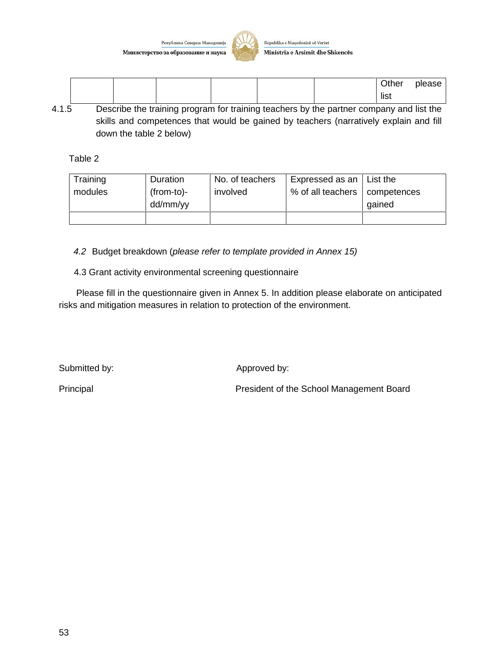Република Северна Македониј Министерство за образование и наука



Republika e Maqedonisë së Veriut Ministria e Arsimit dhe Shkencës

|  |  |  | Other<br>please<br>list |
|--|--|--|-------------------------|
|--|--|--|-------------------------|

4.1.5 Describe the training program for training teachers by the partner company and list the skills and competences that would be gained by teachers (narratively explain and fill down the table 2 below)

Table 2

| Training | Duration     | No. of teachers | Expressed as an   | ∣ List the  |
|----------|--------------|-----------------|-------------------|-------------|
| modules  | $(from-to)-$ | involved        | % of all teachers | competences |
|          | dd/mm/yy     |                 |                   | gained      |
|          |              |                 |                   |             |

*4.2* Budget breakdown (*please refer to template provided in Annex 15)*

4.3 Grant activity environmental screening questionnaire

Please fill in the questionnaire given in Annex 5. In addition please elaborate on anticipated risks and mitigation measures in relation to protection of the environment.

Submitted by:  $\qquad \qquad \text{Approved by:}$ 

Principal Principal President of the School Management Board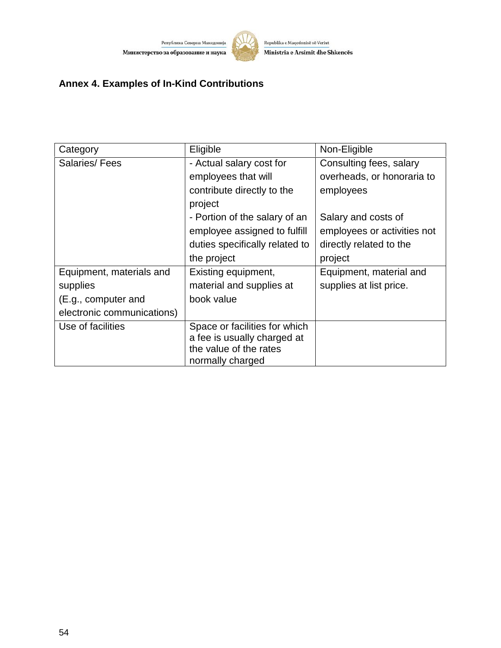



# **Annex 4. Examples of In-Kind Contributions**

| Category                   | Eligible                       | Non-Eligible                |
|----------------------------|--------------------------------|-----------------------------|
| Salaries/Fees              | - Actual salary cost for       | Consulting fees, salary     |
|                            | employees that will            | overheads, or honoraria to  |
|                            | contribute directly to the     | employees                   |
|                            | project                        |                             |
|                            | - Portion of the salary of an  | Salary and costs of         |
|                            | employee assigned to fulfill   | employees or activities not |
|                            | duties specifically related to | directly related to the     |
|                            | the project                    | project                     |
| Equipment, materials and   | Existing equipment,            | Equipment, material and     |
| supplies                   | material and supplies at       | supplies at list price.     |
| (E.g., computer and        | book value                     |                             |
| electronic communications) |                                |                             |
| Use of facilities          | Space or facilities for which  |                             |
|                            | a fee is usually charged at    |                             |
|                            | the value of the rates         |                             |
|                            | normally charged               |                             |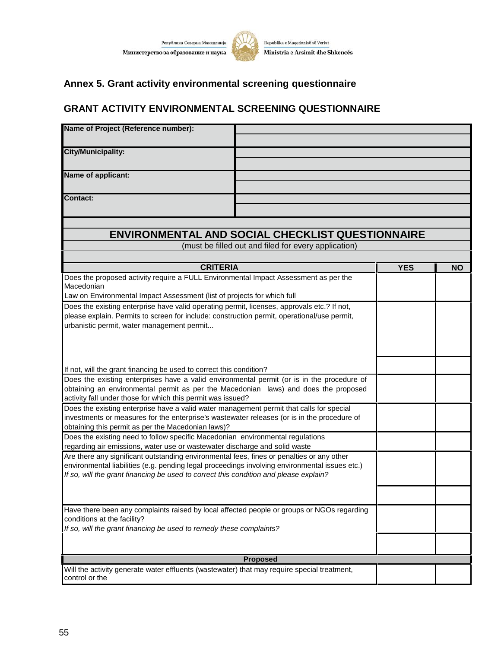

# **Annex 5. Grant activity environmental screening questionnaire**

# **GRANT ACTIVITY ENVIRONMENTAL SCREENING QUESTIONNAIRE**

| Name of Project (Reference number):                                                                                                                                     |                                                      |            |           |
|-------------------------------------------------------------------------------------------------------------------------------------------------------------------------|------------------------------------------------------|------------|-----------|
| <b>City/Municipality:</b>                                                                                                                                               |                                                      |            |           |
| Name of applicant:                                                                                                                                                      |                                                      |            |           |
| <b>Contact:</b>                                                                                                                                                         |                                                      |            |           |
| <b>ENVIRONMENTAL AND SOCIAL CHECKLIST QUESTIONNAIRE</b>                                                                                                                 |                                                      |            |           |
|                                                                                                                                                                         | (must be filled out and filed for every application) |            |           |
| <b>CRITERIA</b>                                                                                                                                                         |                                                      |            |           |
| Does the proposed activity require a FULL Environmental Impact Assessment as per the<br>Macedonian                                                                      |                                                      | <b>YES</b> | <b>NO</b> |
| Law on Environmental Impact Assessment (list of projects for which full                                                                                                 |                                                      |            |           |
| urbanistic permit, water management permit                                                                                                                              |                                                      |            |           |
| If not, will the grant financing be used to correct this condition?                                                                                                     |                                                      |            |           |
| Does the existing enterprises have a valid environmental permit (or is in the procedure of                                                                              |                                                      |            |           |
| obtaining an environmental permit as per the Macedonian laws) and does the proposed                                                                                     |                                                      |            |           |
| activity fall under those for which this permit was issued?<br>Does the existing enterprise have a valid water management permit that calls for special                 |                                                      |            |           |
| investments or measures for the enterprise's wastewater releases (or is in the procedure of                                                                             |                                                      |            |           |
| obtaining this permit as per the Macedonian laws)?                                                                                                                      |                                                      |            |           |
| Does the existing need to follow specific Macedonian environmental regulations                                                                                          |                                                      |            |           |
| regarding air emissions, water use or wastewater discharge and solid waste<br>Are there any significant outstanding environmental fees, fines or penalties or any other |                                                      |            |           |
| environmental liabilities (e.g. pending legal proceedings involving environmental issues etc.)                                                                          |                                                      |            |           |
| If so, will the grant financing be used to correct this condition and please explain?                                                                                   |                                                      |            |           |
|                                                                                                                                                                         |                                                      |            |           |
| Have there been any complaints raised by local affected people or groups or NGOs regarding                                                                              |                                                      |            |           |
| conditions at the facility?<br>If so, will the grant financing be used to remedy these complaints?                                                                      |                                                      |            |           |
|                                                                                                                                                                         |                                                      |            |           |
|                                                                                                                                                                         |                                                      |            |           |
| Will the activity generate water effluents (wastewater) that may require special treatment,                                                                             | <b>Proposed</b>                                      |            |           |
| control or the                                                                                                                                                          |                                                      |            |           |

water management permit?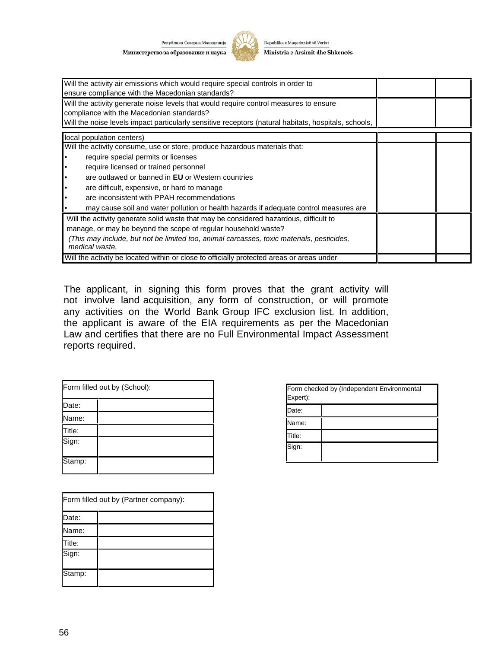Република Северна Македонија Министерство за образование и наука



Republika e Maqedonisë së Veriut Ministria e Arsimit dhe Shkencës

| Will the activity air emissions which would require special controls in order to<br>ensure compliance with the Macedonian standards? |  |  |  |
|--------------------------------------------------------------------------------------------------------------------------------------|--|--|--|
| Will the activity generate noise levels that would require control measures to ensure                                                |  |  |  |
| compliance with the Macedonian standards?                                                                                            |  |  |  |
| Will the noise levels impact particularly sensitive receptors (natural habitats, hospitals, schools,                                 |  |  |  |
| local population centers)                                                                                                            |  |  |  |
| Will the activity consume, use or store, produce hazardous materials that:                                                           |  |  |  |
| require special permits or licenses                                                                                                  |  |  |  |
| require licensed or trained personnel                                                                                                |  |  |  |
| are outlawed or banned in <b>EU</b> or Western countries                                                                             |  |  |  |
| are difficult, expensive, or hard to manage                                                                                          |  |  |  |
| are inconsistent with PPAH recommendations                                                                                           |  |  |  |
| may cause soil and water pollution or health hazards if adequate control measures are                                                |  |  |  |
| Will the activity generate solid waste that may be considered hazardous, difficult to                                                |  |  |  |
| manage, or may be beyond the scope of regular household waste?                                                                       |  |  |  |
| (This may include, but not be limited too, animal carcasses, toxic materials, pesticides,<br>medical waste,                          |  |  |  |
| Will the activity be located within or close to officially protected areas or areas under                                            |  |  |  |

The applicant, in signing this form proves that the grant activity will not involve land acquisition, any form of construction, or will promote any activities on the World Bank Group IFC exclusion list. In addition, the applicant is aware of the EIA requirements as per the Macedonian Law and certifies that there are no Full Environmental Impact Assessment reports required.

| Form filled out by (School): |  |  |
|------------------------------|--|--|
|                              |  |  |
| Date:                        |  |  |
| Name:                        |  |  |
| Title:                       |  |  |
| Sign:                        |  |  |
| Stamp:                       |  |  |

| Form checked by (Independent Environmental<br>Expert): |  |  |
|--------------------------------------------------------|--|--|
| Date:                                                  |  |  |
| Name:                                                  |  |  |
| Title:                                                 |  |  |
| Sign:                                                  |  |  |

| Form filled out by (Partner company): |  |  |
|---------------------------------------|--|--|
| Date:                                 |  |  |
| Name:                                 |  |  |
| Title:                                |  |  |
| Sign:                                 |  |  |
| Stamp:                                |  |  |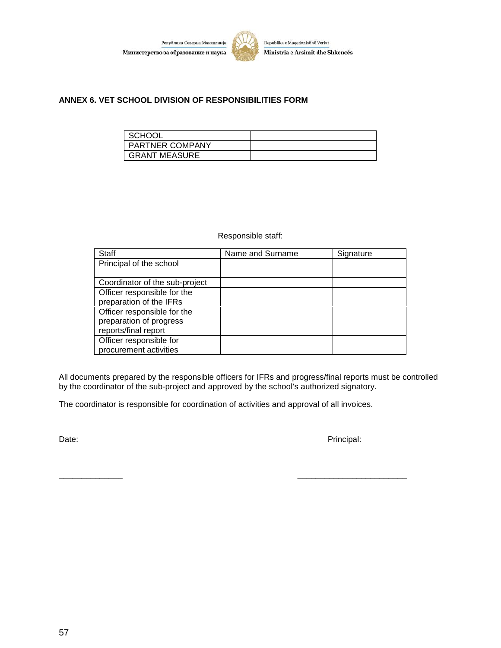



#### **ANNEX 6. VET SCHOOL DIVISION OF RESPONSIBILITIES FORM**

| SCHOOL                 |  |
|------------------------|--|
| <b>PARTNER COMPANY</b> |  |
| <b>GRANT MEASURE</b>   |  |

#### Responsible staff:

| <b>Staff</b>                   | Name and Surname | Signature |
|--------------------------------|------------------|-----------|
| Principal of the school        |                  |           |
|                                |                  |           |
| Coordinator of the sub-project |                  |           |
| Officer responsible for the    |                  |           |
| preparation of the IFRs        |                  |           |
| Officer responsible for the    |                  |           |
| preparation of progress        |                  |           |
| reports/final report           |                  |           |
| Officer responsible for        |                  |           |
| procurement activities         |                  |           |

All documents prepared by the responsible officers for IFRs and progress/final reports must be controlled by the coordinator of the sub-project and approved by the school's authorized signatory.

The coordinator is responsible for coordination of activities and approval of all invoices.

Date: Principal: Principal: Principal: Principal: Principal: Principal: Principal: Principal: Principal: Principal: Principal: Principal: Principal: Principal: Principal: Principal: Principal: Principal: Principal: Princip

\_\_\_\_\_\_\_\_\_\_\_\_\_\_ \_\_\_\_\_\_\_\_\_\_\_\_\_\_\_\_\_\_\_\_\_\_\_\_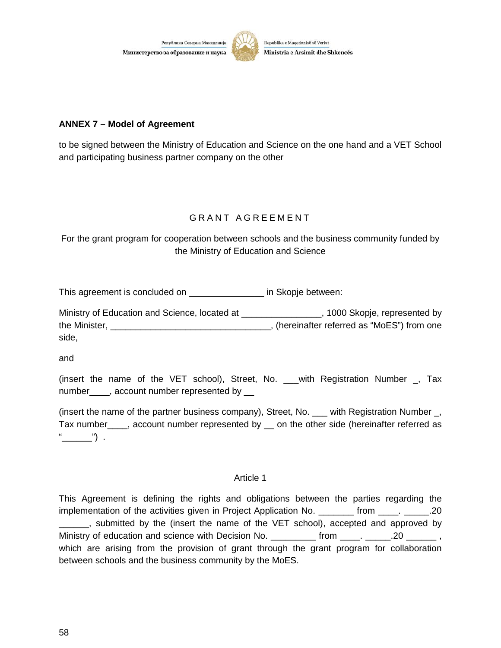Министерство за образование и наука

Република Северна Македонија



Republika e Maqedonisë së Veriut Ministria e Arsimit dhe Shkencës

#### **ANNEX 7 – Model of Agreement**

to be signed between the Ministry of Education and Science on the one hand and a VET School and participating business partner company on the other

# G R A N T A G R E E M E N T

For the grant program for cooperation between schools and the business community funded by the Ministry of Education and Science

This agreement is concluded on \_\_\_\_\_\_\_\_\_\_\_\_\_\_\_\_\_\_\_ in Skopje between:

Ministry of Education and Science, located at \_\_\_\_\_\_\_\_\_\_\_\_\_\_\_\_\_\_, 1000 Skopje, represented by the Minister, the Minister, the Minister,  $\blacksquare$ side,

and

(insert the name of the VET school), Street, No. \_\_\_with Registration Number \_, Tax number\_\_\_\_, account number represented by \_\_

(insert the name of the partner business company), Street, No. \_\_\_ with Registration Number, Tax number\_\_\_, account number represented by \_\_ on the other side (hereinafter referred as " $\qquad$ ") .

#### Article 1

This Agreement is defining the rights and obligations between the parties regarding the implementation of the activities given in Project Application No. \_\_\_\_\_\_\_ from \_\_\_\_. \_\_\_\_\_.20 \_\_\_\_\_, submitted by the (insert the name of the VET school), accepted and approved by Ministry of education and science with Decision No. \_\_\_\_\_\_\_\_\_ from \_\_\_\_. \_\_\_\_\_.20 \_\_\_\_\_\_\_\_ , which are arising from the provision of grant through the grant program for collaboration between schools and the business community by the MoES.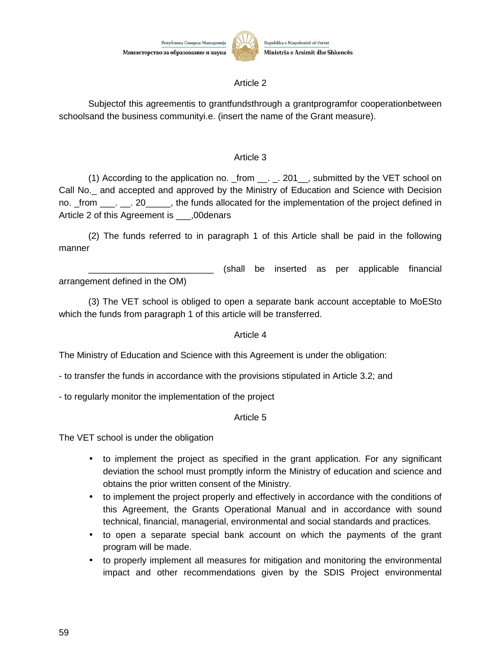

# Ministria e Arsimit dhe Shkencës

#### Article 2

Subjectof this agreementis to grantfundsthrough a grantprogramfor cooperationbetween schoolsand the business communityi.e. (insert the name of the Grant measure).

#### Article 3

(1) According to the application no. \_from \_\_. \_. 201\_\_, submitted by the VET school on Call No.\_ and accepted and approved by the Ministry of Education and Science with Decision no. \_from \_\_\_. \_\_. 20\_\_\_\_\_, the funds allocated for the implementation of the project defined in Article 2 of this Agreement is .00denars

(2) The funds referred to in paragraph 1 of this Article shall be paid in the following manner

\_\_\_\_\_\_\_\_\_\_\_\_\_\_\_\_\_\_\_\_\_\_\_\_\_ (shall be inserted as per applicable financial arrangement defined in the OM)

(3) The VET school is obliged to open a separate bank account acceptable to MoESto which the funds from paragraph 1 of this article will be transferred.

#### Article 4

The Ministry of Education and Science with this Agreement is under the obligation:

- to transfer the funds in accordance with the provisions stipulated in Article 3.2; and

- to regularly monitor the implementation of the project

Article 5

The VET school is under the obligation

- to implement the project as specified in the grant application. For any significant deviation the school must promptly inform the Ministry of education and science and obtains the prior written consent of the Ministry.
- to implement the project properly and effectively in accordance with the conditions of this Agreement, the Grants Operational Manual and in accordance with sound technical, financial, managerial, environmental and social standards and practices.
- to open a separate special bank account on which the payments of the grant program will be made.
- to properly implement all measures for mitigation and monitoring the environmental impact and other recommendations given by the SDIS Project environmental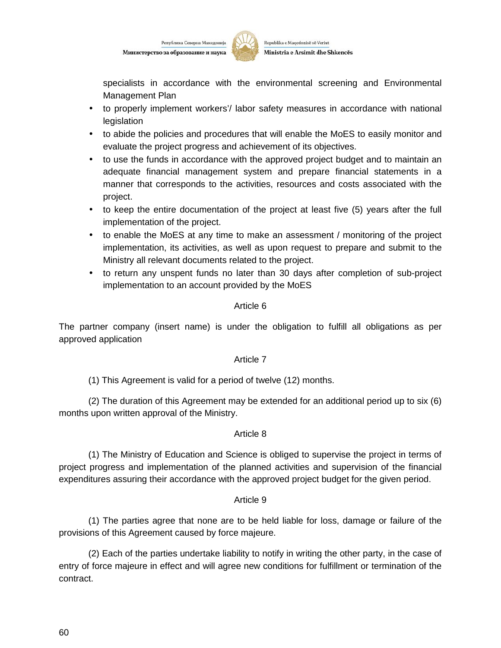



specialists in accordance with the environmental screening and Environmental Management Plan

- to properly implement workers'/ labor safety measures in accordance with national legislation
- to abide the policies and procedures that will enable the MoES to easily monitor and evaluate the project progress and achievement of its objectives.
- to use the funds in accordance with the approved project budget and to maintain an adequate financial management system and prepare financial statements in a manner that corresponds to the activities, resources and costs associated with the project.
- to keep the entire documentation of the project at least five (5) years after the full implementation of the project.
- to enable the MoES at any time to make an assessment / monitoring of the project implementation, its activities, as well as upon request to prepare and submit to the Ministry all relevant documents related to the project.
- to return any unspent funds no later than 30 days after completion of sub-project implementation to an account provided by the MoES

#### Article 6

The partner company (insert name) is under the obligation to fulfill all obligations as per approved application

#### Article 7

(1) This Agreement is valid for a period of twelve (12) months.

(2) The duration of this Agreement may be extended for an additional period up to six (6) months upon written approval of the Ministry.

#### Article 8

(1) The Ministry of Education and Science is obliged to supervise the project in terms of project progress and implementation of the planned activities and supervision of the financial expenditures assuring their accordance with the approved project budget for the given period.

#### Article 9

(1) The parties agree that none are to be held liable for loss, damage or failure of the provisions of this Agreement caused by force majeure.

(2) Each of the parties undertake liability to notify in writing the other party, in the case of entry of force majeure in effect and will agree new conditions for fulfillment or termination of the contract.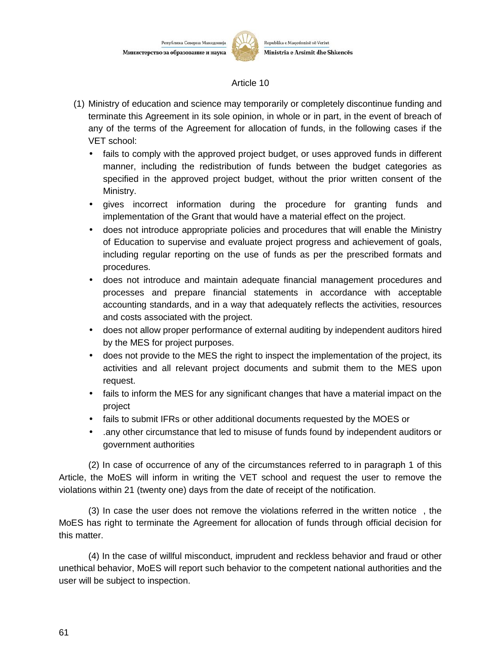

#### Article 10

- (1) Ministry of education and science may temporarily or completely discontinue funding and terminate this Agreement in its sole opinion, in whole or in part, in the event of breach of any of the terms of the Agreement for allocation of funds, in the following cases if the VET school:
	- fails to comply with the approved project budget, or uses approved funds in different manner, including the redistribution of funds between the budget categories as specified in the approved project budget, without the prior written consent of the Ministry.
	- gives incorrect information during the procedure for granting funds and implementation of the Grant that would have a material effect on the project.
	- does not introduce appropriate policies and procedures that will enable the Ministry of Education to supervise and evaluate project progress and achievement of goals, including regular reporting on the use of funds as per the prescribed formats and procedures.
	- does not introduce and maintain adequate financial management procedures and processes and prepare financial statements in accordance with acceptable accounting standards, and in a way that adequately reflects the activities, resources and costs associated with the project.
	- does not allow proper performance of external auditing by independent auditors hired by the MES for project purposes.
	- does not provide to the MES the right to inspect the implementation of the project, its activities and all relevant project documents and submit them to the MES upon request.
	- fails to inform the MES for any significant changes that have a material impact on the project
	- fails to submit IFRs or other additional documents requested by the MOES or
	- .any other circumstance that led to misuse of funds found by independent auditors or government authorities

(2) In case of occurrence of any of the circumstances referred to in paragraph 1 of this Article, the MoES will inform in writing the VET school and request the user to remove the violations within 21 (twenty one) days from the date of receipt of the notification.

(3) In case the user does not remove the violations referred in the written notice , the MoES has right to terminate the Agreement for allocation of funds through official decision for this matter.

(4) In the case of willful misconduct, imprudent and reckless behavior and fraud or other unethical behavior, MoES will report such behavior to the competent national authorities and the user will be subject to inspection.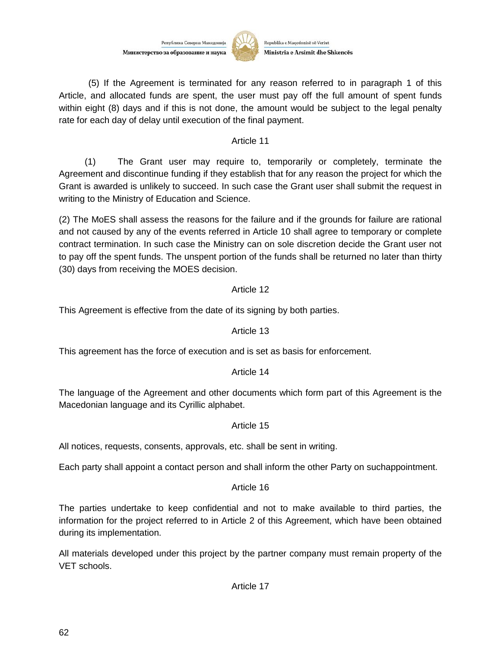Република Северна Македониј Министерство за образование и наука



Republika e Maqedonisë së Veriut Ministria e Arsimit dhe Shkencës

(5) If the Agreement is terminated for any reason referred to in paragraph 1 of this Article, and allocated funds are spent, the user must pay off the full amount of spent funds within eight (8) days and if this is not done, the amount would be subject to the legal penalty rate for each day of delay until execution of the final payment.

#### Article 11

(1) The Grant user may require to, temporarily or completely, terminate the Agreement and discontinue funding if they establish that for any reason the project for which the Grant is awarded is unlikely to succeed. In such case the Grant user shall submit the request in writing to the Ministry of Education and Science.

(2) The MoES shall assess the reasons for the failure and if the grounds for failure are rational and not caused by any of the events referred in Article 10 shall agree to temporary or complete contract termination. In such case the Ministry can on sole discretion decide the Grant user not to pay off the spent funds. The unspent portion of the funds shall be returned no later than thirty (30) days from receiving the MOES decision.

#### Article 12

This Agreement is effective from the date of its signing by both parties.

#### Article 13

This agreement has the force of execution and is set as basis for enforcement.

#### Article 14

The language of the Agreement and other documents which form part of this Agreement is the Macedonian language and its Cyrillic alphabet.

#### Article 15

All notices, requests, consents, approvals, etc. shall be sent in writing.

Each party shall appoint a contact person and shall inform the other Party on suchappointment.

#### Article 16

The parties undertake to keep confidential and not to make available to third parties, the information for the project referred to in Article 2 of this Agreement, which have been obtained during its implementation.

All materials developed under this project by the partner company must remain property of the VET schools.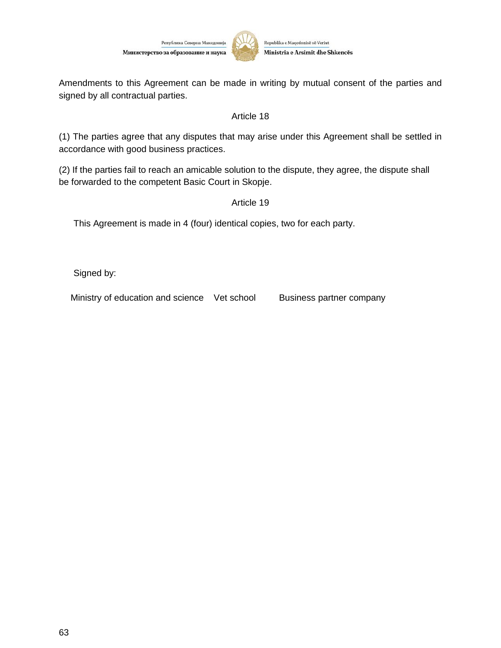

Amendments to this Agreement can be made in writing by mutual consent of the parties and signed by all contractual parties.

#### Article 18

(1) The parties agree that any disputes that may arise under this Agreement shall be settled in accordance with good business practices.

(2) If the parties fail to reach an amicable solution to the dispute, they agree, the dispute shall be forwarded to the competent Basic Court in Skopje.

#### Article 19

This Agreement is made in 4 (four) identical copies, two for each party.

Signed by:

Ministry of education and science Vet school Business partner company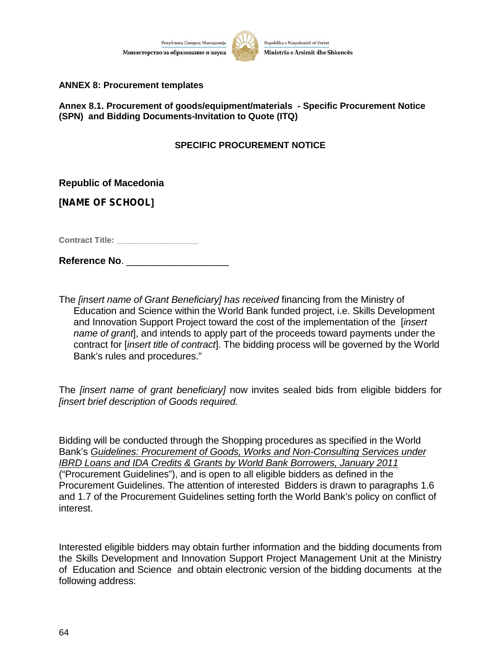



**ANNEX 8: Procurement templates**

**Annex 8.1. Procurement of goods/equipment/materials - Specific Procurement Notice (SPN) and Bidding Documents-Invitation to Quote (ITQ)**

#### **SPECIFIC PROCUREMENT NOTICE**

**Republic of Macedonia**

**[***NAME OF SCHOOL***]**

**Contract Title: Contract Title:** 

**Reference No**. \_\_\_\_\_\_\_\_\_\_\_\_\_\_\_\_\_\_\_

The *[insert name of Grant Beneficiary] has received* financing from the Ministry of Education and Science within the World Bank funded project, i.e. Skills Development and Innovation Support Project toward the cost of the implementation of the [*insert name of grant*], and intends to apply part of the proceeds toward payments under the contract for [*insert title of contract*]. The bidding process will be governed by the World Bank's rules and procedures."

The *[insert name of grant beneficiary]* now invites sealed bids from eligible bidders for *[insert brief description of Goods required.*

Bidding will be conducted through the Shopping procedures as specified in the World Bank's *Guidelines: Procurement of Goods, Works and Non-Consulting Services under IBRD Loans and IDA Credits & Grants by World Bank Borrowers, January 2011* ("Procurement Guidelines"), and is open to all eligible bidders as defined in the Procurement Guidelines. The attention of interested Bidders is drawn to paragraphs 1.6 and 1.7 of the Procurement Guidelines setting forth the World Bank's policy on conflict of interest.

Interested eligible bidders may obtain further information and the bidding documents from the Skills Development and Innovation Support Project Management Unit at the Ministry of Education and Science and obtain electronic version of the bidding documents at the following address: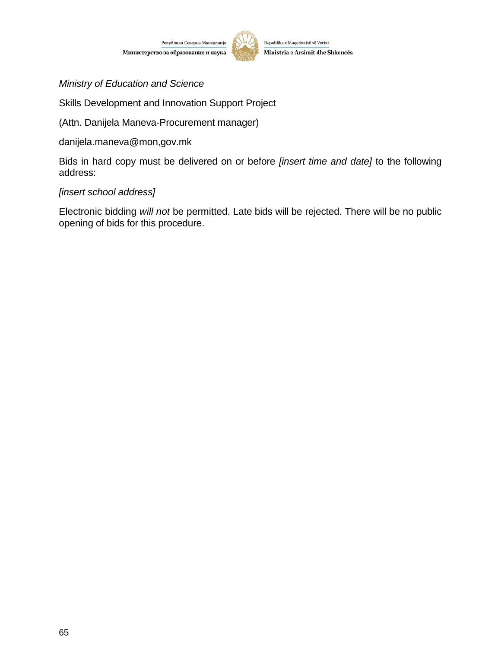Република Северна Македонија Министерство за образование и наука



Republika e Maqedonisë së Veriut Ministria e Arsimit dhe Shkencës

*Ministry of Education and Science*

Skills Development and Innovation Support Project

(Attn. Danijela Maneva-Procurement manager)

danijela.maneva@mon,gov.mk

Bids in hard copy must be delivered on or before *[insert time and date]* to the following address:

#### *[insert school address]*

Electronic bidding *will not* be permitted. Late bids will be rejected. There will be no public opening of bids for this procedure.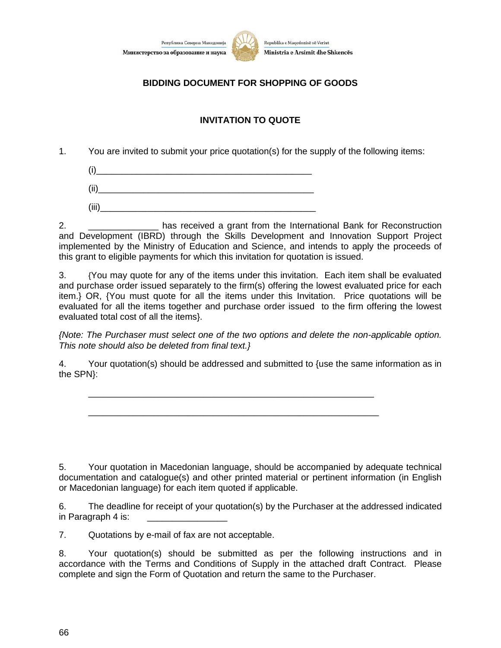



## **BIDDING DOCUMENT FOR SHOPPING OF GOODS**

## **INVITATION TO QUOTE**

1. You are invited to submit your price quotation(s) for the supply of the following items:

 $(i)$ 

 $(ii)$ 

 $(iii)$ 

2. \_\_\_\_\_\_\_\_\_\_\_\_\_\_ has received a grant from the International Bank for Reconstruction and Development (IBRD) through the Skills Development and Innovation Support Project implemented by the Ministry of Education and Science, and intends to apply the proceeds of this grant to eligible payments for which this invitation for quotation is issued.

3. {You may quote for any of the items under this invitation. Each item shall be evaluated and purchase order issued separately to the firm(s) offering the lowest evaluated price for each item.} OR, {You must quote for all the items under this Invitation. Price quotations will be evaluated for all the items together and purchase order issued to the firm offering the lowest evaluated total cost of all the items}.

*{Note: The Purchaser must select one of the two options and delete the non-applicable option. This note should also be deleted from final text.}*

4. Your quotation(s) should be addressed and submitted to {use the same information as in the SPN}:

\_\_\_\_\_\_\_\_\_\_\_\_\_\_\_\_\_\_\_\_\_\_\_\_\_\_\_\_\_\_\_\_\_\_\_\_\_\_\_\_\_\_\_\_\_\_\_\_\_\_\_\_\_\_\_\_\_

\_\_\_\_\_\_\_\_\_\_\_\_\_\_\_\_\_\_\_\_\_\_\_\_\_\_\_\_\_\_\_\_\_\_\_\_\_\_\_\_\_\_\_\_\_\_\_\_\_\_\_\_\_\_\_\_\_\_

5. Your quotation in Macedonian language, should be accompanied by adequate technical documentation and catalogue(s) and other printed material or pertinent information (in English or Macedonian language) for each item quoted if applicable.

6. The deadline for receipt of your quotation(s) by the Purchaser at the addressed indicated in Paragraph 4 is: \_\_\_\_\_\_\_\_\_\_\_\_\_\_\_\_

7. Quotations by e-mail of fax are not acceptable.

8. Your quotation(s) should be submitted as per the following instructions and in accordance with the Terms and Conditions of Supply in the attached draft Contract. Please complete and sign the Form of Quotation and return the same to the Purchaser.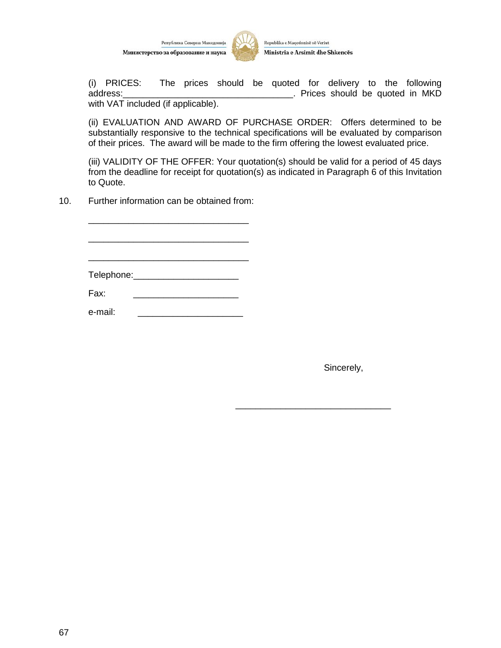



(i) PRICES: The prices should be quoted for delivery to the following address: and all the state of the state of the state of the state of the state of the state of the state of the state of the state of the state of the state of the state of the state of the state of the state of the state with VAT included (if applicable).

(ii) EVALUATION AND AWARD OF PURCHASE ORDER: Offers determined to be substantially responsive to the technical specifications will be evaluated by comparison of their prices. The award will be made to the firm offering the lowest evaluated price.

(iii) VALIDITY OF THE OFFER: Your quotation(s) should be valid for a period of 45 days from the deadline for receipt for quotation(s) as indicated in Paragraph 6 of this Invitation to Quote.

10. Further information can be obtained from:

| Telephone:_____________________ |  |  |
|---------------------------------|--|--|
|                                 |  |  |
| Fax:                            |  |  |
|                                 |  |  |
| e-mail:                         |  |  |

Sincerely,

\_\_\_\_\_\_\_\_\_\_\_\_\_\_\_\_\_\_\_\_\_\_\_\_\_\_\_\_\_\_\_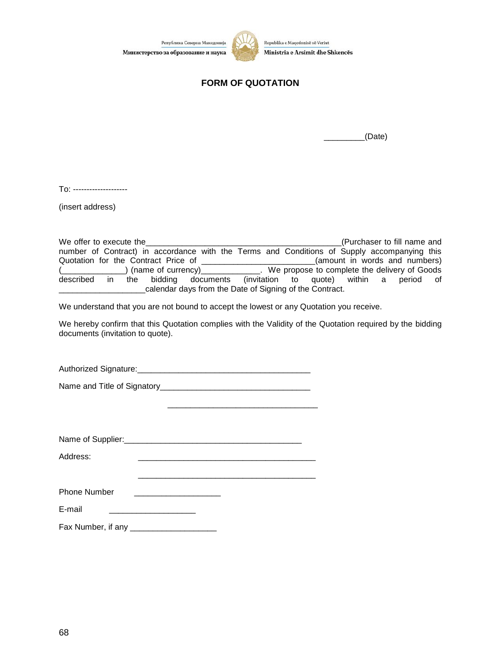Република Северна Македонија Министерство за образование и наука



Republika e Maqedonisë së Veriut Ministria e Arsimit dhe Shkencës

## **FORM OF QUOTATION**

 $\angle$ (Date)

To: --------------------

(insert address)

| We offer to execute the                                                                     | (Purchaser to fill name and                                                     |
|---------------------------------------------------------------------------------------------|---------------------------------------------------------------------------------|
| number of Contract) in accordance with the Terms and Conditions of Supply accompanying this |                                                                                 |
| Quotation for the Contract Price of                                                         | (amount in words and numbers)                                                   |
|                                                                                             | (name of currency) ______________. We propose to complete the delivery of Goods |
| described<br>bidding documents<br>the<br>$\mathsf{I}$                                       | (invitation to quote) within a<br>period of                                     |
| calendar days from the Date of Signing of the Contract.                                     |                                                                                 |

We understand that you are not bound to accept the lowest or any Quotation you receive.

We hereby confirm that this Quotation complies with the Validity of the Quotation required by the bidding documents (invitation to quote).

\_\_\_\_\_\_\_\_\_\_\_\_\_\_\_\_\_\_\_\_\_\_\_\_\_\_\_\_\_\_\_\_\_

\_\_\_\_\_\_\_\_\_\_\_\_\_\_\_\_\_\_\_\_\_\_\_\_\_\_\_\_\_\_\_\_\_\_\_\_\_\_\_

Authorized Signature:\_\_\_\_\_\_\_\_\_\_\_\_\_\_\_\_\_\_\_\_\_\_\_\_\_\_\_\_\_\_\_\_\_\_\_\_\_\_

Name and Title of Signatory\_\_\_\_\_\_\_\_\_\_\_\_\_\_\_\_\_\_\_\_\_\_\_\_\_\_\_\_\_\_\_\_\_

|  | Name of Supplier: |  |  |
|--|-------------------|--|--|
|--|-------------------|--|--|

Address: \_\_\_\_\_\_\_\_\_\_\_\_\_\_\_\_\_\_\_\_\_\_\_\_\_\_\_\_\_\_\_\_\_\_\_\_\_\_\_

| E-moil<br>c-шан<br>.<br>______ |  |
|--------------------------------|--|
|                                |  |

Fax Number, if any \_\_\_\_\_\_\_\_\_\_\_\_\_\_\_\_\_\_\_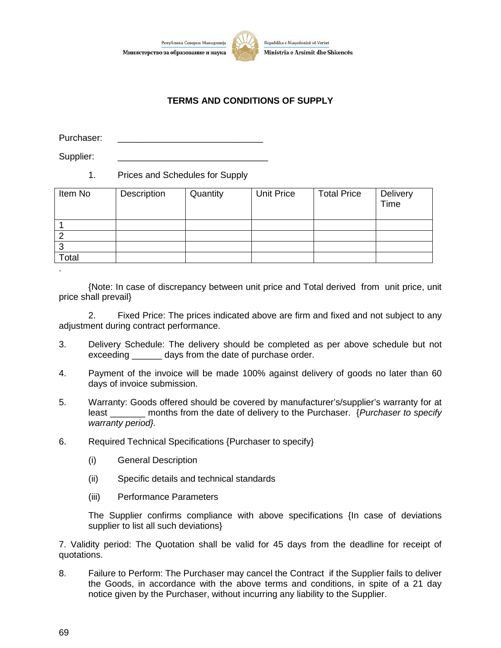

Република Северна Македонија



#### **TERMS AND CONDITIONS OF SUPPLY**

Purchaser:

Supplier:

#### 1. Prices and Schedules for Supply

| Item No | Description | Quantity | Unit Price | <b>Total Price</b> | Delivery<br>Time |
|---------|-------------|----------|------------|--------------------|------------------|
|         |             |          |            |                    |                  |
|         |             |          |            |                    |                  |
| ◠       |             |          |            |                    |                  |
| Total   |             |          |            |                    |                  |
|         |             |          |            |                    |                  |

{Note: In case of discrepancy between unit price and Total derived from unit price, unit price shall prevail}

2. Fixed Price: The prices indicated above are firm and fixed and not subject to any adjustment during contract performance.

- 3. Delivery Schedule: The delivery should be completed as per above schedule but not exceeding \_\_\_\_\_\_\_ days from the date of purchase order.
- 4. Payment of the invoice will be made 100% against delivery of goods no later than 60 days of invoice submission.
- 5. Warranty: Goods offered should be covered by manufacturer's/supplier's warranty for at least \_\_\_\_\_\_\_ months from the date of delivery to the Purchaser. {*Purchaser to specify warranty period}.*
- 6. Required Technical Specifications {Purchaser to specify}
	- (i) General Description
	- (ii) Specific details and technical standards
	- (iii) Performance Parameters

The Supplier confirms compliance with above specifications {In case of deviations supplier to list all such deviations}

7. Validity period: The Quotation shall be valid for 45 days from the deadline for receipt of quotations.

8. Failure to Perform: The Purchaser may cancel the Contract if the Supplier fails to deliver the Goods, in accordance with the above terms and conditions, in spite of a 21 day notice given by the Purchaser, without incurring any liability to the Supplier.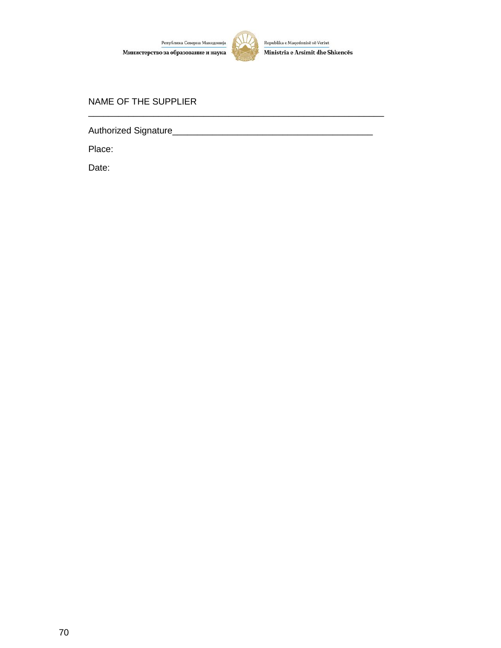

\_\_\_\_\_\_\_\_\_\_\_\_\_\_\_\_\_\_\_\_\_\_\_\_\_\_\_\_\_\_\_\_\_\_\_\_\_\_\_\_\_\_\_\_\_\_\_\_\_\_\_\_\_\_\_\_\_\_\_

#### NAME OF THE SUPPLIER

Authorized Signature\_\_\_\_\_\_\_\_\_\_\_\_\_\_\_\_\_\_\_\_\_\_\_\_\_\_\_\_\_\_\_\_\_\_\_\_\_\_\_\_

Place:

Date: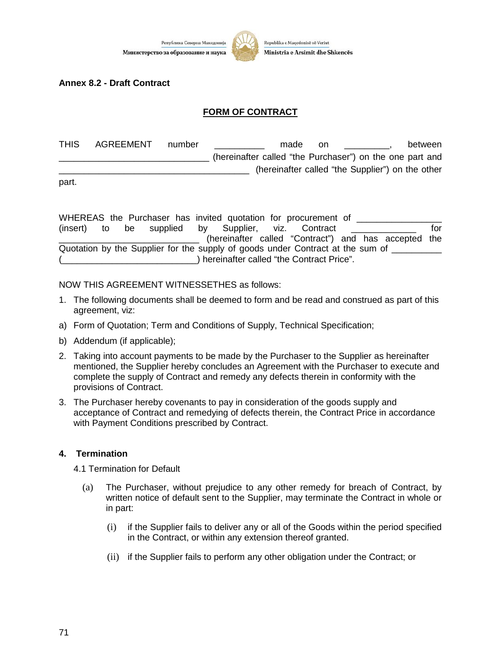

#### **Annex 8.2 - Draft Contract**

#### **FORM OF CONTRACT**

| <b>THIS</b> | AGREEMENT | number | between<br>made<br>.on                                   |  |
|-------------|-----------|--------|----------------------------------------------------------|--|
|             |           |        | (hereinafter called "the Purchaser") on the one part and |  |
|             |           |        | (hereinafter called "the Supplier") on the other         |  |

part.

|  |  |  |  | WHEREAS the Purchaser has invited quotation for procurement of                        |  |     |
|--|--|--|--|---------------------------------------------------------------------------------------|--|-----|
|  |  |  |  | (insert) to be supplied by Supplier, viz. Contract                                    |  | tor |
|  |  |  |  | (hereinafter called "Contract") and has accepted the                                  |  |     |
|  |  |  |  | Quotation by the Supplier for the supply of goods under Contract at the sum of ______ |  |     |
|  |  |  |  | ) hereinafter called "the Contract Price".                                            |  |     |

#### NOW THIS AGREEMENT WITNESSETHES as follows:

- 1. The following documents shall be deemed to form and be read and construed as part of this agreement, viz:
- a) Form of Quotation; Term and Conditions of Supply, Technical Specification;
- b) Addendum (if applicable);
- 2. Taking into account payments to be made by the Purchaser to the Supplier as hereinafter mentioned, the Supplier hereby concludes an Agreement with the Purchaser to execute and complete the supply of Contract and remedy any defects therein in conformity with the provisions of Contract.
- 3. The Purchaser hereby covenants to pay in consideration of the goods supply and acceptance of Contract and remedying of defects therein, the Contract Price in accordance with Payment Conditions prescribed by Contract.

#### **4. Termination**

4.1 Termination for Default

- (a) The Purchaser, without prejudice to any other remedy for breach of Contract, by written notice of default sent to the Supplier, may terminate the Contract in whole or in part:
	- (i) if the Supplier fails to deliver any or all of the Goods within the period specified in the Contract, or within any extension thereof granted.
	- (ii) if the Supplier fails to perform any other obligation under the Contract; or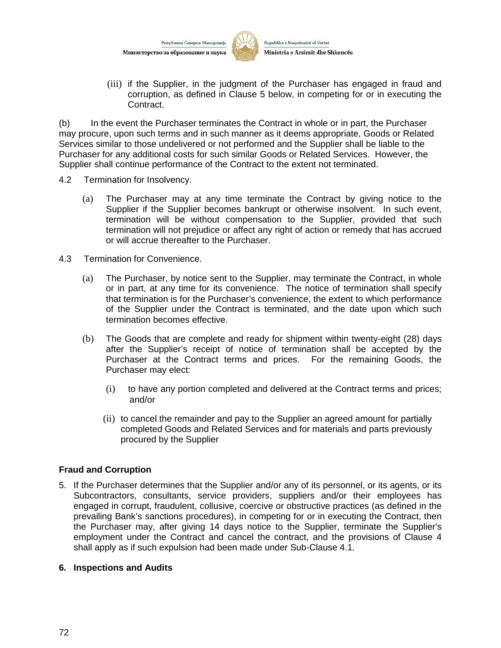

(iii) if the Supplier, in the judgment of the Purchaser has engaged in fraud and corruption, as defined in Clause 5 below, in competing for or in executing the Contract.

(b) In the event the Purchaser terminates the Contract in whole or in part, the Purchaser may procure, upon such terms and in such manner as it deems appropriate, Goods or Related Services similar to those undelivered or not performed and the Supplier shall be liable to the Purchaser for any additional costs for such similar Goods or Related Services. However, the Supplier shall continue performance of the Contract to the extent not terminated.

- 4.2 Termination for Insolvency.
	- (a) The Purchaser may at any time terminate the Contract by giving notice to the Supplier if the Supplier becomes bankrupt or otherwise insolvent. In such event, termination will be without compensation to the Supplier, provided that such termination will not prejudice or affect any right of action or remedy that has accrued or will accrue thereafter to the Purchaser.
- 4.3 Termination for Convenience.
	- (a) The Purchaser, by notice sent to the Supplier, may terminate the Contract, in whole or in part, at any time for its convenience. The notice of termination shall specify that termination is for the Purchaser's convenience, the extent to which performance of the Supplier under the Contract is terminated, and the date upon which such termination becomes effective.
	- (b) The Goods that are complete and ready for shipment within twenty-eight (28) days after the Supplier's receipt of notice of termination shall be accepted by the Purchaser at the Contract terms and prices. For the remaining Goods, the Purchaser may elect:
		- (i) to have any portion completed and delivered at the Contract terms and prices; and/or
		- (ii) to cancel the remainder and pay to the Supplier an agreed amount for partially completed Goods and Related Services and for materials and parts previously procured by the Supplier

#### **Fraud and Corruption**

5. If the Purchaser determines that the Supplier and/or any of its personnel, or its agents, or its Subcontractors, consultants, service providers, suppliers and/or their employees has engaged in corrupt, fraudulent, collusive, coercive or obstructive practices (as defined in the prevailing Bank's sanctions procedures), in competing for or in executing the Contract, then the Purchaser may, after giving 14 days notice to the Supplier, terminate the Supplier's employment under the Contract and cancel the contract, and the provisions of Clause 4 shall apply as if such expulsion had been made under Sub-Clause 4.1.

#### **6. Inspections and Audits**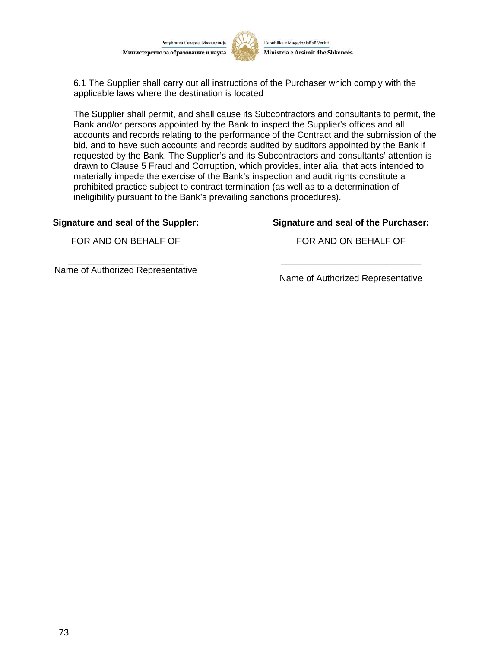Република Северна Македони Министерство за образование и наука



Republika e Maqedonisë së Veriut Ministria e Arsimit dhe Shkencës

6.1 The Supplier shall carry out all instructions of the Purchaser which comply with the applicable laws where the destination is located

The Supplier shall permit, and shall cause its Subcontractors and consultants to permit, the Bank and/or persons appointed by the Bank to inspect the Supplier's offices and all accounts and records relating to the performance of the Contract and the submission of the bid, and to have such accounts and records audited by auditors appointed by the Bank if requested by the Bank. The Supplier's and its Subcontractors and consultants' attention is drawn to Clause 5 Fraud and Corruption, which provides, inter alia, that acts intended to materially impede the exercise of the Bank's inspection and audit rights constitute a prohibited practice subject to contract termination (as well as to a determination of ineligibility pursuant to the Bank's prevailing sanctions procedures).

#### **Signature and seal of the Suppler:**

**Signature and seal of the Purchaser:**

FOR AND ON BEHALF OF

FOR AND ON BEHALF OF

Name of Authorized Representative

\_\_\_\_\_\_\_\_\_\_\_\_\_\_\_\_\_\_\_\_\_\_\_

Name of Authorized Representative

\_\_\_\_\_\_\_\_\_\_\_\_\_\_\_\_\_\_\_\_\_\_\_\_\_\_\_\_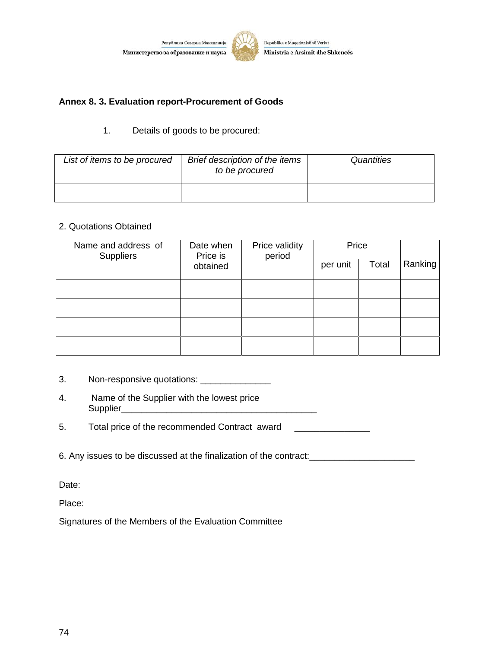

#### **Annex 8. 3. Evaluation report-Procurement of Goods**

#### 1. Details of goods to be procured:

| List of items to be procured | Brief description of the items<br>to be procured | Quantities |
|------------------------------|--------------------------------------------------|------------|
|                              |                                                  |            |

#### 2. Quotations Obtained

| Name and address of<br><b>Suppliers</b> | Date when<br>Price is | Price validity<br>period | Price |       |         |
|-----------------------------------------|-----------------------|--------------------------|-------|-------|---------|
|                                         | obtained              |                          |       | Total | Ranking |
|                                         |                       |                          |       |       |         |
|                                         |                       |                          |       |       |         |
|                                         |                       |                          |       |       |         |
|                                         |                       |                          |       |       |         |

- 3. Non-responsive quotations: \_\_\_\_\_\_\_\_\_\_\_\_\_\_\_
- 4. Name of the Supplier with the lowest price Supplier\_\_\_\_\_\_\_\_\_\_\_\_\_\_\_\_\_\_\_\_\_\_\_\_\_\_\_\_\_\_\_\_\_\_\_\_\_\_\_

5. Total price of the recommended Contract award **CONSCR 1000** 

6. Any issues to be discussed at the finalization of the contract: \_\_\_\_\_\_\_\_\_\_\_\_\_\_

Date:

Place:

Signatures of the Members of the Evaluation Committee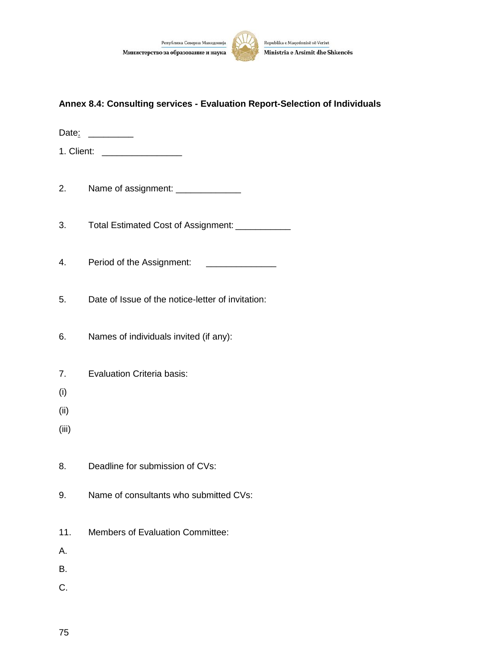



#### **Annex 8.4: Consulting services - Evaluation Report-Selection of Individuals**

Date: \_\_\_\_\_\_\_\_\_\_

1. Client: \_\_\_\_\_\_\_\_\_\_\_\_\_\_\_\_

2. Name of assignment: \_\_\_\_\_\_\_\_\_\_\_\_\_\_\_

3. Total Estimated Cost of Assignment: 2001

4. Period of the Assignment: \_\_\_\_\_\_\_\_\_\_\_\_\_\_

5. Date of Issue of the notice-letter of invitation:

6. Names of individuals invited (if any):

- 7. Evaluation Criteria basis:
- (i)
- (ii)
- (iii)
- 8. Deadline for submission of CVs:
- 9. Name of consultants who submitted CVs:
- 11. Members of Evaluation Committee:
- A.
- B.
- C.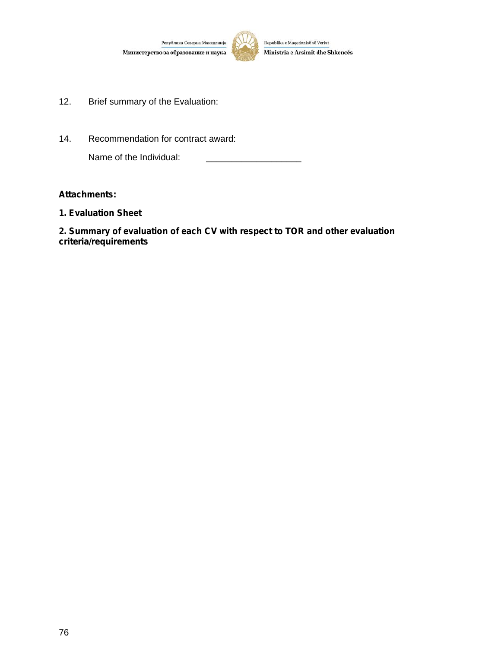

- 12. Brief summary of the Evaluation:
- 14. Recommendation for contract award:

Name of the Individual:

#### *Attachments:*

*1. Evaluation Sheet*

*2. Summary of evaluation of each CV with respect to TOR and other evaluation criteria/requirements*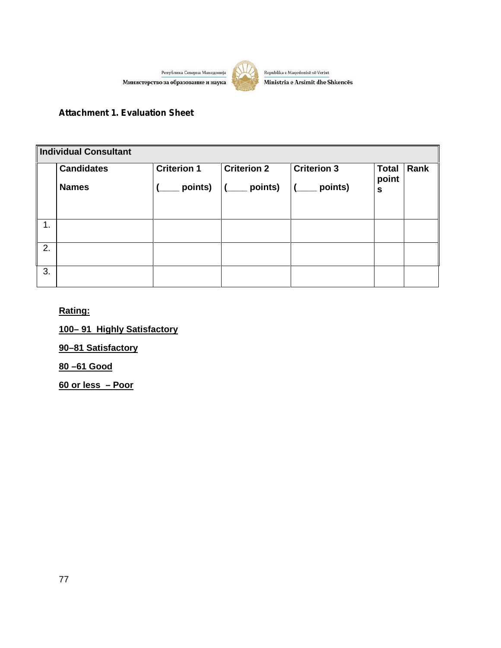Република Северна Македонија Министерство за образование и наука



Republika e Maqedonisë së Veriut Ministria e Arsimit dhe Shkencës

## *Attachment 1. Evaluation Sheet*

| Individual Consultant |                                   |                               |                               |                               |                                       |      |  |  |  |
|-----------------------|-----------------------------------|-------------------------------|-------------------------------|-------------------------------|---------------------------------------|------|--|--|--|
|                       | <b>Candidates</b><br><b>Names</b> | <b>Criterion 1</b><br>points) | <b>Criterion 2</b><br>points) | <b>Criterion 3</b><br>points) | <b>Total</b><br>point<br>$\mathbf{s}$ | Rank |  |  |  |
|                       |                                   |                               |                               |                               |                                       |      |  |  |  |
| 1.                    |                                   |                               |                               |                               |                                       |      |  |  |  |
| 2.                    |                                   |                               |                               |                               |                                       |      |  |  |  |
| 3.                    |                                   |                               |                               |                               |                                       |      |  |  |  |

## **Rating:**

**100– 91 Highly Satisfactory**

**90–81 Satisfactory**

**80 –61 Good**

**60 or less – Poor**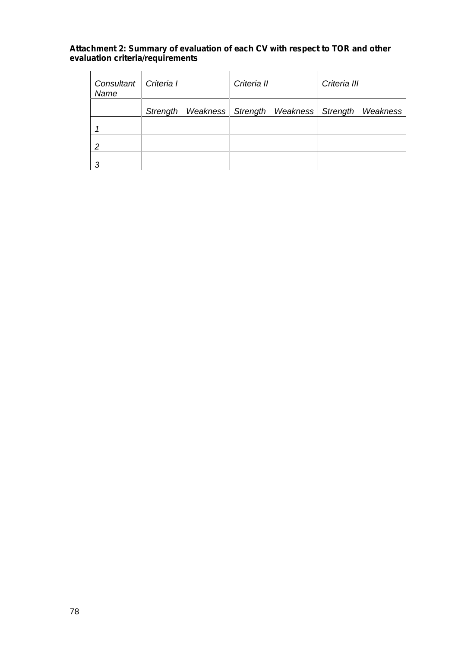#### *Attachment 2: Summary of evaluation of each CV with respect to TOR and other evaluation criteria/requirements*

| Consultant<br>Name | Criteria I |                     | Criteria II |          | Criteria III |          |  |
|--------------------|------------|---------------------|-------------|----------|--------------|----------|--|
|                    | Strength   | Weakness   Strength |             | Weakness | Strength     | Weakness |  |
|                    |            |                     |             |          |              |          |  |
| 2                  |            |                     |             |          |              |          |  |
|                    |            |                     |             |          |              |          |  |

 $\mathbf{r}$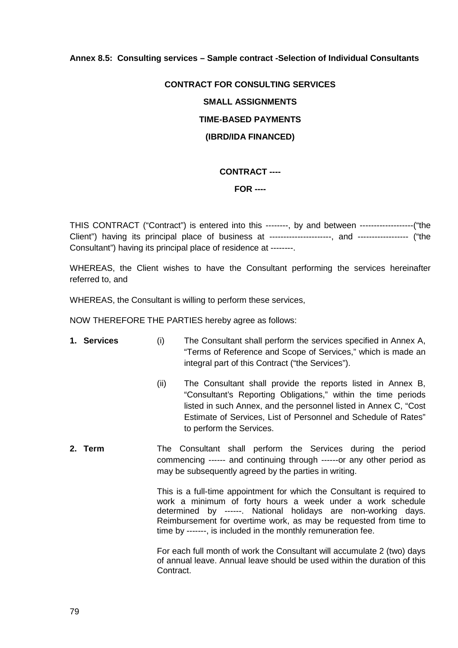#### **Annex 8.5: Consulting services – Sample contract -Selection of Individual Consultants**

# **CONTRACT FOR CONSULTING SERVICES SMALL ASSIGNMENTS TIME-BASED PAYMENTS (IBRD/IDA FINANCED)**

#### **CONTRACT ----**

#### **FOR ----**

THIS CONTRACT ("Contract") is entered into this --------, by and between -------------------("the Client") having its principal place of business at ----------------------, and ------------------ ("the Consultant") having its principal place of residence at --------.

WHEREAS, the Client wishes to have the Consultant performing the services hereinafter referred to, and

WHEREAS, the Consultant is willing to perform these services,

NOW THEREFORE THE PARTIES hereby agree as follows:

- **1. Services** (i) The Consultant shall perform the services specified in Annex A, "Terms of Reference and Scope of Services," which is made an integral part of this Contract ("the Services").
	- (ii) The Consultant shall provide the reports listed in Annex B, "Consultant's Reporting Obligations," within the time periods listed in such Annex, and the personnel listed in Annex C, "Cost Estimate of Services, List of Personnel and Schedule of Rates" to perform the Services.
- **2. Term** The Consultant shall perform the Services during the period commencing ------ and continuing through ------or any other period as may be subsequently agreed by the parties in writing.

This is a full-time appointment for which the Consultant is required to work a minimum of forty hours a week under a work schedule determined by ------. National holidays are non-working days. Reimbursement for overtime work, as may be requested from time to time by -------, is included in the monthly remuneration fee.

For each full month of work the Consultant will accumulate 2 (two) days of annual leave. Annual leave should be used within the duration of this Contract.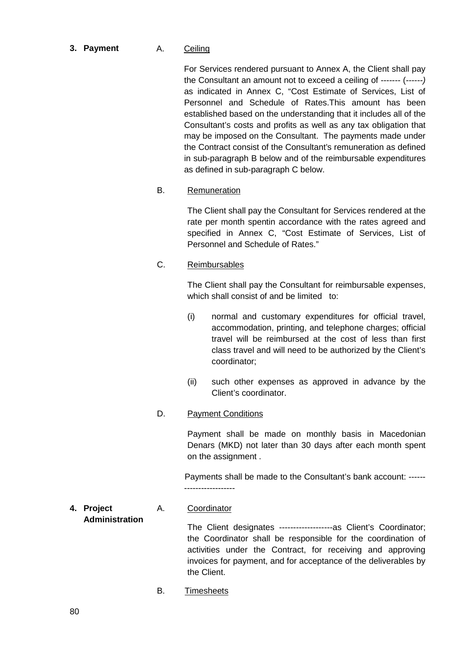**3. Payment** A. Ceiling

For Services rendered pursuant to Annex A, the Client shall pay the Consultant an amount not to exceed a ceiling of ------- (*------)* as indicated in Annex C, "Cost Estimate of Services, List of Personnel and Schedule of Rates.This amount has been established based on the understanding that it includes all of the Consultant's costs and profits as well as any tax obligation that may be imposed on the Consultant. The payments made under the Contract consist of the Consultant's remuneration as defined in sub-paragraph B below and of the reimbursable expenditures as defined in sub-paragraph C below.

B. Remuneration

The Client shall pay the Consultant for Services rendered at the rate per month spentin accordance with the rates agreed and specified in Annex C, "Cost Estimate of Services, List of Personnel and Schedule of Rates."

C. Reimbursables

The Client shall pay the Consultant for reimbursable expenses, which shall consist of and be limited to:

- (i) normal and customary expenditures for official travel, accommodation, printing, and telephone charges; official travel will be reimbursed at the cost of less than first class travel and will need to be authorized by the Client's coordinator;
- (ii) such other expenses as approved in advance by the Client's coordinator.
- D. Payment Conditions

Payment shall be made on monthly basis in Macedonian Denars (MKD) not later than 30 days after each month spent on the assignment .

Payments shall be made to the Consultant's bank account: ------ ------------------

#### **4. Project Administration** A. Coordinator

The Client designates -------------------as Client's Coordinator; the Coordinator shall be responsible for the coordination of activities under the Contract, for receiving and approving invoices for payment, and for acceptance of the deliverables by the Client.

B. Timesheets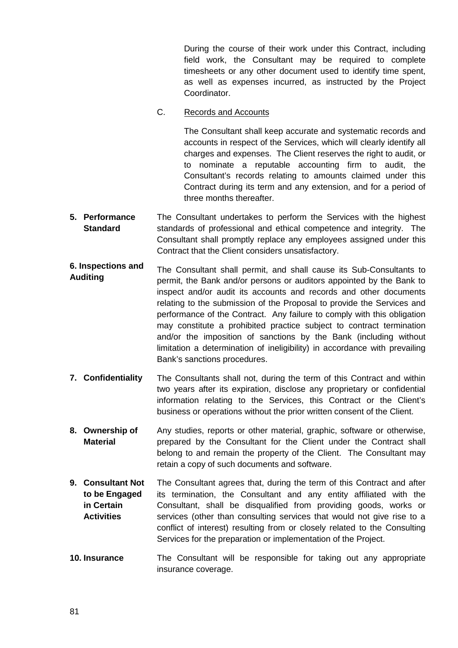During the course of their work under this Contract, including field work, the Consultant may be required to complete timesheets or any other document used to identify time spent, as well as expenses incurred, as instructed by the Project Coordinator.

C. Records and Accounts

The Consultant shall keep accurate and systematic records and accounts in respect of the Services, which will clearly identify all charges and expenses. The Client reserves the right to audit, or to nominate a reputable accounting firm to audit, the Consultant's records relating to amounts claimed under this Contract during its term and any extension, and for a period of three months thereafter.

- **5. Performance Standard** The Consultant undertakes to perform the Services with the highest standards of professional and ethical competence and integrity. The Consultant shall promptly replace any employees assigned under this Contract that the Client considers unsatisfactory.
- **6. Inspections and Auditing** The Consultant shall permit, and shall cause its Sub-Consultants to permit, the Bank and/or persons or auditors appointed by the Bank to inspect and/or audit its accounts and records and other documents relating to the submission of the Proposal to provide the Services and performance of the Contract. Any failure to comply with this obligation may constitute a prohibited practice subject to contract termination and/or the imposition of sanctions by the Bank (including without limitation a determination of ineligibility) in accordance with prevailing Bank's sanctions procedures.
- **7. Confidentiality** The Consultants shall not, during the term of this Contract and within two years after its expiration, disclose any proprietary or confidential information relating to the Services, this Contract or the Client's business or operations without the prior written consent of the Client.
- **8. Ownership of Material** Any studies, reports or other material, graphic, software or otherwise, prepared by the Consultant for the Client under the Contract shall belong to and remain the property of the Client. The Consultant may retain a copy of such documents and software.
- **9. Consultant Not to be Engaged in Certain Activities** The Consultant agrees that, during the term of this Contract and after its termination, the Consultant and any entity affiliated with the Consultant, shall be disqualified from providing goods, works or services (other than consulting services that would not give rise to a conflict of interest) resulting from or closely related to the Consulting Services for the preparation or implementation of the Project.
- **10. Insurance** The Consultant will be responsible for taking out any appropriate insurance coverage.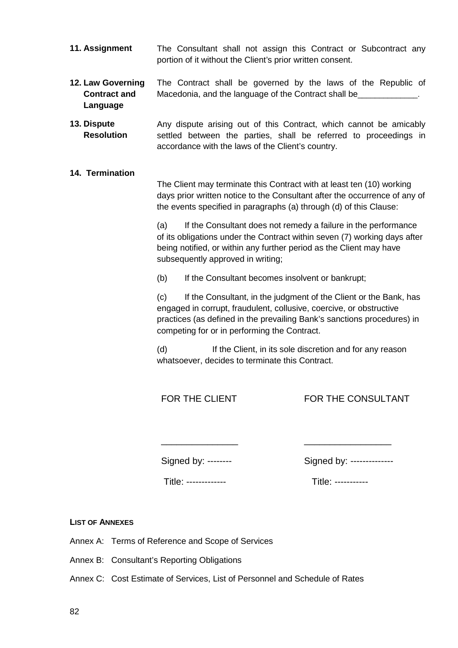- **11. Assignment** The Consultant shall not assign this Contract or Subcontract any portion of it without the Client's prior written consent.
- **12. Law Governing Contract and Language** The Contract shall be governed by the laws of the Republic of Macedonia, and the language of the Contract shall be
- **13. Dispute Resolution** Any dispute arising out of this Contract, which cannot be amicably settled between the parties, shall be referred to proceedings in accordance with the laws of the Client's country.
- **14. Termination**

The Client may terminate this Contract with at least ten (10) working days prior written notice to the Consultant after the occurrence of any of the events specified in paragraphs (a) through (d) of this Clause:

(a) If the Consultant does not remedy a failure in the performance of its obligations under the Contract within seven (7) working days after being notified, or within any further period as the Client may have subsequently approved in writing:

(b) If the Consultant becomes insolvent or bankrupt;

(c) If the Consultant, in the judgment of the Client or the Bank, has engaged in corrupt, fraudulent, collusive, coercive, or obstructive practices (as defined in the prevailing Bank's sanctions procedures) in competing for or in performing the Contract.

(d) If the Client, in its sole discretion and for any reason whatsoever, decides to terminate this Contract.

FOR THE CLIENT

FOR THE CONSULTANT

\_\_\_\_\_\_\_\_\_\_\_\_\_\_\_\_\_

Signed by: --------

\_\_\_\_\_\_\_\_\_\_\_\_\_\_\_

| Signed by: ----------- |  |
|------------------------|--|
|------------------------|--|

Title: -------------

Title: -----------

**LIST OF ANNEXES**

Annex A: Terms of Reference and Scope of Services

Annex B: Consultant's Reporting Obligations

Annex C: Cost Estimate of Services, List of Personnel and Schedule of Rates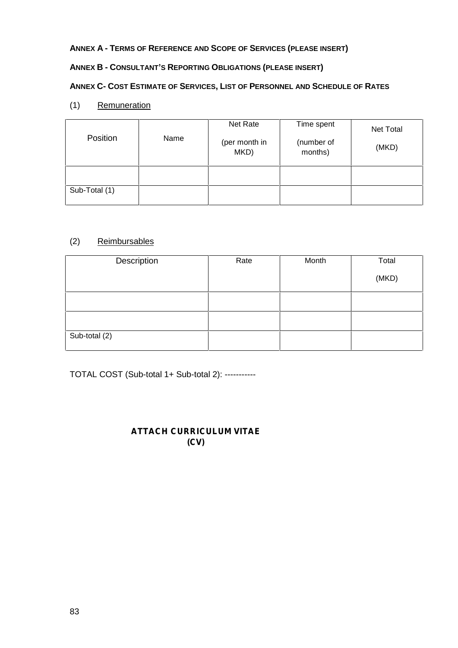## **ANNEX A - TERMS OF REFERENCE AND SCOPE OF SERVICES (PLEASE INSERT)**

## **ANNEX B - CONSULTANT'S REPORTING OBLIGATIONS (PLEASE INSERT)**

#### **ANNEX C- COST ESTIMATE OF SERVICES, LIST OF PERSONNEL AND SCHEDULE OF RATES**

(1) Remuneration

| Position      | Name | Net Rate<br>(per month in<br>MKD) | Time spent<br>(number of<br>months) | Net Total<br>(MKD) |
|---------------|------|-----------------------------------|-------------------------------------|--------------------|
|               |      |                                   |                                     |                    |
| Sub-Total (1) |      |                                   |                                     |                    |

## (2) Reimbursables

| Description   | Rate | Month | Total |
|---------------|------|-------|-------|
|               |      |       | (MKD) |
|               |      |       |       |
|               |      |       |       |
| Sub-total (2) |      |       |       |

TOTAL COST (Sub-total 1+ Sub-total 2): -----------

## *ATTACH CURRICULUM VITAE (CV)*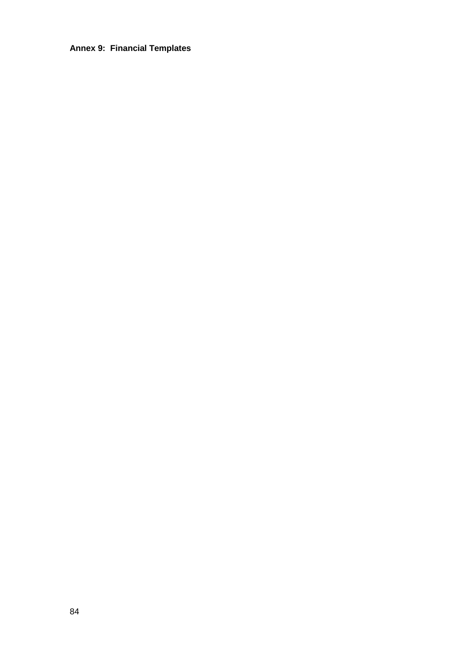## **Annex 9: Financial Templates**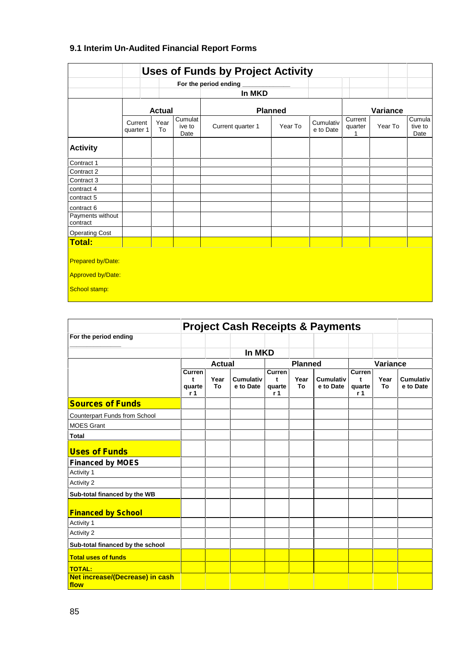## **9.1 Interim Un-Audited Financial Report Forms**

|                                                                       |                      |               |                           | For the period ending |         |                        |                    |          |                           |
|-----------------------------------------------------------------------|----------------------|---------------|---------------------------|-----------------------|---------|------------------------|--------------------|----------|---------------------------|
|                                                                       |                      |               |                           | In MKD                |         |                        |                    |          |                           |
|                                                                       |                      | <b>Actual</b> |                           | <b>Planned</b>        |         |                        |                    | Variance |                           |
|                                                                       | Current<br>quarter 1 | Year<br>To    | Cumulat<br>ive to<br>Date | Current quarter 1     | Year To | Cumulativ<br>e to Date | Current<br>quarter | Year To  | Cumula<br>tive to<br>Date |
| <b>Activity</b>                                                       |                      |               |                           |                       |         |                        |                    |          |                           |
| Contract 1                                                            |                      |               |                           |                       |         |                        |                    |          |                           |
| Contract 2                                                            |                      |               |                           |                       |         |                        |                    |          |                           |
| Contract 3                                                            |                      |               |                           |                       |         |                        |                    |          |                           |
| contract 4                                                            |                      |               |                           |                       |         |                        |                    |          |                           |
| contract 5                                                            |                      |               |                           |                       |         |                        |                    |          |                           |
| contract 6                                                            |                      |               |                           |                       |         |                        |                    |          |                           |
| Payments without<br>contract                                          |                      |               |                           |                       |         |                        |                    |          |                           |
| <b>Operating Cost</b>                                                 |                      |               |                           |                       |         |                        |                    |          |                           |
| Total:                                                                |                      |               |                           |                       |         |                        |                    |          |                           |
| <b>Prepared by/Date:</b><br><b>Approved by/Date:</b><br>School stamp: |                      |               |                           |                       |         |                        |                    |          |                           |

| <b>Project Cash Receipts &amp; Payments</b> |                                                |               |                               |                              |                |                               |                              |                 |                        |
|---------------------------------------------|------------------------------------------------|---------------|-------------------------------|------------------------------|----------------|-------------------------------|------------------------------|-----------------|------------------------|
| For the period ending                       |                                                |               |                               |                              |                |                               |                              |                 |                        |
|                                             |                                                |               | In MKD                        |                              |                |                               |                              |                 |                        |
|                                             |                                                | <b>Actual</b> |                               |                              | <b>Planned</b> |                               |                              | <b>Variance</b> |                        |
|                                             | <b>Curren</b><br>t<br>quarte<br>r <sub>1</sub> | Year<br>To    | <b>Cumulativ</b><br>e to Date | Curren<br>t<br>quarte<br>r 1 | Year<br>To     | <b>Cumulativ</b><br>e to Date | Curren<br>t<br>quarte<br>r 1 | Year<br>To      | Cumulativ<br>e to Date |
| <b>Sources of Funds</b>                     |                                                |               |                               |                              |                |                               |                              |                 |                        |
| Counterpart Funds from School               |                                                |               |                               |                              |                |                               |                              |                 |                        |
| <b>MOES Grant</b>                           |                                                |               |                               |                              |                |                               |                              |                 |                        |
| <b>Total</b>                                |                                                |               |                               |                              |                |                               |                              |                 |                        |
| <b>Uses of Funds</b>                        |                                                |               |                               |                              |                |                               |                              |                 |                        |
| <b>Financed by MOES</b>                     |                                                |               |                               |                              |                |                               |                              |                 |                        |
| Activity 1                                  |                                                |               |                               |                              |                |                               |                              |                 |                        |
| Activity 2                                  |                                                |               |                               |                              |                |                               |                              |                 |                        |
| Sub-total financed by the WB                |                                                |               |                               |                              |                |                               |                              |                 |                        |
| <b>Financed by School</b>                   |                                                |               |                               |                              |                |                               |                              |                 |                        |
| Activity 1                                  |                                                |               |                               |                              |                |                               |                              |                 |                        |
| Activity 2                                  |                                                |               |                               |                              |                |                               |                              |                 |                        |
| Sub-total financed by the school            |                                                |               |                               |                              |                |                               |                              |                 |                        |
| <b>Total uses of funds</b>                  |                                                |               |                               |                              |                |                               |                              |                 |                        |
| <b>TOTAL:</b>                               |                                                |               |                               |                              |                |                               |                              |                 |                        |
| Net increase/(Decrease) in cash<br>flow     |                                                |               |                               |                              |                |                               |                              |                 |                        |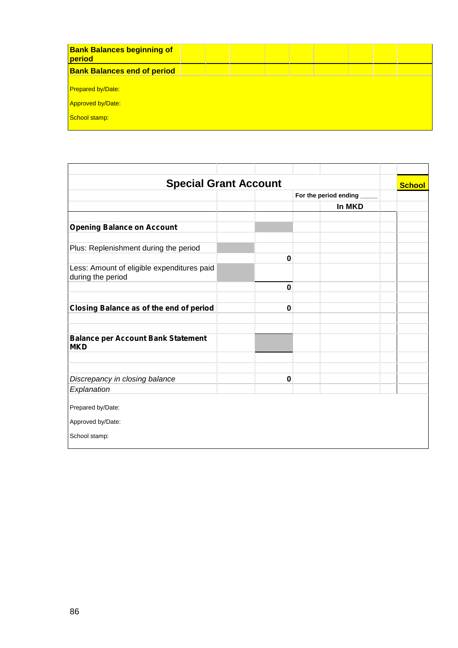| <b>Bank Balances beginning of</b><br>period |  |  |  |  |  |
|---------------------------------------------|--|--|--|--|--|
| <b>Bank Balances end of period</b>          |  |  |  |  |  |
|                                             |  |  |  |  |  |
| <b>Prepared by/Date:</b>                    |  |  |  |  |  |
| <b>Approved by/Date:</b>                    |  |  |  |  |  |
| School stamp:                               |  |  |  |  |  |
|                                             |  |  |  |  |  |

| <b>Special Grant Account</b>                                    |             |                       |        |  |  |  |
|-----------------------------------------------------------------|-------------|-----------------------|--------|--|--|--|
|                                                                 |             | For the period ending |        |  |  |  |
|                                                                 |             |                       | In MKD |  |  |  |
| <b>Opening Balance on Account</b>                               |             |                       |        |  |  |  |
| Plus: Replenishment during the period                           |             |                       |        |  |  |  |
|                                                                 | $\bf{0}$    |                       |        |  |  |  |
| Less: Amount of eligible expenditures paid<br>during the period |             |                       |        |  |  |  |
|                                                                 | $\mathbf 0$ |                       |        |  |  |  |
| Closing Balance as of the end of period                         | $\bf{0}$    |                       |        |  |  |  |
| <b>Balance per Account Bank Statement</b>                       |             |                       |        |  |  |  |
| <b>MKD</b>                                                      |             |                       |        |  |  |  |
|                                                                 |             |                       |        |  |  |  |
| Discrepancy in closing balance                                  | $\bf{0}$    |                       |        |  |  |  |
| Explanation                                                     |             |                       |        |  |  |  |
| Prepared by/Date:<br>Approved by/Date:                          |             |                       |        |  |  |  |
| School stamp:                                                   |             |                       |        |  |  |  |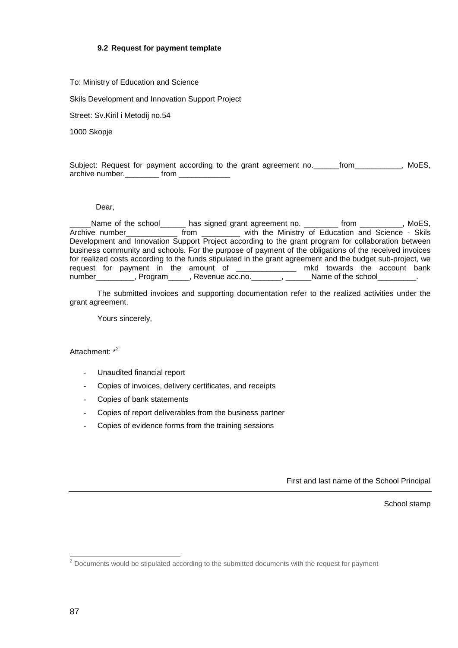#### **9.2 Request for payment template**

#### To: Ministry of Education and Science

Skils Development and Innovation Support Project

Street: Sv.Kiril i Metodij no.54

1000 Skopje

Subject: Request for payment according to the grant agreement no. [from The MoES, archive number. The from the state of the state of the state of the state of the state of the state of the sta

#### Dear,

\_\_\_\_\_Name of the school\_\_\_\_\_\_ has signed grant agreement no. \_\_\_\_\_\_\_\_ from \_\_\_\_\_\_\_\_\_\_, MoES, Archive number\_\_\_\_\_\_\_\_\_\_\_\_ from \_\_\_\_\_\_\_\_\_ with the Ministry of Education and Science - Skils Development and Innovation Support Project according to the grant program for collaboration between business community and schools. For the purpose of payment of the obligations of the received invoices for realized costs according to the funds stipulated in the grant agreement and the budget sub-project, we request for payment in the amount of \_\_\_\_\_\_\_\_\_\_\_\_\_\_ mkd towards the account bank number\_\_\_\_\_\_\_\_\_, Program\_\_\_\_\_, Revenue acc.no.\_\_\_\_\_\_\_, \_\_\_\_\_\_Name of the school\_\_\_\_\_\_\_\_\_.

The submitted invoices and supporting documentation refer to the realized activities under the grant agreement.

Yours sincerely,

Attachment: \*<sup>2</sup>

- Unaudited financial report
- Copies of invoices, delivery certificates, and receipts
- Copies of bank statements
- Copies of report deliverables from the business partner
- Copies of evidence forms from the training sessions

First and last name of the School Principal

School stamp

 $2$  Documents would be stipulated according to the submitted documents with the request for payment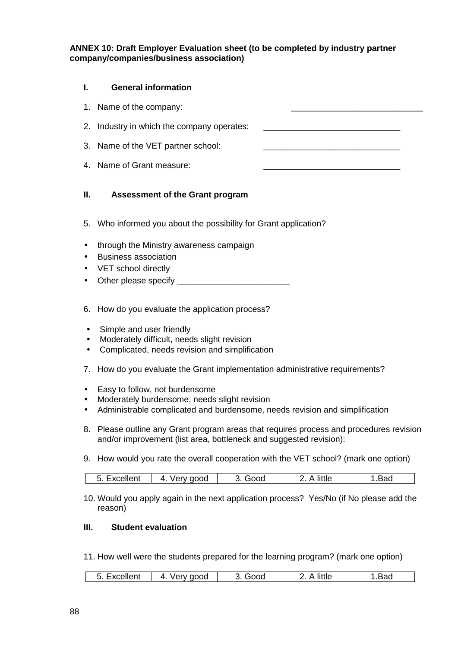**ANNEX 10: Draft Employer Evaluation sheet (to be completed by industry partner company/companies/business association)**

#### **I. General information**

1. Name of the company:

2. Industry in which the company operates:

- 3. Name of the VET partner school:
- 4. Name of Grant measure:

#### **II. Assessment of the Grant program**

- 5. Who informed you about the possibility for Grant application?
- through the Ministry awareness campaign
- Business association
- VET school directly
- Other please specify **EXALLEN**
- 6. How do you evaluate the application process?
- Simple and user friendly
- Moderately difficult, needs slight revision
- Complicated, needs revision and simplification
- 7. How do you evaluate the Grant implementation administrative requirements?
- Easy to follow, not burdensome
- Moderately burdensome, needs slight revision
- Administrable complicated and burdensome, needs revision and simplification
- 8. Please outline any Grant program areas that requires process and procedures revision and/or improvement (list area, bottleneck and suggested revision):
- 9. How would you rate the overall cooperation with the VET school? (mark one option)

| 4<br>,, , , | little<br>___ |  |
|-------------|---------------|--|
|-------------|---------------|--|

10. Would you apply again in the next application process? Yes/No (if No please add the reason)

### **III. Student evaluation**

11. How well were the students prepared for the learning program? (mark one option)

| ,av<br>________ | . | boot | CC | little |  |
|-----------------|---|------|----|--------|--|
|-----------------|---|------|----|--------|--|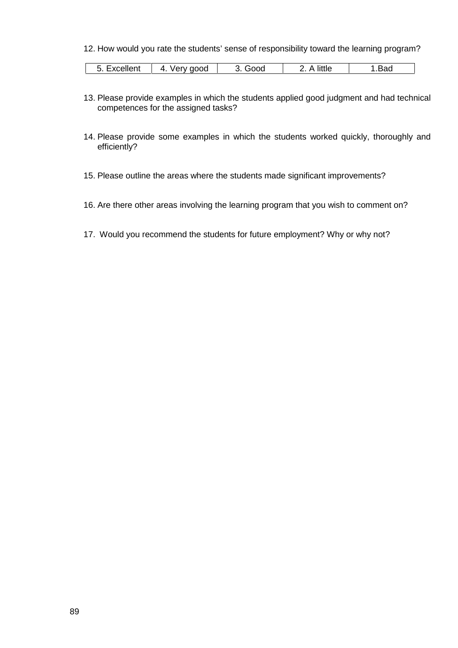#### 12. How would you rate the students' sense of responsibility toward the learning program?

| .voollant<br>4.<br>aood<br>ood<br>xcellen.<br>$\overline{ }$ | little | вас |
|--------------------------------------------------------------|--------|-----|
|--------------------------------------------------------------|--------|-----|

- 13. Please provide examples in which the students applied good judgment and had technical competences for the assigned tasks?
- 14. Please provide some examples in which the students worked quickly, thoroughly and efficiently?
- 15. Please outline the areas where the students made significant improvements?
- 16. Are there other areas involving the learning program that you wish to comment on?
- 17. Would you recommend the students for future employment? Why or why not?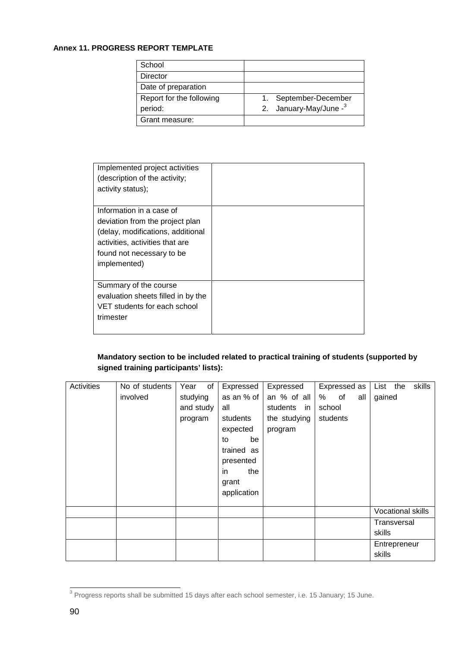#### **Annex 11. PROGRESS REPORT TEMPLATE**

| School                   |                                    |
|--------------------------|------------------------------------|
| Director                 |                                    |
| Date of preparation      |                                    |
| Report for the following | September-December                 |
| period:                  | 2. January-May/June - <sup>3</sup> |
| Grant measure:           |                                    |

| Implemented project activities     |  |
|------------------------------------|--|
| (description of the activity;      |  |
| activity status);                  |  |
|                                    |  |
| Information in a case of           |  |
| deviation from the project plan    |  |
| (delay, modifications, additional  |  |
| activities, activities that are    |  |
| found not necessary to be          |  |
| implemented)                       |  |
|                                    |  |
| Summary of the course              |  |
| evaluation sheets filled in by the |  |
| VET students for each school       |  |
| trimester                          |  |
|                                    |  |
|                                    |  |

## **Mandatory section to be included related to practical training of students (supported by signed training participants' lists):**

| Activities | No of students | Year                   | of | Expressed   | Expressed    | Expressed as | skills<br>List the |
|------------|----------------|------------------------|----|-------------|--------------|--------------|--------------------|
|            | involved       | studying<br>as an % of |    |             | an % of all  | % of<br>all  | gained             |
|            |                | and study              |    | all         | students in  | school       |                    |
|            |                | program                |    | students    | the studying | students     |                    |
|            |                |                        |    | expected    | program      |              |                    |
|            |                |                        |    | be<br>to    |              |              |                    |
|            |                |                        |    | trained as  |              |              |                    |
|            |                |                        |    | presented   |              |              |                    |
|            |                |                        |    | the<br>in   |              |              |                    |
|            |                |                        |    | grant       |              |              |                    |
|            |                |                        |    | application |              |              |                    |
|            |                |                        |    |             |              |              |                    |
|            |                |                        |    |             |              |              | Vocational skills  |
|            |                |                        |    |             |              |              | Transversal        |
|            |                |                        |    |             |              |              | skills             |
|            |                |                        |    |             |              |              | Entrepreneur       |
|            |                |                        |    |             |              |              | skills             |

<sup>&</sup>lt;sup>3</sup> Progress reports shall be submitted 15 days after each school semester, i.e. 15 January; 15 June.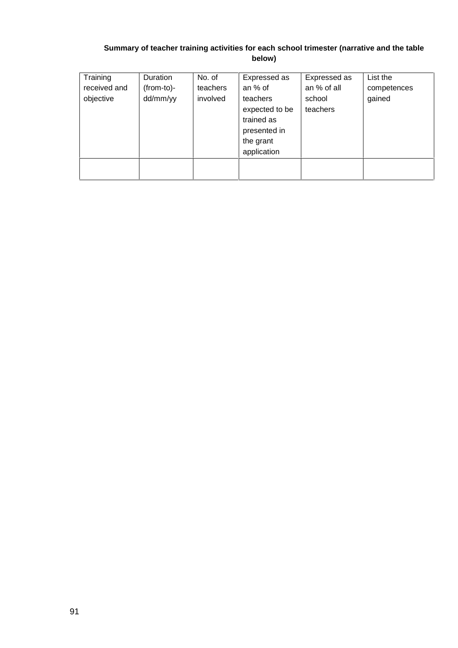## **Summary of teacher training activities for each school trimester (narrative and the table below)**

| Training<br>received and<br>objective | <b>Duration</b><br>(from-to)-<br>dd/mm/yy | No. of<br>teachers<br>involved | Expressed as<br>an % of<br>teachers<br>expected to be<br>trained as<br>presented in<br>the grant<br>application | Expressed as<br>an % of all<br>school<br>teachers | List the<br>competences<br>gained |
|---------------------------------------|-------------------------------------------|--------------------------------|-----------------------------------------------------------------------------------------------------------------|---------------------------------------------------|-----------------------------------|
|                                       |                                           |                                |                                                                                                                 |                                                   |                                   |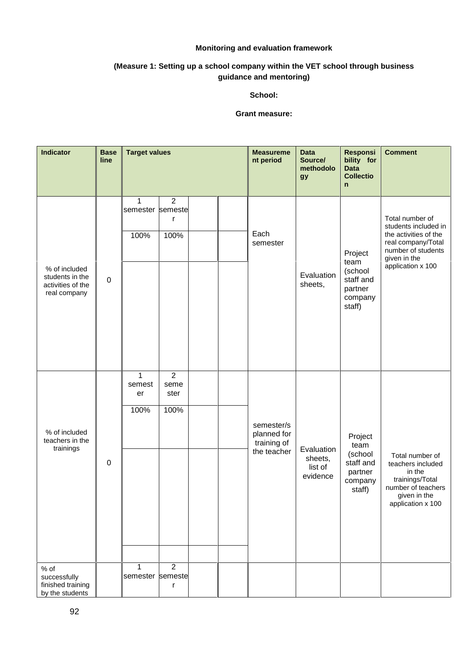#### **Monitoring and evaluation framework**

### **(Measure 1: Setting up a school company within the VET school through business guidance and mentoring)**

#### **School:**

#### **Grant measure:**

| <b>Indicator</b>                                                      | <b>Base</b><br>line | <b>Target values</b>                 |                                        |  | <b>Measureme</b><br>nt period                           | <b>Data</b><br>Source/<br>methodolo<br><b>gy</b> | <b>Responsi</b><br>bility for<br><b>Data</b><br><b>Collectio</b><br>n   | <b>Comment</b>                                                                                                                                    |
|-----------------------------------------------------------------------|---------------------|--------------------------------------|----------------------------------------|--|---------------------------------------------------------|--------------------------------------------------|-------------------------------------------------------------------------|---------------------------------------------------------------------------------------------------------------------------------------------------|
| % of included<br>students in the<br>activities of the<br>real company | $\pmb{0}$           | 1<br>semester semeste<br>100%        | $\overline{2}$<br>r<br>100%            |  | Each<br>semester                                        | Evaluation<br>sheets,                            | Project<br>team<br>(school<br>staff and<br>partner<br>company<br>staff) | Total number of<br>students included in<br>the activities of the<br>real company/Total<br>number of students<br>given in the<br>application x 100 |
| % of included<br>teachers in the<br>trainings                         | $\mathbf 0$         | $\mathbf{1}$<br>semest<br>er<br>100% | $\overline{2}$<br>seme<br>ster<br>100% |  | semester/s<br>planned for<br>training of<br>the teacher | Evaluation<br>sheets,<br>list of<br>evidence     | Project<br>team<br>(school<br>staff and<br>partner<br>company<br>staff) | Total number of<br>teachers included<br>in the<br>trainings/Total<br>number of teachers<br>given in the<br>application x 100                      |
| $%$ of<br>successfully<br>finished training<br>by the students        |                     | $\mathbf 1$<br>semester semeste      | $\overline{2}$<br>r                    |  |                                                         |                                                  |                                                                         |                                                                                                                                                   |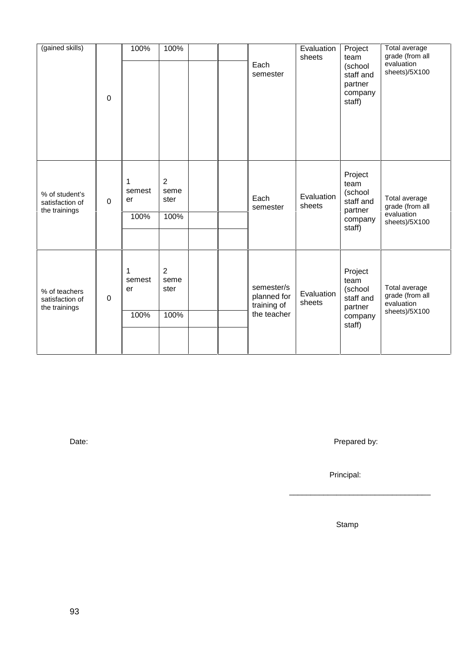| (gained skills)                                    | 0           | 100%                      | 100%                      | Each<br>semester                                        | Evaluation<br>sheets | Project<br>team<br>(school<br>staff and<br>partner<br>company<br>staff) | Total average<br>grade (from all<br>evaluation<br>sheets)/5X100 |
|----------------------------------------------------|-------------|---------------------------|---------------------------|---------------------------------------------------------|----------------------|-------------------------------------------------------------------------|-----------------------------------------------------------------|
| % of student's<br>satisfaction of<br>the trainings | $\mathbf 0$ | 1<br>semest<br>er<br>100% | 2<br>seme<br>ster<br>100% | Each<br>semester                                        | Evaluation<br>sheets | Project<br>team<br>(school<br>staff and<br>partner<br>company<br>staff) | Total average<br>grade (from all<br>evaluation<br>sheets)/5X100 |
| % of teachers<br>satisfaction of<br>the trainings  | $\pmb{0}$   | 1<br>semest<br>er<br>100% | 2<br>seme<br>ster<br>100% | semester/s<br>planned for<br>training of<br>the teacher | Evaluation<br>sheets | Project<br>team<br>(school<br>staff and<br>partner<br>company<br>staff) | Total average<br>grade (from all<br>evaluation<br>sheets)/5X100 |

Date: Prepared by:

\_\_\_\_\_\_\_\_\_\_\_\_\_\_\_\_\_\_\_\_\_\_\_\_\_\_\_\_\_\_\_\_\_

Principal:

Stamp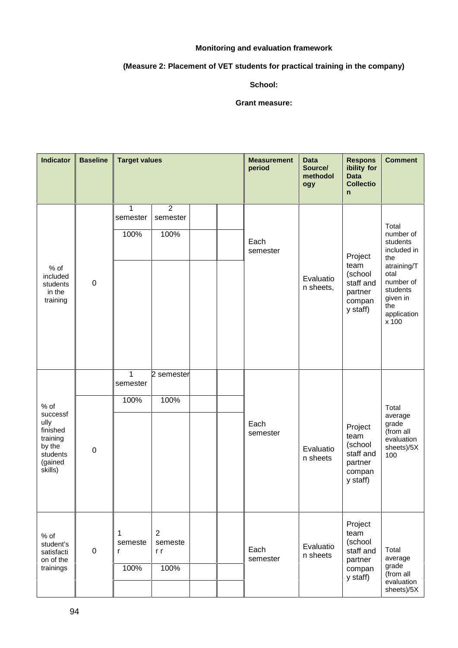#### **Monitoring and evaluation framework**

## **(Measure 2: Placement of VET students for practical training in the company)**

#### **School:**

#### **Grant measure:**

| <b>Indicator</b>                                                                               | <b>Baseline</b> |                           | <b>Target values</b><br>$\overline{2}$<br>1<br>semester<br>100%<br>100%<br>1<br>2 semester<br>100%<br>100%<br>$\overline{2}$<br>semeste<br>r r |  |  | <b>Measurement</b><br>period | <b>Data</b><br>Source/<br>methodol<br>ogy | <b>Respons</b><br>ibility for<br><b>Data</b><br><b>Collectio</b><br>n    | <b>Comment</b>                                                                                                                                  |
|------------------------------------------------------------------------------------------------|-----------------|---------------------------|------------------------------------------------------------------------------------------------------------------------------------------------|--|--|------------------------------|-------------------------------------------|--------------------------------------------------------------------------|-------------------------------------------------------------------------------------------------------------------------------------------------|
| $%$ of<br>included<br>students<br>in the<br>training                                           | $\pmb{0}$       | semester                  |                                                                                                                                                |  |  | Each<br>semester             | Evaluatio<br>n sheets,                    | Project<br>team<br>(school<br>staff and<br>partner<br>compan<br>y staff) | Total<br>number of<br>students<br>included in<br>the<br>atraining/T<br>otal<br>number of<br>students<br>given in<br>the<br>application<br>x 100 |
| $%$ of<br>successf<br>ully<br>finished<br>training<br>by the<br>students<br>(gained<br>skills) | $\pmb{0}$       | semester                  |                                                                                                                                                |  |  | Each<br>semester             | Evaluatio<br>n sheets                     | Project<br>team<br>(school<br>staff and<br>partner<br>compan<br>y staff) | Total<br>average<br>grade<br>(from all<br>evaluation<br>sheets)/5X<br>100                                                                       |
| % of<br>student's<br>satisfacti<br>on of the<br>trainings                                      | $\pmb{0}$       | 1<br>semeste<br>r<br>100% | 100%                                                                                                                                           |  |  | Each<br>semester             | Evaluatio<br>n sheets                     | Project<br>team<br>(school<br>staff and<br>partner<br>compan<br>y staff) | Total<br>average<br>grade<br>(from all<br>evaluation<br>sheets)/5X                                                                              |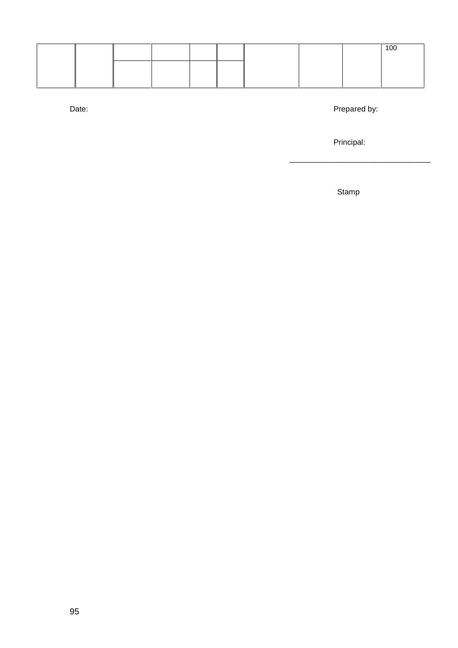|  |  |  |  | 100 |
|--|--|--|--|-----|
|  |  |  |  |     |
|  |  |  |  |     |

Date: Prepared by:

\_\_\_\_\_\_\_\_\_\_\_\_\_\_\_\_\_\_\_\_\_\_\_\_\_\_\_\_\_\_\_\_\_

Principal:

Stamp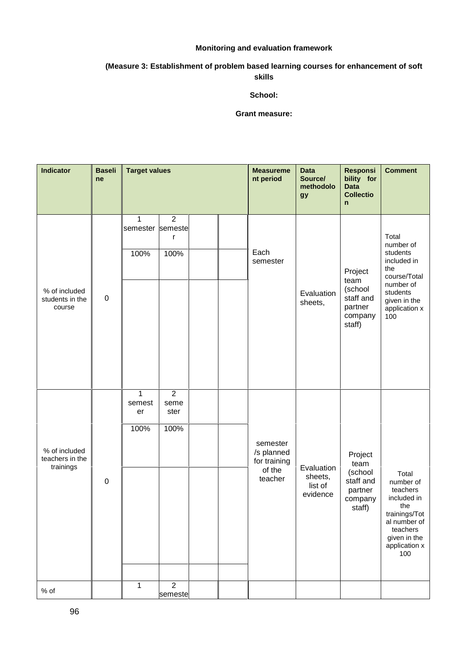#### **Monitoring and evaluation framework**

#### **(Measure 3: Establishment of problem based learning courses for enhancement of soft skills**

#### **School:**

#### **Grant measure:**

| <b>Indicator</b>                              | <b>Baseli</b><br>ne | <b>Target values</b>                     |                                        |  | <b>Measureme</b><br>nt period                               | <b>Data</b><br>Source/<br>methodolo<br>gy    | <b>Responsi</b><br>bility for<br><b>Data</b><br><b>Collectio</b><br>n   | <b>Comment</b>                                                                                                                            |
|-----------------------------------------------|---------------------|------------------------------------------|----------------------------------------|--|-------------------------------------------------------------|----------------------------------------------|-------------------------------------------------------------------------|-------------------------------------------------------------------------------------------------------------------------------------------|
| % of included<br>students in the<br>course    | $\pmb{0}$           | $\mathbf{1}$<br>semester semeste<br>100% | $\overline{2}$<br>$\mathsf r$<br>100%  |  | Each<br>semester                                            | Evaluation<br>sheets,                        | Project<br>team<br>(school<br>staff and<br>partner<br>company<br>staff) | Total<br>number of<br>students<br>included in<br>the<br>course/Total<br>number of<br>students<br>given in the<br>application x<br>100     |
| % of included<br>teachers in the<br>trainings | $\pmb{0}$           | $\mathbf{1}$<br>semest<br>er<br>100%     | $\overline{2}$<br>seme<br>ster<br>100% |  | semester<br>/s planned<br>for training<br>of the<br>teacher | Evaluation<br>sheets,<br>list of<br>evidence | Project<br>team<br>(school<br>staff and<br>partner<br>company<br>staff) | Total<br>number of<br>teachers<br>included in<br>the<br>trainings/Tot<br>al number of<br>teachers<br>given in the<br>application x<br>100 |
| % of                                          |                     | $\mathbf 1$                              | $\overline{2}$<br>semeste              |  |                                                             |                                              |                                                                         |                                                                                                                                           |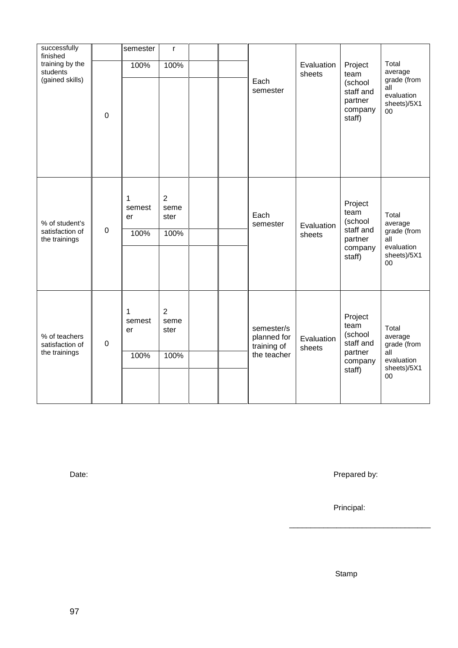| successfully<br>finished                           |             | semester                  | $\mathsf{r}$                           |  |                                                         |                      |                                                                         |                                                                                            |  |
|----------------------------------------------------|-------------|---------------------------|----------------------------------------|--|---------------------------------------------------------|----------------------|-------------------------------------------------------------------------|--------------------------------------------------------------------------------------------|--|
| training by the<br>students<br>(gained skills)     | 0           | 100%                      | 100%                                   |  | Each<br>semester                                        | Evaluation<br>sheets | Project<br>team<br>(school<br>staff and<br>partner<br>company<br>staff) | Total<br>average<br>grade (from<br>all<br>evaluation<br>sheets)/5X1<br>$00\,$              |  |
| % of student's<br>satisfaction of<br>the trainings | $\mathbf 0$ | 1<br>semest<br>er<br>100% | $\overline{2}$<br>seme<br>ster<br>100% |  | Each<br>semester                                        | Evaluation<br>sheets | Project<br>team<br>(school<br>staff and<br>partner<br>company<br>staff) | Total<br>average<br>grade (from<br>$\overline{all}$<br>evaluation<br>sheets)/5X1<br>$00\,$ |  |
| % of teachers<br>satisfaction of<br>the trainings  | $\mathbf 0$ | 1<br>semest<br>er<br>100% | $\overline{2}$<br>seme<br>ster<br>100% |  | semester/s<br>planned for<br>training of<br>the teacher | Evaluation<br>sheets | Project<br>team<br>(school<br>staff and<br>partner<br>company<br>staff) | Total<br>average<br>grade (from<br>all<br>evaluation<br>sheets)/5X1<br>00                  |  |

Date: Prepared by:

\_\_\_\_\_\_\_\_\_\_\_\_\_\_\_\_\_\_\_\_\_\_\_\_\_\_\_\_\_\_\_\_\_

Principal:

Stamp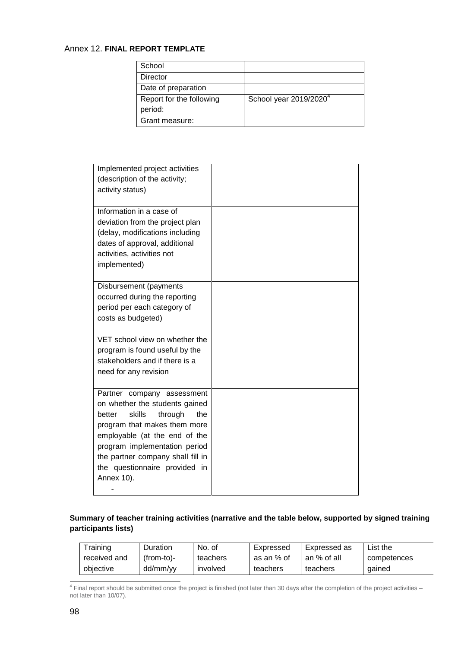#### Annex 12. **FINAL REPORT TEMPLATE**

| School                   |                                    |
|--------------------------|------------------------------------|
| Director                 |                                    |
| Date of preparation      |                                    |
| Report for the following | School year 2019/2020 <sup>4</sup> |
| period:                  |                                    |
| Grant measure:           |                                    |

| Implemented project activities<br>(description of the activity;<br>activity status)                                                                                                                                                                                                      |  |
|------------------------------------------------------------------------------------------------------------------------------------------------------------------------------------------------------------------------------------------------------------------------------------------|--|
| Information in a case of<br>deviation from the project plan<br>(delay, modifications including<br>dates of approval, additional<br>activities, activities not<br>implemented)                                                                                                            |  |
| Disbursement (payments<br>occurred during the reporting<br>period per each category of<br>costs as budgeted)                                                                                                                                                                             |  |
| VET school view on whether the<br>program is found useful by the<br>stakeholders and if there is a<br>need for any revision                                                                                                                                                              |  |
| Partner company assessment<br>on whether the students gained<br>better<br>skills<br>the<br>through<br>program that makes them more<br>employable (at the end of the<br>program implementation period<br>the partner company shall fill in<br>the questionnaire provided in<br>Annex 10). |  |

## **Summary of teacher training activities (narrative and the table below, supported by signed training participants lists)**

| Training     | Duration     | No. of   | Expressed  | Expressed as | List the    |
|--------------|--------------|----------|------------|--------------|-------------|
| received and | $(from-to)-$ | teachers | as an % of | an % of all  | competences |
| objective    | dd/mm/yy     | involved | teachers   | teachers     | qained      |

<sup>4</sup> Final report should be submitted once the project is finished (not later than 30 days after the completion of the project activities – not later than 10/07).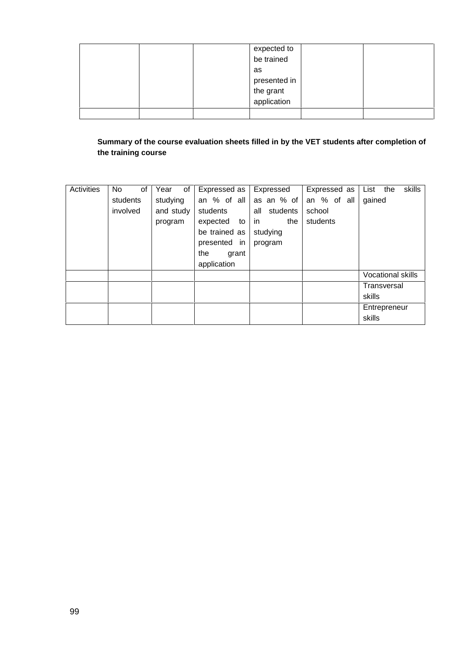|  | expected to<br>be trained                |  |
|--|------------------------------------------|--|
|  |                                          |  |
|  | as                                       |  |
|  |                                          |  |
|  |                                          |  |
|  | presented in<br>the grant<br>application |  |
|  |                                          |  |

## **Summary of the course evaluation sheets filled in by the VET students after completion of the training course**

| Activities | No.<br>of | of<br>Year | Expressed as  | Expressed       | Expressed as | List the<br>skills       |
|------------|-----------|------------|---------------|-----------------|--------------|--------------------------|
|            | students  | studying   | an % of all   | as an % of      | an % of all  | gained                   |
|            | involved  | and study  | students      | all<br>students | school       |                          |
|            |           | program    | expected to   | the<br>in.      | students     |                          |
|            |           |            | be trained as | studying        |              |                          |
|            |           |            | presented in  | program         |              |                          |
|            |           |            | the<br>grant  |                 |              |                          |
|            |           |            | application   |                 |              |                          |
|            |           |            |               |                 |              | <b>Vocational skills</b> |
|            |           |            |               |                 |              | Transversal              |
|            |           |            |               |                 |              | skills                   |
|            |           |            |               |                 |              | Entrepreneur             |
|            |           |            |               |                 |              | skills                   |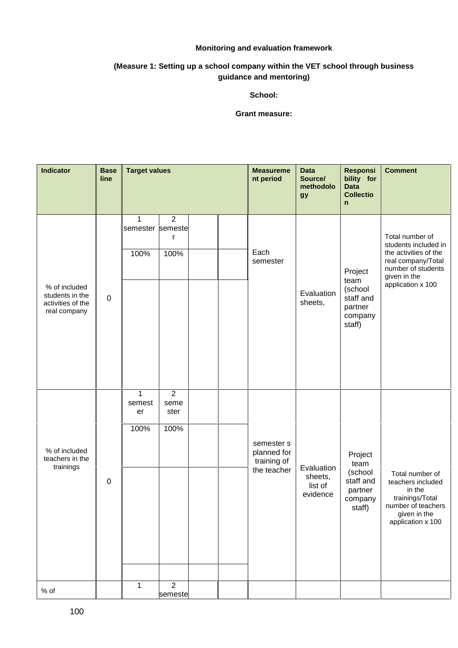#### **Monitoring and evaluation framework**

#### **(Measure 1: Setting up a school company within the VET school through business guidance and mentoring)**

#### **School:**

#### **Grant measure:**

| Indicator                                                             | <b>Base</b><br>line | <b>Target values</b>                     |                                        |  | <b>Measureme</b><br>nt period                           | <b>Data</b><br>Source/<br>methodolo<br>gy    | <b>Responsi</b><br>bility for<br><b>Data</b><br><b>Collectio</b><br>$\mathsf{n}$ | <b>Comment</b>                                                                                                                                    |
|-----------------------------------------------------------------------|---------------------|------------------------------------------|----------------------------------------|--|---------------------------------------------------------|----------------------------------------------|----------------------------------------------------------------------------------|---------------------------------------------------------------------------------------------------------------------------------------------------|
| % of included<br>students in the<br>activities of the<br>real company | $\pmb{0}$           | $\mathbf{1}$<br>semester semeste<br>100% | $\overline{2}$<br>$\mathsf{r}$<br>100% |  | Each<br>semester                                        | Evaluation<br>sheets,                        | Project<br>team<br>(school<br>staff and<br>partner<br>company<br>staff)          | Total number of<br>students included in<br>the activities of the<br>real company/Total<br>number of students<br>given in the<br>application x 100 |
| % of included<br>teachers in the<br>trainings                         | $\pmb{0}$           | $\mathbf{1}$<br>semest<br>er<br>100%     | $\overline{2}$<br>seme<br>ster<br>100% |  | semester s<br>planned for<br>training of<br>the teacher | Evaluation<br>sheets,<br>list of<br>evidence | Project<br>team<br>(school<br>staff and<br>partner<br>company<br>staff)          | Total number of<br>teachers included<br>in the<br>trainings/Total<br>number of teachers<br>given in the<br>application x 100                      |
| $%$ of                                                                |                     | $\mathbf{1}$                             | $\overline{2}$<br>semeste              |  |                                                         |                                              |                                                                                  |                                                                                                                                                   |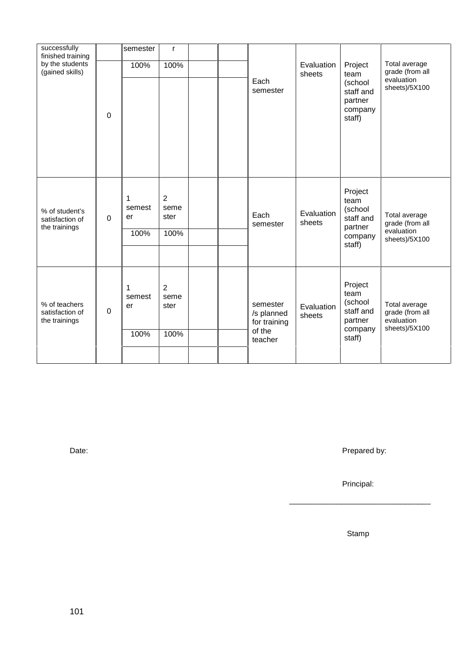| successfully<br>finished training<br>by the students<br>(gained skills) |             | semester<br>$\mathsf{r}$<br>100%<br>100% |                                        | Evaluation<br>sheets | Project<br>team                                             | Total average<br>grade (from all |                                                                         |                                                                 |
|-------------------------------------------------------------------------|-------------|------------------------------------------|----------------------------------------|----------------------|-------------------------------------------------------------|----------------------------------|-------------------------------------------------------------------------|-----------------------------------------------------------------|
|                                                                         | $\mathbf 0$ |                                          |                                        |                      | Each<br>semester                                            |                                  | (school<br>staff and<br>partner<br>company<br>staff)                    | evaluation<br>sheets)/5X100                                     |
| % of student's<br>satisfaction of<br>the trainings                      | $\Omega$    | 1<br>semest<br>er<br>100%                | $\overline{2}$<br>seme<br>ster<br>100% |                      | Each<br>semester                                            | Evaluation<br>sheets             | Project<br>team<br>(school<br>staff and<br>partner<br>company<br>staff) | Total average<br>grade (from all<br>evaluation<br>sheets)/5X100 |
| % of teachers<br>satisfaction of<br>the trainings                       | 0           | 1<br>semest<br>er<br>100%                | 2<br>seme<br>ster<br>100%              |                      | semester<br>/s planned<br>for training<br>of the<br>teacher | Evaluation<br>sheets             | Project<br>team<br>(school<br>staff and<br>partner<br>company<br>staff) | Total average<br>grade (from all<br>evaluation<br>sheets)/5X100 |

Date: Prepared by:

\_\_\_\_\_\_\_\_\_\_\_\_\_\_\_\_\_\_\_\_\_\_\_\_\_\_\_\_\_\_\_\_\_

Principal:

Stamp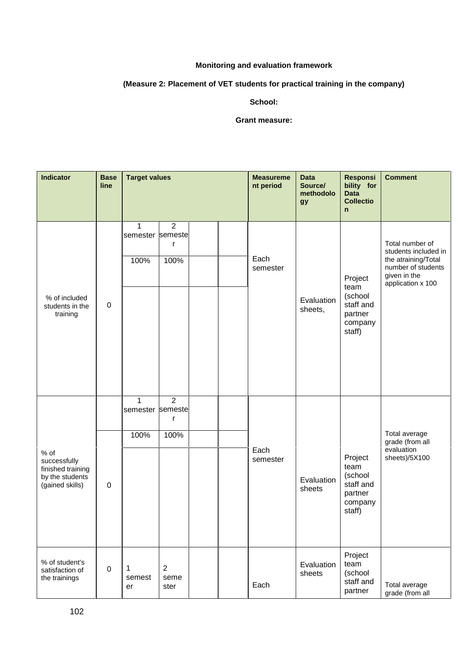## **Monitoring and evaluation framework**

## **(Measure 2: Placement of VET students for practical training in the company)**

#### **School:**

#### **Grant measure:**

| <b>Indicator</b>                                                                | <b>Base</b><br>line | <b>Target values</b>             |                                                      |  | <b>Measureme</b><br>nt period | <b>Data</b><br>Source/<br>methodolo<br>gy | <b>Responsi</b><br>bility for<br><b>Data</b><br><b>Collectio</b><br>$\mathsf{n}$ | <b>Comment</b>                                                                                                            |
|---------------------------------------------------------------------------------|---------------------|----------------------------------|------------------------------------------------------|--|-------------------------------|-------------------------------------------|----------------------------------------------------------------------------------|---------------------------------------------------------------------------------------------------------------------------|
|                                                                                 |                     | 1<br>semester semeste<br>100%    | $\overline{2}$<br>r<br>100%                          |  | Each<br>semester              |                                           | Project<br>team                                                                  | Total number of<br>students included in<br>the atraining/Total<br>number of students<br>given in the<br>application x 100 |
| % of included<br>students in the<br>training                                    | $\mathbf 0$         | Evaluation<br>sheets,            | (school<br>staff and<br>partner<br>company<br>staff) |  |                               |                                           |                                                                                  |                                                                                                                           |
|                                                                                 |                     | $\mathbf{1}$<br>semester semeste | $\overline{2}$<br>r                                  |  |                               |                                           |                                                                                  | Total average<br>grade (from all<br>evaluation                                                                            |
|                                                                                 |                     | 100%                             | 100%                                                 |  | Each<br>semester              |                                           | Project<br>team<br>(school<br>staff and<br>partner<br>company<br>staff)          |                                                                                                                           |
| % of<br>successfully<br>finished training<br>by the students<br>(gained skills) | $\mathbf 0$         |                                  |                                                      |  |                               | Evaluation<br>sheets                      |                                                                                  | sheets)/5X100                                                                                                             |
| % of student's<br>satisfaction of<br>the trainings                              | $\pmb{0}$           | 1<br>semest<br>er                | $\overline{2}$<br>seme<br>ster                       |  | Each                          | Evaluation<br>sheets                      | Project<br>team<br>(school<br>staff and<br>partner                               | Total average<br>grade (from all                                                                                          |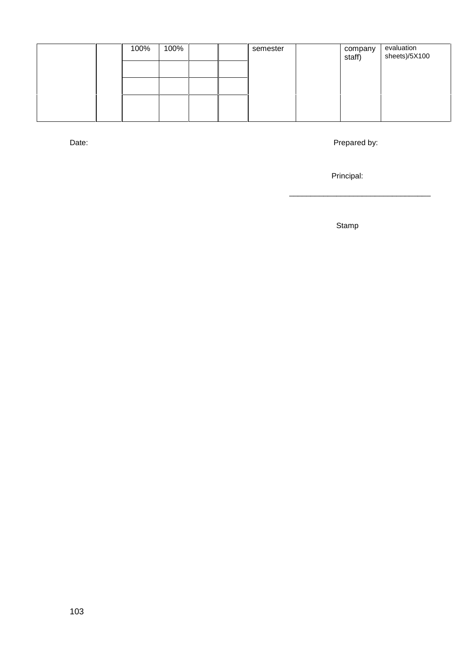| 100% | 100% |  | semester | company<br>staff) | evaluation<br>sheets)/5X100 |
|------|------|--|----------|-------------------|-----------------------------|
|      |      |  |          |                   |                             |
|      |      |  |          |                   |                             |
|      |      |  |          |                   |                             |

Date: Prepared by:

\_\_\_\_\_\_\_\_\_\_\_\_\_\_\_\_\_\_\_\_\_\_\_\_\_\_\_\_\_\_\_\_\_

Principal:

Stamp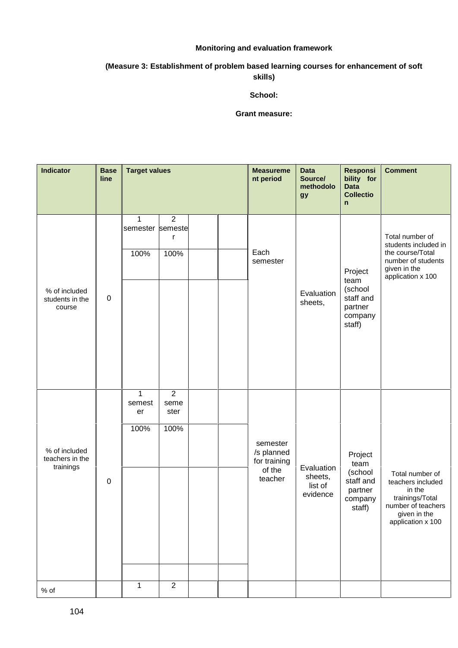#### **Monitoring and evaluation framework**

#### **(Measure 3: Establishment of problem based learning courses for enhancement of soft skills)**

## **School:**

#### **Grant measure:**

| Indicator                                     | <b>Base</b><br>line | <b>Target values</b>                     |                                        |  | <b>Measureme</b><br>nt period                               | <b>Data</b><br>Source/<br>methodolo<br>gy    | <b>Responsi</b><br>bility for<br><b>Data</b><br><b>Collectio</b><br>$\mathsf{n}$ | <b>Comment</b>                                                                                                               |
|-----------------------------------------------|---------------------|------------------------------------------|----------------------------------------|--|-------------------------------------------------------------|----------------------------------------------|----------------------------------------------------------------------------------|------------------------------------------------------------------------------------------------------------------------------|
| % of included<br>students in the<br>course    | $\pmb{0}$           | $\mathbf{1}$<br>semester semeste<br>100% | $\overline{2}$<br>r<br>100%            |  | Each<br>semester                                            | Evaluation<br>sheets,                        | Project<br>team<br>(school<br>staff and<br>partner<br>company<br>staff)          | Total number of<br>students included in<br>the course/Total<br>number of students<br>given in the<br>application x 100       |
| % of included<br>teachers in the<br>trainings | $\pmb{0}$           | $\mathbf{1}$<br>semest<br>er<br>100%     | $\overline{2}$<br>seme<br>ster<br>100% |  | semester<br>/s planned<br>for training<br>of the<br>teacher | Evaluation<br>sheets,<br>list of<br>evidence | Project<br>team<br>(school<br>staff and<br>partner<br>company<br>staff)          | Total number of<br>teachers included<br>in the<br>trainings/Total<br>number of teachers<br>given in the<br>application x 100 |
| $%$ of                                        |                     | $\mathbf{1}$                             | $\overline{2}$                         |  |                                                             |                                              |                                                                                  |                                                                                                                              |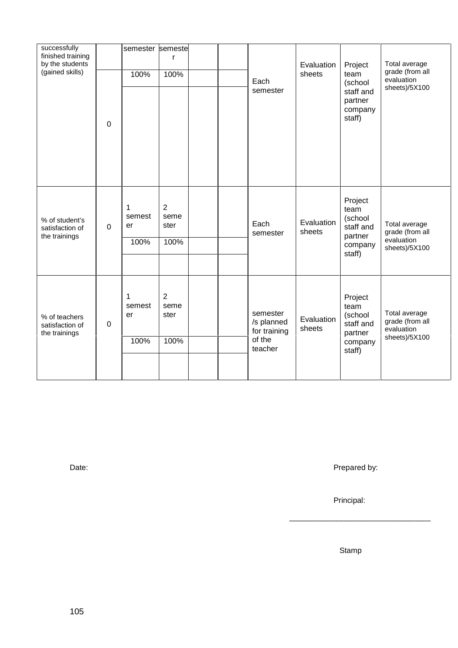| successfully<br>finished training<br>by the students<br>(gained skills) | $\mathbf 0$      | semester semeste<br>100%            | r<br>100%                              |  | Each<br>semester                                            | Evaluation<br>sheets | Project<br>team<br>(school<br>staff and<br>partner<br>company<br>staff) | Total average<br>grade (from all<br>evaluation<br>sheets)/5X100 |
|-------------------------------------------------------------------------|------------------|-------------------------------------|----------------------------------------|--|-------------------------------------------------------------|----------------------|-------------------------------------------------------------------------|-----------------------------------------------------------------|
| % of student's<br>satisfaction of<br>the trainings                      | $\mathbf 0$      | $\mathbf 1$<br>semest<br>er<br>100% | $\overline{2}$<br>seme<br>ster<br>100% |  | Each<br>semester                                            | Evaluation<br>sheets | Project<br>team<br>(school<br>staff and<br>partner<br>company<br>staff) | Total average<br>grade (from all<br>evaluation<br>sheets)/5X100 |
| % of teachers<br>satisfaction of<br>the trainings                       | $\boldsymbol{0}$ | 1<br>semest<br>er<br>100%           | $\overline{2}$<br>seme<br>ster<br>100% |  | semester<br>/s planned<br>for training<br>of the<br>teacher | Evaluation<br>sheets | Project<br>team<br>(school<br>staff and<br>partner<br>company<br>staff) | Total average<br>grade (from all<br>evaluation<br>sheets)/5X100 |

Date: Prepared by:

\_\_\_\_\_\_\_\_\_\_\_\_\_\_\_\_\_\_\_\_\_\_\_\_\_\_\_\_\_\_\_\_\_

Principal:

Stamp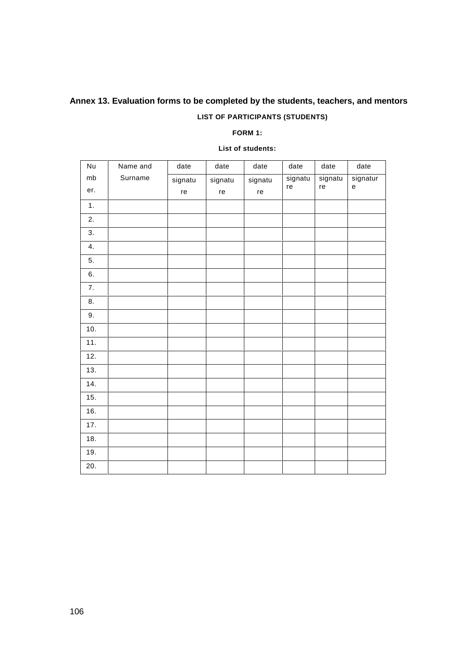# **Annex 13. Evaluation forms to be completed by the students, teachers, and mentors**

## **LIST OF PARTICIPANTS (STUDENTS)**

#### **FORM 1:**

| Nu  | Name and | date    | date    | date    | date          | date          | date                                                   |
|-----|----------|---------|---------|---------|---------------|---------------|--------------------------------------------------------|
| mb  | Surname  | signatu | signatu | signatu | signatu<br>re | signatu<br>re | signatur<br>$\mathsf{e}% _{0}\left( \mathsf{e}\right)$ |
| er. |          | re      | re      | re      |               |               |                                                        |
| 1.  |          |         |         |         |               |               |                                                        |
| 2.  |          |         |         |         |               |               |                                                        |
| 3.  |          |         |         |         |               |               |                                                        |
| 4.  |          |         |         |         |               |               |                                                        |
| 5.  |          |         |         |         |               |               |                                                        |
| 6.  |          |         |         |         |               |               |                                                        |
| 7.  |          |         |         |         |               |               |                                                        |
| 8.  |          |         |         |         |               |               |                                                        |
| 9.  |          |         |         |         |               |               |                                                        |
| 10. |          |         |         |         |               |               |                                                        |
| 11. |          |         |         |         |               |               |                                                        |
| 12. |          |         |         |         |               |               |                                                        |
| 13. |          |         |         |         |               |               |                                                        |
| 14. |          |         |         |         |               |               |                                                        |
| 15. |          |         |         |         |               |               |                                                        |
| 16. |          |         |         |         |               |               |                                                        |
| 17. |          |         |         |         |               |               |                                                        |
| 18. |          |         |         |         |               |               |                                                        |
| 19. |          |         |         |         |               |               |                                                        |
| 20. |          |         |         |         |               |               |                                                        |

#### **List of students:**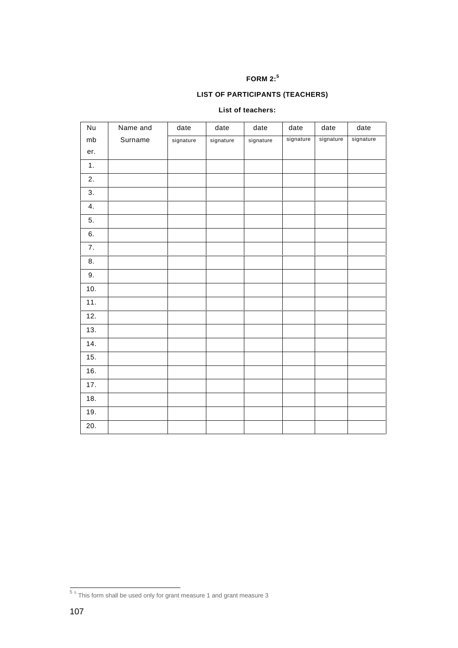## **FORM 2:<sup>5</sup>**

## **LIST OF PARTICIPANTS (TEACHERS)**

#### **List of teachers:**

| Nu  | Name and | date      | date      | date      | date      | date      | date      |
|-----|----------|-----------|-----------|-----------|-----------|-----------|-----------|
| mb  | Surname  | signature | signature | signature | signature | signature | signature |
| er. |          |           |           |           |           |           |           |
| 1.  |          |           |           |           |           |           |           |
| 2.  |          |           |           |           |           |           |           |
| 3.  |          |           |           |           |           |           |           |
| 4.  |          |           |           |           |           |           |           |
| 5.  |          |           |           |           |           |           |           |
| 6.  |          |           |           |           |           |           |           |
| 7.  |          |           |           |           |           |           |           |
| 8.  |          |           |           |           |           |           |           |
| 9.  |          |           |           |           |           |           |           |
| 10. |          |           |           |           |           |           |           |
| 11. |          |           |           |           |           |           |           |
| 12. |          |           |           |           |           |           |           |
| 13. |          |           |           |           |           |           |           |
| 14. |          |           |           |           |           |           |           |
| 15. |          |           |           |           |           |           |           |
| 16. |          |           |           |           |           |           |           |
| 17. |          |           |           |           |           |           |           |
| 18. |          |           |           |           |           |           |           |
| 19. |          |           |           |           |           |           |           |
| 20. |          |           |           |           |           |           |           |

 $\frac{1}{5}$  5 This form shall be used only for grant measure 1 and grant measure 3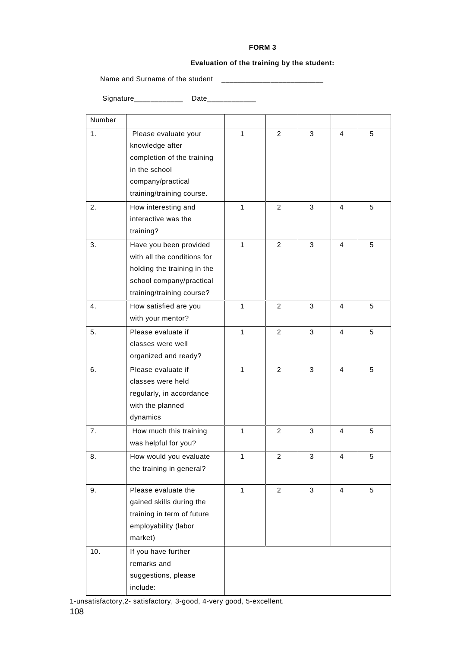#### **FORM 3**

#### **Evaluation of the training by the student:**

Name and Surname of the student \_\_\_\_\_\_\_\_\_\_\_\_\_\_\_\_\_\_\_\_\_\_\_\_\_

Signature\_\_\_\_\_\_\_\_\_\_\_\_\_\_\_ Date\_\_\_\_\_\_\_\_\_\_\_\_\_\_\_

| Number |                                                                                                                                               |              |                |   |                |   |
|--------|-----------------------------------------------------------------------------------------------------------------------------------------------|--------------|----------------|---|----------------|---|
| 1.     | Please evaluate your<br>knowledge after<br>completion of the training<br>in the school<br>company/practical<br>training/training course.      | 1            | $\overline{2}$ | 3 | 4              | 5 |
| 2.     | How interesting and<br>interactive was the<br>training?                                                                                       | 1            | $\overline{2}$ | 3 | 4              | 5 |
| 3.     | Have you been provided<br>with all the conditions for<br>holding the training in the<br>school company/practical<br>training/training course? | 1            | $\mathcal{P}$  | 3 | 4              | 5 |
| 4.     | How satisfied are you<br>with your mentor?                                                                                                    | 1            | 2              | 3 | 4              | 5 |
| 5.     | Please evaluate if<br>classes were well<br>organized and ready?                                                                               | 1            | $\overline{2}$ | 3 | 4              | 5 |
| 6.     | Please evaluate if<br>classes were held<br>regularly, in accordance<br>with the planned<br>dynamics                                           | 1            | $\mathcal{P}$  | 3 | 4              | 5 |
| 7.     | How much this training<br>was helpful for you?                                                                                                | 1            | $\overline{2}$ | 3 | 4              | 5 |
| 8.     | How would you evaluate<br>the training in general?                                                                                            | 1            | 2              | 3 | 4              | 5 |
| 9.     | Please evaluate the<br>gained skills during the<br>training in term of future<br>employability (labor<br>market)                              | $\mathbf{1}$ | $\overline{2}$ | 3 | $\overline{4}$ | 5 |
| 10.    | If you have further<br>remarks and<br>suggestions, please<br>include:                                                                         |              |                |   |                |   |

1-unsatisfactory,2- satisfactory, 3-good, 4-very good, 5-excellent.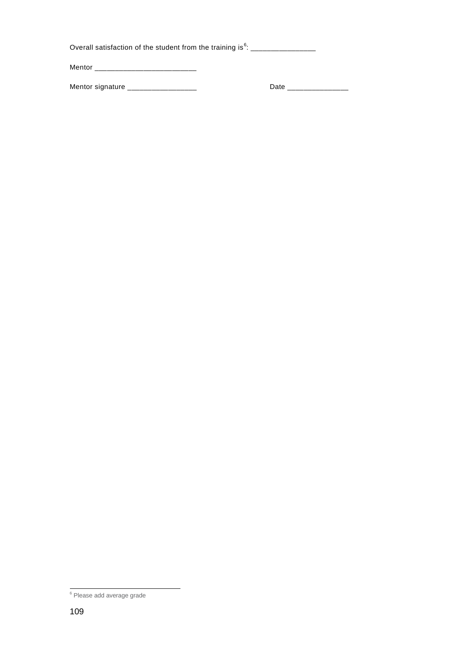| Overall satisfaction of the student from the training is $6$ : |      |  |  |  |  |
|----------------------------------------------------------------|------|--|--|--|--|
| Mentor                                                         |      |  |  |  |  |
| Mentor signature ____________                                  | Date |  |  |  |  |

 $6$  Please add average grade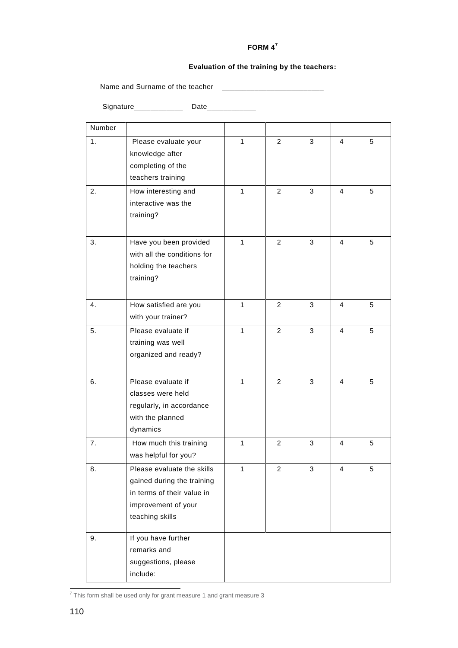#### **FORM 4<sup>7</sup>**

#### **Evaluation of the training by the teachers:**

Name and Surname of the teacher \_\_\_\_\_\_\_\_\_\_\_\_\_\_\_\_\_\_\_\_\_\_\_\_\_

Signature\_\_\_\_\_\_\_\_\_\_\_\_\_\_\_ Date\_\_\_\_\_\_\_\_\_\_\_\_\_

| Number |                                         |              |                |   |                |   |
|--------|-----------------------------------------|--------------|----------------|---|----------------|---|
| 1.     | Please evaluate your                    | $\mathbf{1}$ | $\overline{2}$ | 3 | $\overline{4}$ | 5 |
|        | knowledge after                         |              |                |   |                |   |
|        | completing of the                       |              |                |   |                |   |
|        | teachers training                       |              |                |   |                |   |
| 2.     | How interesting and                     | $\mathbf{1}$ | 2              | 3 | $\overline{4}$ | 5 |
|        | interactive was the                     |              |                |   |                |   |
|        | training?                               |              |                |   |                |   |
| 3.     | Have you been provided                  | $\mathbf{1}$ | $\overline{2}$ | 3 | 4              | 5 |
|        | with all the conditions for             |              |                |   |                |   |
|        | holding the teachers                    |              |                |   |                |   |
|        | training?                               |              |                |   |                |   |
|        |                                         |              |                |   |                |   |
| 4.     | How satisfied are you                   | $\mathbf{1}$ | $\overline{2}$ | 3 | 4              | 5 |
|        | with your trainer?                      |              |                |   |                |   |
| 5.     | Please evaluate if                      | 1            | $\overline{2}$ | 3 | 4              | 5 |
|        | training was well                       |              |                |   |                |   |
|        | organized and ready?                    |              |                |   |                |   |
|        |                                         | $\mathbf{1}$ |                |   |                |   |
| 6.     | Please evaluate if<br>classes were held |              | $\overline{2}$ | 3 | 4              | 5 |
|        | regularly, in accordance                |              |                |   |                |   |
|        | with the planned                        |              |                |   |                |   |
|        | dynamics                                |              |                |   |                |   |
| 7.     | How much this training                  | $\mathbf{1}$ | 2              | 3 | 4              | 5 |
|        | was helpful for you?                    |              |                |   |                |   |
| 8.     | Please evaluate the skills              | 1            | 2              | 3 | 4              | 5 |
|        | gained during the training              |              |                |   |                |   |
|        | in terms of their value in              |              |                |   |                |   |
|        | improvement of your                     |              |                |   |                |   |
|        | teaching skills                         |              |                |   |                |   |
| 9.     | If you have further                     |              |                |   |                |   |
|        | remarks and                             |              |                |   |                |   |
|        | suggestions, please                     |              |                |   |                |   |
|        | include:                                |              |                |   |                |   |

 $\frac{7}{7}$  This form shall be used only for grant measure 1 and grant measure 3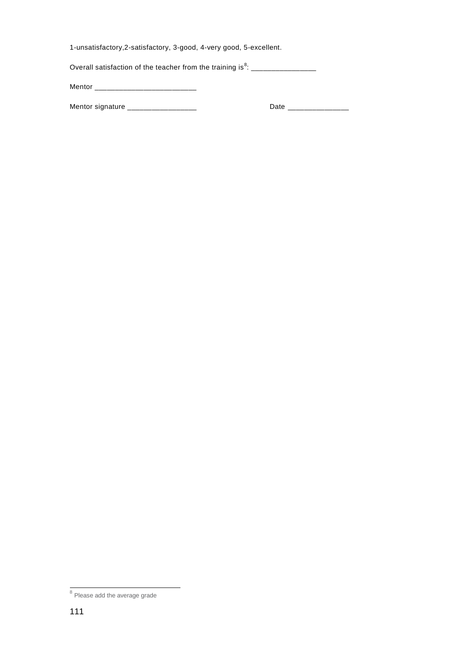1-unsatisfactory,2-satisfactory, 3-good, 4-very good, 5-excellent.

Overall satisfaction of the teacher from the training is $^8$ : \_\_\_\_\_\_\_\_\_\_\_\_\_\_\_\_\_\_

Mentor \_\_\_\_\_\_\_\_\_\_\_\_\_\_\_\_\_\_\_\_\_\_\_\_\_

Mentor signature \_\_\_\_\_\_\_\_\_\_\_\_\_\_\_\_\_ Date \_\_\_\_\_\_\_\_\_\_\_\_\_\_\_

<sup>&</sup>lt;sup>8</sup> Please add the average grade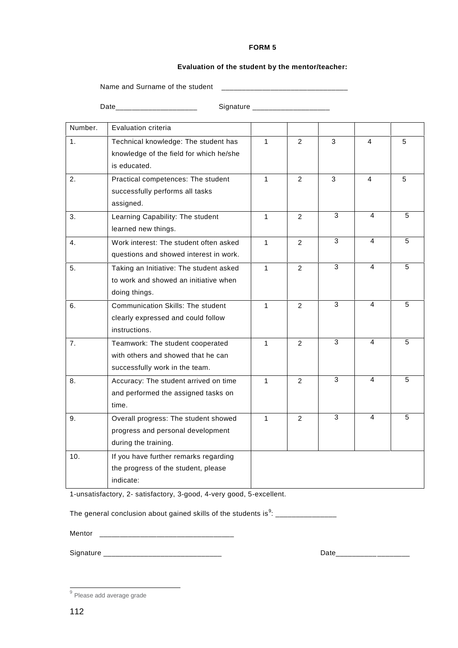#### **FORM 5**

#### **Evaluation of the student by the mentor/teacher:**

Name and Surname of the student \_\_\_\_\_\_\_\_\_\_\_\_\_\_\_\_\_\_\_\_\_\_\_\_\_\_\_\_\_\_\_

Date\_\_\_\_\_\_\_\_\_\_\_\_\_\_\_\_\_\_\_\_ Signature \_\_\_\_\_\_\_\_\_\_\_\_\_\_\_\_\_\_\_

| Number.          | Evaluation criteria                      |              |                |                |                |                |
|------------------|------------------------------------------|--------------|----------------|----------------|----------------|----------------|
| 1.               | Technical knowledge: The student has     | $\mathbf{1}$ | $\overline{2}$ | 3              | 4              | 5              |
|                  | knowledge of the field for which he/she  |              |                |                |                |                |
|                  | is educated.                             |              |                |                |                |                |
| 2.               | Practical competences: The student       | $\mathbf{1}$ | $\overline{2}$ | 3              | $\overline{4}$ | 5              |
|                  | successfully performs all tasks          |              |                |                |                |                |
|                  | assigned.                                |              |                |                |                |                |
| 3.               | Learning Capability: The student         | $\mathbf{1}$ | $\overline{2}$ | 3              | 4              | 5              |
|                  | learned new things.                      |              |                |                |                |                |
| $\overline{4}$ . | Work interest: The student often asked   | $\mathbf{1}$ | $\overline{2}$ | 3              | 4              | 5              |
|                  | questions and showed interest in work.   |              |                |                |                |                |
| 5.               | Taking an Initiative: The student asked  | $\mathbf{1}$ | $\overline{2}$ | $\overline{3}$ | 4              | $\overline{5}$ |
|                  | to work and showed an initiative when    |              |                |                |                |                |
|                  | doing things.                            |              |                |                |                |                |
| 6.               | <b>Communication Skills: The student</b> | $\mathbf{1}$ | 2              | 3              | 4              | 5              |
|                  | clearly expressed and could follow       |              |                |                |                |                |
|                  | instructions.                            |              |                |                |                |                |
| 7.               | Teamwork: The student cooperated         | $\mathbf{1}$ | $\overline{2}$ | 3              | 4              | 5              |
|                  | with others and showed that he can       |              |                |                |                |                |
|                  | successfully work in the team.           |              |                |                |                |                |
| 8.               | Accuracy: The student arrived on time    | 1            | $\overline{2}$ | 3              | 4              | 5              |
|                  | and performed the assigned tasks on      |              |                |                |                |                |
|                  | time.                                    |              |                |                |                |                |
| 9.               | Overall progress: The student showed     | $\mathbf{1}$ | $\mathcal{P}$  | 3              | 4              | 5              |
|                  | progress and personal development        |              |                |                |                |                |
|                  | during the training.                     |              |                |                |                |                |
| 10.              | If you have further remarks regarding    |              |                |                |                |                |
|                  | the progress of the student, please      |              |                |                |                |                |
|                  | indicate:                                |              |                |                |                |                |

1-unsatisfactory, 2- satisfactory, 3-good, 4-very good, 5-excellent.

The general conclusion about gained skills of the students is $^9$ : \_\_\_\_\_\_\_\_\_\_\_\_\_\_\_

Mentor \_\_\_\_\_\_\_\_\_\_\_\_\_\_\_\_\_\_\_\_\_\_\_\_\_\_\_\_\_\_\_\_\_

Signature **Example 2** Date

 $\frac{9}{9}$  Please add average grade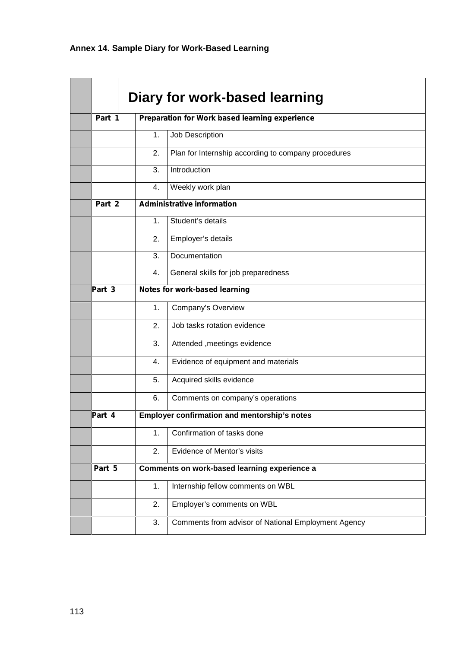|        |               | Diary for work-based learning                       |  |  |  |
|--------|---------------|-----------------------------------------------------|--|--|--|
| Part 1 |               | Preparation for Work based learning experience      |  |  |  |
|        | 1.            | Job Description                                     |  |  |  |
|        | 2.            | Plan for Internship according to company procedures |  |  |  |
|        | 3.            | Introduction                                        |  |  |  |
|        | 4.            | Weekly work plan                                    |  |  |  |
| Part 2 |               | <b>Administrative information</b>                   |  |  |  |
|        | $\mathbf 1$ . | Student's details                                   |  |  |  |
|        | 2.            | Employer's details                                  |  |  |  |
|        | 3.            | Documentation                                       |  |  |  |
|        | 4.            | General skills for job preparedness                 |  |  |  |
| Part 3 |               | Notes for work-based learning                       |  |  |  |
|        | 1.            | Company's Overview                                  |  |  |  |
|        | 2.            | Job tasks rotation evidence                         |  |  |  |
|        | 3.            | Attended , meetings evidence                        |  |  |  |
|        | 4.            | Evidence of equipment and materials                 |  |  |  |
|        | 5.            | Acquired skills evidence                            |  |  |  |
|        | 6.            | Comments on company's operations                    |  |  |  |
| Part 4 |               | Employer confirmation and mentorship's notes        |  |  |  |
|        | 1.            | Confirmation of tasks done                          |  |  |  |
|        | 2.            | Evidence of Mentor's visits                         |  |  |  |
| Part 5 |               | <b>Comments on work-based learning experience</b>   |  |  |  |
|        | 1.            | Internship fellow comments on WBL                   |  |  |  |
|        | 2.            | Employer's comments on WBL                          |  |  |  |
|        | 3.            | Comments from advisor of National Employment Agency |  |  |  |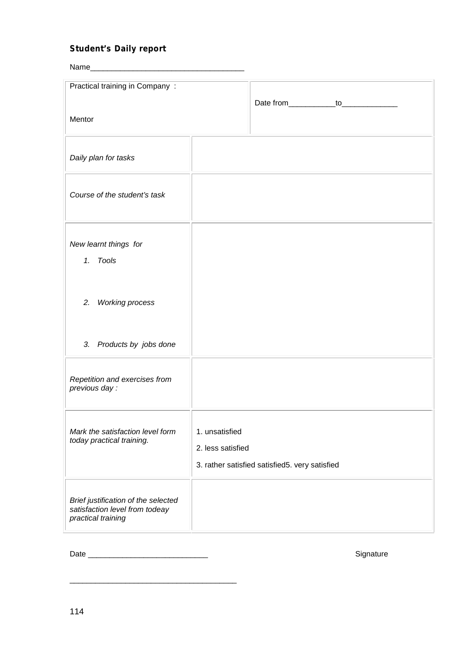# *Student's Daily report*

| Name_                                                |                                                |  |  |  |  |  |
|------------------------------------------------------|------------------------------------------------|--|--|--|--|--|
| Practical training in Company:                       |                                                |  |  |  |  |  |
|                                                      | Date from_____________to______________         |  |  |  |  |  |
| Mentor                                               |                                                |  |  |  |  |  |
|                                                      |                                                |  |  |  |  |  |
| Daily plan for tasks                                 |                                                |  |  |  |  |  |
|                                                      |                                                |  |  |  |  |  |
| Course of the student's task                         |                                                |  |  |  |  |  |
|                                                      |                                                |  |  |  |  |  |
|                                                      |                                                |  |  |  |  |  |
| New learnt things for                                |                                                |  |  |  |  |  |
| 1. Tools                                             |                                                |  |  |  |  |  |
|                                                      |                                                |  |  |  |  |  |
| <b>Working process</b><br>2.                         |                                                |  |  |  |  |  |
|                                                      |                                                |  |  |  |  |  |
| 3. Products by jobs done                             |                                                |  |  |  |  |  |
|                                                      |                                                |  |  |  |  |  |
| Repetition and exercises from                        |                                                |  |  |  |  |  |
| previous day :                                       |                                                |  |  |  |  |  |
|                                                      |                                                |  |  |  |  |  |
| Mark the satisfaction level form                     | 1. unsatisfied                                 |  |  |  |  |  |
| today practical training.                            | 2. less satisfied                              |  |  |  |  |  |
|                                                      | 3. rather satisfied satisfied5. very satisfied |  |  |  |  |  |
|                                                      |                                                |  |  |  |  |  |
| Brief justification of the selected                  |                                                |  |  |  |  |  |
| satisfaction level from todeay<br>practical training |                                                |  |  |  |  |  |
|                                                      |                                                |  |  |  |  |  |

Date \_\_\_\_\_\_\_\_\_\_\_\_\_\_\_\_\_\_\_\_\_\_\_\_\_\_\_\_ Signature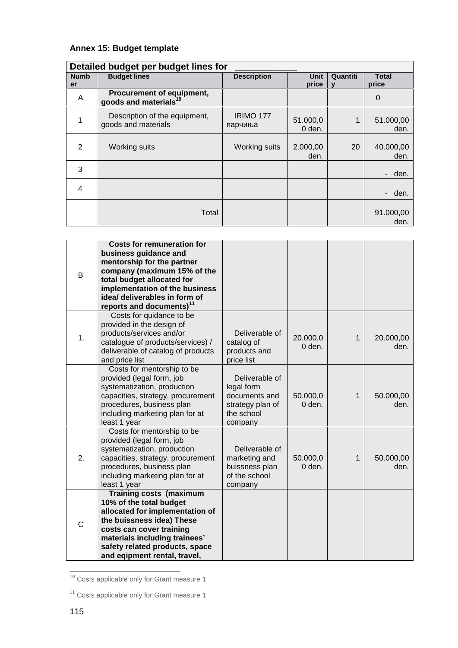# **Annex 15: Budget template**

| Detailed budget per budget lines for |                                                                |                    |                    |                          |                       |  |  |  |
|--------------------------------------|----------------------------------------------------------------|--------------------|--------------------|--------------------------|-----------------------|--|--|--|
| <b>Numb</b><br>er                    | <b>Budget lines</b>                                            | <b>Description</b> | Unit<br>price      | Quantiti<br>$\mathbf{v}$ | <b>Total</b><br>price |  |  |  |
| A                                    | Procurement of equipment,<br>goods and materials <sup>10</sup> |                    |                    |                          | 0                     |  |  |  |
|                                      | Description of the equipment,<br>goods and materials           | IRIMO 177          | 51.000,0<br>0 den. |                          | 51.000,00<br>den.     |  |  |  |
| 2                                    | Working suits                                                  | Working suits      | 2.000,00<br>den.   | 20                       | 40.000,00<br>den.     |  |  |  |
| 3                                    |                                                                |                    |                    |                          | - den.                |  |  |  |
| 4                                    |                                                                |                    |                    |                          | - den.                |  |  |  |
|                                      | Total                                                          |                    |                    |                          | 91.000,00<br>den.     |  |  |  |

| B            | <b>Costs for remuneration for</b><br>business guidance and<br>mentorship for the partner<br>company (maximum 15% of the<br>total budget allocated for<br>implementation of the business<br>idea/ deliverables in form of<br>reports and documents) <sup>11</sup> |                                                                                            |                      |   |                   |
|--------------|------------------------------------------------------------------------------------------------------------------------------------------------------------------------------------------------------------------------------------------------------------------|--------------------------------------------------------------------------------------------|----------------------|---|-------------------|
| 1.           | Costs for quidance to be<br>provided in the design of<br>products/services and/or<br>catalogue of products/services) /<br>deliverable of catalog of products<br>and price list                                                                                   | Deliverable of<br>catalog of<br>products and<br>price list                                 | 20.000,0<br>$0$ den. | 1 | 20.000,00<br>den. |
|              | Costs for mentorship to be<br>provided (legal form, job<br>systematization, production<br>capacities, strategy, procurement<br>procedures, business plan<br>including marketing plan for at<br>least 1 year                                                      | Deliverable of<br>legal form<br>documents and<br>strategy plan of<br>the school<br>company | 50.000,0<br>0 den.   | 1 | 50.000,00<br>den. |
| 2.           | Costs for mentorship to be<br>provided (legal form, job<br>systematization, production<br>capacities, strategy, procurement<br>procedures, business plan<br>including marketing plan for at<br>least 1 year                                                      | Deliverable of<br>marketing and<br>buissness plan<br>of the school<br>company              | 50.000,0<br>0 den.   | 1 | 50.000,00<br>den. |
| $\mathsf{C}$ | <b>Training costs (maximum</b><br>10% of the total budget<br>allocated for implementation of<br>the buissness idea) These<br>costs can cover training<br>materials including trainees'<br>safety related products, space<br>and eqipment rental, travel,         |                                                                                            |                      |   |                   |

<sup>10</sup> Costs applicable only for Grant measure 1

<sup>&</sup>lt;sup>11</sup> Costs applicable only for Grant measure 1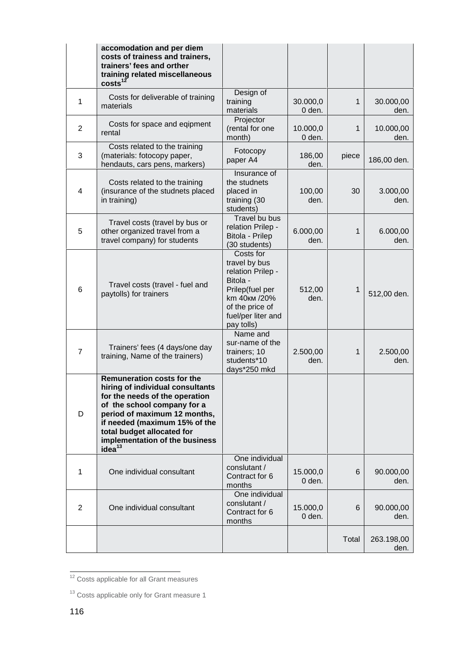|                | accomodation and per diem<br>costs of trainess and trainers,<br>trainers' fees and orther<br>training related miscellaneous<br>costs <sup>12</sup>                                                                                                                                            |                                                                                                                                                        |                    |       |                    |
|----------------|-----------------------------------------------------------------------------------------------------------------------------------------------------------------------------------------------------------------------------------------------------------------------------------------------|--------------------------------------------------------------------------------------------------------------------------------------------------------|--------------------|-------|--------------------|
| 1              | Costs for deliverable of training<br>materials                                                                                                                                                                                                                                                | Design of<br>training<br>materials                                                                                                                     | 30.000,0<br>0 den. | 1     | 30.000,00<br>den.  |
| $\overline{2}$ | Costs for space and eqipment<br>rental                                                                                                                                                                                                                                                        | Projector<br>(rental for one<br>month)                                                                                                                 | 10.000,0<br>0 den. | 1     | 10.000,00<br>den.  |
| 3              | Costs related to the training<br>(materials: fotocopy paper,<br>hendauts, cars pens, markers)                                                                                                                                                                                                 | Fotocopy<br>paper A4                                                                                                                                   | 186,00<br>den.     | piece | 186,00 den.        |
| 4              | Costs related to the training<br>(insurance of the studnets placed<br>in training)                                                                                                                                                                                                            | Insurance of<br>the studnets<br>placed in<br>training (30<br>students)                                                                                 | 100,00<br>den.     | 30    | 3.000,00<br>den.   |
| 5              | Travel costs (travel by bus or<br>other organized travel from a<br>travel company) for students                                                                                                                                                                                               | Travel bu bus<br>relation Prilep -<br>Bitola - Prilep<br>(30 students)                                                                                 | 6.000,00<br>den.   | 1     | 6.000,00<br>den.   |
| 6              | Travel costs (travel - fuel and<br>paytolls) for trainers                                                                                                                                                                                                                                     | Costs for<br>travel by bus<br>relation Prilep -<br>Bitola -<br>Prilep(fuel per<br>km 40<br>/20%<br>of the price of<br>fuel/per liter and<br>pay tolls) | 512,00<br>den.     | 1     | 512,00 den.        |
| $\overline{7}$ | Trainers' fees (4 days/one day<br>training, Name of the trainers)                                                                                                                                                                                                                             | Name and<br>sur-name of the<br>trainers; 10<br>students*10<br>days*250 mkd                                                                             | 2.500,00<br>den.   | 1     | 2.500,00<br>den.   |
| D              | <b>Remuneration costs for the</b><br>hiring of individual consultants<br>for the needs of the operation<br>of the school company for a<br>period of maximum 12 months,<br>if needed (maximum 15% of the<br>total budget allocated for<br>implementation of the business<br>idea <sup>13</sup> |                                                                                                                                                        |                    |       |                    |
| 1              | One individual consultant                                                                                                                                                                                                                                                                     | One individual<br>conslutant /<br>Contract for 6<br>months                                                                                             | 15.000,0<br>0 den. | 6     | 90.000,00<br>den.  |
| 2              | One individual consultant                                                                                                                                                                                                                                                                     | One individual<br>conslutant /<br>Contract for 6<br>months                                                                                             | 15.000,0<br>0 den. | 6     | 90.000,00<br>den.  |
|                |                                                                                                                                                                                                                                                                                               |                                                                                                                                                        |                    | Total | 263.198,00<br>den. |

<sup>&</sup>lt;sup>12</sup> Costs applicable for all Grant measures

<sup>&</sup>lt;sup>13</sup> Costs applicable only for Grant measure 1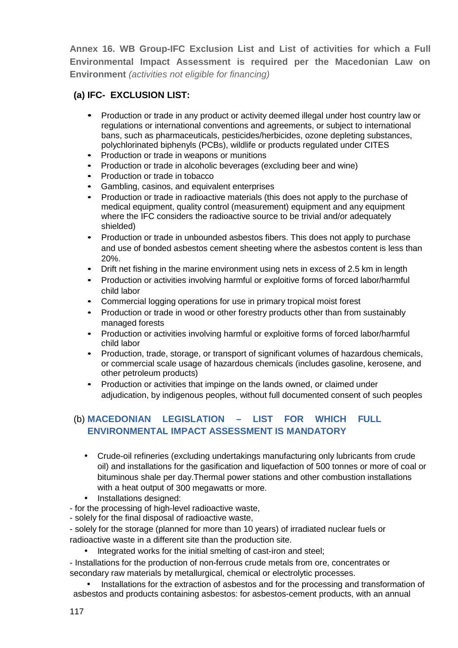**Annex 16. WB Group-IFC Exclusion List and List of activities for which a Full Environmental Impact Assessment is required per the Macedonian Law on Environment** *(activities not eligible for financing)*

## **(a) IFC- EXCLUSION LIST:**

- Production or trade in any product or activity deemed illegal under host country law or regulations or international conventions and agreements, or subject to international bans, such as pharmaceuticals, pesticides/herbicides, ozone depleting substances, polychlorinated biphenyls (PCBs), wildlife or products regulated under CITES
- Production or trade in weapons or munitions
- Production or trade in alcoholic beverages (excluding beer and wine)<br>• Production or trade in tobacco
- 
- Gambling, casinos, and equivalent enterprises
- Production or trade in radioactive materials (this does not apply to the purchase of medical equipment, quality control (measurement) equipment and any equipment where the IFC considers the radioactive source to be trivial and/or adequately shielded)
- Production or trade in unbounded asbestos fibers. This does not apply to purchase and use of bonded asbestos cement sheeting where the asbestos content is less than 20%.
- Drift net fishing in the marine environment using nets in excess of 2.5 km in length
- Production or activities involving harmful or exploitive forms of forced labor/harmful child labor
- Commercial logging operations for use in primary tropical moist forest
- Production or trade in wood or other forestry products other than from sustainably managed forests
- Production or activities involving harmful or exploitive forms of forced labor/harmful child labor
- Production, trade, storage, or transport of significant volumes of hazardous chemicals, or commercial scale usage of hazardous chemicals (includes gasoline, kerosene, and other petroleum products)
- Production or activities that impinge on the lands owned, or claimed under adjudication, by indigenous peoples, without full documented consent of such peoples

## (b) **MACEDONIAN LEGISLATION – LIST FOR WHICH FULL ENVIRONMENTAL IMPACT ASSESSMENT IS MANDATORY**

- Crude-oil refineries (excluding undertakings manufacturing only lubricants from crude oil) and installations for the gasification and liquefaction of 500 tonnes or more of coal or bituminous shale per day.Thermal power stations and other combustion installations with a heat output of 300 megawatts or more.
- Installations designed:
- for the processing of high-level radioactive waste,
- solely for the final disposal of radioactive waste,
- solely for the storage (planned for more than 10 years) of irradiated nuclear fuels or radioactive waste in a different site than the production site.
	- Integrated works for the initial smelting of cast-iron and steel;

- Installations for the production of non-ferrous crude metals from ore, concentrates or secondary raw materials by metallurgical, chemical or electrolytic processes.

 Installations for the extraction of asbestos and for the processing and transformation of asbestos and products containing asbestos: for asbestos-cement products, with an annual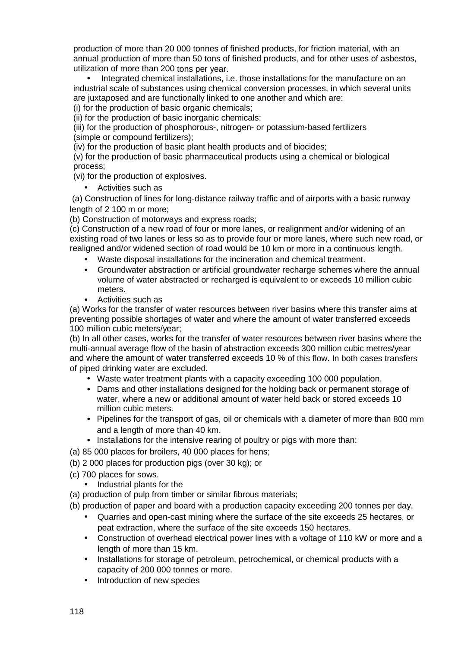production of more than 20 000 tonnes of finished products, for friction material, with an annual production of more than 50 tons of finished products, and for other uses of asbestos, utilization of more than 200 tons per year.

 Integrated chemical installations, i.e. those installations for the manufacture on an industrial scale of substances using chemical conversion processes, in which several units are juxtaposed and are functionally linked to one another and which are:

(i) for the production of basic organic chemicals;

(ii) for the production of basic inorganic chemicals;

(iii) for the production of phosphorous-, nitrogen- or potassium-based fertilizers (simple or compound fertilizers);

(iv) for the production of basic plant health products and of biocides;

(v) for the production of basic pharmaceutical products using a chemical or biological process;

(vi) for the production of explosives.

• Activities such as

(a) Construction of lines for long-distance railway traffic and of airports with a basic runway length of 2 100 m or more;

(b) Construction of motorways and express roads;

(c) Construction of a new road of four or more lanes, or realignment and/or widening of an existing road of two lanes or less so as to provide four or more lanes, where such new road, or realigned and/or widened section of road would be 10 km or more in a continuous length.

- Waste disposal installations for the incineration and chemical treatment.
- Groundwater abstraction or artificial groundwater recharge schemes where the annual volume of water abstracted or recharged is equivalent to or exceeds 10 million cubic meters.
- Activities such as

(a) Works for the transfer of water resources between river basins where this transfer aims at preventing possible shortages of water and where the amount of water transferred exceeds 100 million cubic meters/year;

(b) In all other cases, works for the transfer of water resources between river basins where the multi-annual average flow of the basin of abstraction exceeds 300 million cubic metres/year and where the amount of water transferred exceeds 10 % of this flow. In both cases transfers of piped drinking water are excluded.

- Waste water treatment plants with a capacity exceeding 100 000 population.
- Dams and other installations designed for the holding back or permanent storage of water, where a new or additional amount of water held back or stored exceeds 10 million cubic meters.
- Pipelines for the transport of gas, oil or chemicals with a diameter of more than 800 mm and a length of more than 40 km.
- Installations for the intensive rearing of poultry or pigs with more than:
- (a) 85 000 places for broilers, 40 000 places for hens;
- (b) 2 000 places for production pigs (over 30 kg); or
- (c) 700 places for sows.
	- Industrial plants for the
- (a) production of pulp from timber or similar fibrous materials;
- (b) production of paper and board with a production capacity exceeding 200 tonnes per day.
	- Quarries and open-cast mining where the surface of the site exceeds 25 hectares, or peat extraction, where the surface of the site exceeds 150 hectares.
	- Construction of overhead electrical power lines with a voltage of 110 kW or more and a length of more than 15 km.
	- Installations for storage of petroleum, petrochemical, or chemical products with a capacity of 200 000 tonnes or more.
	- Introduction of new species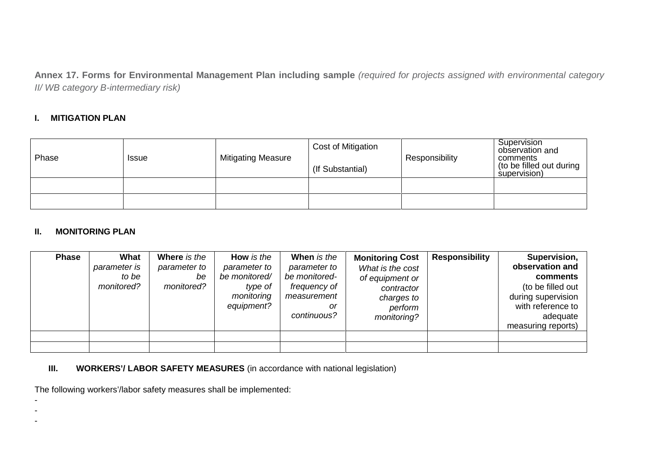**Annex 17. Forms for Environmental Management Plan including sample** *(required for projects assigned with environmental category II/ WB category B-intermediary risk)*

### **I. MITIGATION PLAN**

| Phase | <b>Issue</b> | <b>Mitigating Measure</b> | Cost of Mitigation |                | Supervision<br>observation and                       |
|-------|--------------|---------------------------|--------------------|----------------|------------------------------------------------------|
|       |              |                           | (If Substantial)   | Responsibility | comments<br>(to be filled out during<br>supervision) |
|       |              |                           |                    |                |                                                      |
|       |              |                           |                    |                |                                                      |

#### **II. MONITORING PLAN**

| <b>Phase</b> | What<br>parameter is<br>to be<br>monitored? | Where is the<br>parameter to<br>be<br>monitored? | How is the<br>parameter to<br>be monitored/<br>type of<br>monitoring<br>equipment? | When is the<br>parameter to<br>be monitored-<br>frequency of<br>measurement<br>or<br>continuous? | <b>Monitoring Cost</b><br>What is the cost<br>of equipment or<br>contractor<br>charges to<br>perform<br>monitoring? | <b>Responsibility</b> | Supervision,<br>observation and<br>comments<br>(to be filled out<br>during supervision<br>with reference to<br>adequate<br>measuring reports) |
|--------------|---------------------------------------------|--------------------------------------------------|------------------------------------------------------------------------------------|--------------------------------------------------------------------------------------------------|---------------------------------------------------------------------------------------------------------------------|-----------------------|-----------------------------------------------------------------------------------------------------------------------------------------------|
|              |                                             |                                                  |                                                                                    |                                                                                                  |                                                                                                                     |                       |                                                                                                                                               |

**III.** WORKERS'/ LABOR SAFETY MEASURES (in accordance with national legislation)

The following workers'/labor safety measures shall be implemented:

- -

-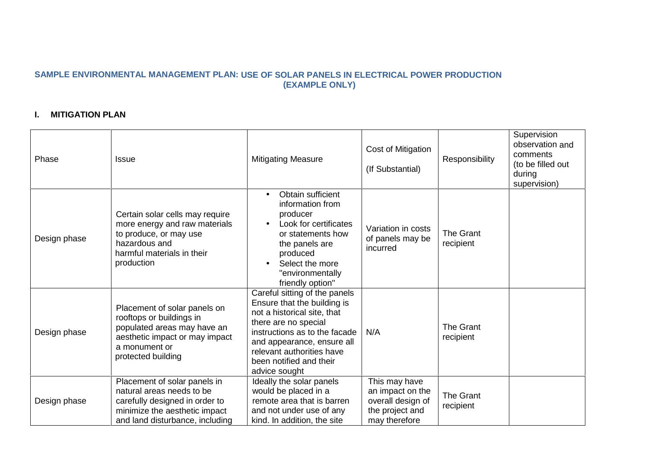## **SAMPLE ENVIRONMENTAL MANAGEMENT PLAN: USE OF SOLAR PANELS IN ELECTRICAL POWER PRODUCTION (EXAMPLE ONLY)**

## **I. MITIGATION PLAN**

| Phase        | <b>Issue</b>                                                                                                                                                     | <b>Mitigating Measure</b>                                                                                                                                                                                                                                   | Cost of Mitigation<br>(If Substantial)                                                     | Responsibility                | Supervision<br>observation and<br>comments<br>(to be filled out<br>during<br>supervision) |
|--------------|------------------------------------------------------------------------------------------------------------------------------------------------------------------|-------------------------------------------------------------------------------------------------------------------------------------------------------------------------------------------------------------------------------------------------------------|--------------------------------------------------------------------------------------------|-------------------------------|-------------------------------------------------------------------------------------------|
| Design phase | Certain solar cells may require<br>more energy and raw materials<br>to produce, or may use<br>hazardous and<br>harmful materials in their<br>production          | Obtain sufficient<br>$\bullet$<br>information from<br>producer<br>Look for certificates<br>or statements how<br>the panels are<br>produced<br>Select the more<br>"environmentally<br>friendly option"                                                       | Variation in costs<br>of panels may be<br>incurred                                         | <b>The Grant</b><br>recipient |                                                                                           |
| Design phase | Placement of solar panels on<br>rooftops or buildings in<br>populated areas may have an<br>aesthetic impact or may impact<br>a monument or<br>protected building | Careful sitting of the panels<br>Ensure that the building is<br>not a historical site, that<br>there are no special<br>instructions as to the facade<br>and appearance, ensure all<br>relevant authorities have<br>been notified and their<br>advice sought | N/A                                                                                        | The Grant<br>recipient        |                                                                                           |
| Design phase | Placement of solar panels in<br>natural areas needs to be<br>carefully designed in order to<br>minimize the aesthetic impact<br>and land disturbance, including  | Ideally the solar panels<br>would be placed in a<br>remote area that is barren<br>and not under use of any<br>kind. In addition, the site                                                                                                                   | This may have<br>an impact on the<br>overall design of<br>the project and<br>may therefore | The Grant<br>recipient        |                                                                                           |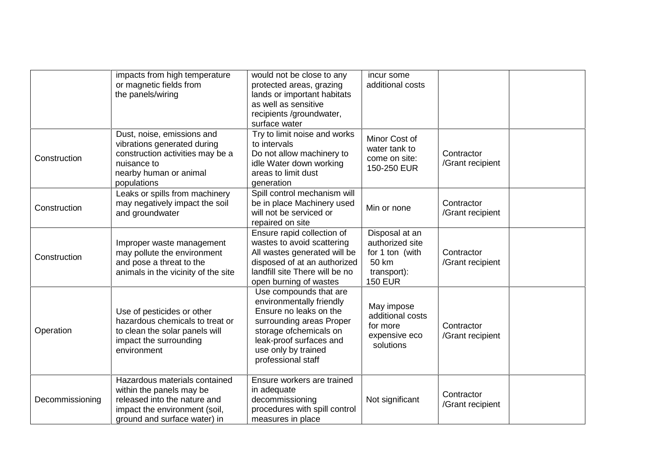|                 | impacts from high temperature<br>or magnetic fields from<br>the panels/wiring                                                                              | would not be close to any<br>protected areas, grazing<br>lands or important habitats<br>as well as sensitive<br>recipients /groundwater,<br>surface water                                                  | incur some<br>additional costs                                                                 |                                |
|-----------------|------------------------------------------------------------------------------------------------------------------------------------------------------------|------------------------------------------------------------------------------------------------------------------------------------------------------------------------------------------------------------|------------------------------------------------------------------------------------------------|--------------------------------|
| Construction    | Dust, noise, emissions and<br>vibrations generated during<br>construction activities may be a<br>nuisance to<br>nearby human or animal<br>populations      | Try to limit noise and works<br>to intervals<br>Do not allow machinery to<br>idle Water down working<br>areas to limit dust<br>generation                                                                  | Minor Cost of<br>water tank to<br>come on site:<br>150-250 EUR                                 | Contractor<br>/Grant recipient |
| Construction    | Leaks or spills from machinery<br>may negatively impact the soil<br>and groundwater                                                                        | Spill control mechanism will<br>be in place Machinery used<br>will not be serviced or<br>repaired on site                                                                                                  | Min or none                                                                                    | Contractor<br>/Grant recipient |
| Construction    | Improper waste management<br>may pollute the environment<br>and pose a threat to the<br>animals in the vicinity of the site                                | Ensure rapid collection of<br>wastes to avoid scattering<br>All wastes generated will be<br>disposed of at an authorized<br>landfill site There will be no<br>open burning of wastes                       | Disposal at an<br>authorized site<br>for 1 ton (with<br>50 km<br>transport):<br><b>150 EUR</b> | Contractor<br>/Grant recipient |
| Operation       | Use of pesticides or other<br>hazardous chemicals to treat or<br>to clean the solar panels will<br>impact the surrounding<br>environment                   | Use compounds that are<br>environmentally friendly<br>Ensure no leaks on the<br>surrounding areas Proper<br>storage ofchemicals on<br>leak-proof surfaces and<br>use only by trained<br>professional staff | May impose<br>additional costs<br>for more<br>expensive eco<br>solutions                       | Contractor<br>/Grant recipient |
| Decommissioning | Hazardous materials contained<br>within the panels may be<br>released into the nature and<br>impact the environment (soil,<br>ground and surface water) in | Ensure workers are trained<br>in adequate<br>decommissioning<br>procedures with spill control<br>measures in place                                                                                         | Not significant                                                                                | Contractor<br>/Grant recipient |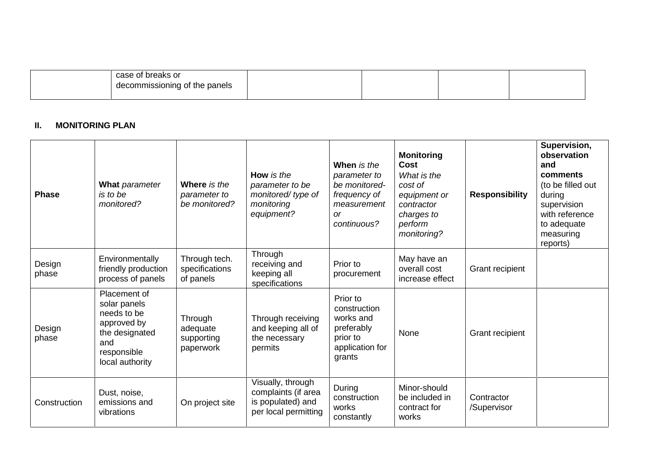| hraaka ar .<br>case<br>i bieaks of |  |  |
|------------------------------------|--|--|
| decommissioning<br>I of the panels |  |  |
|                                    |  |  |

#### **II. MONITORING PLAN**

| <b>Phase</b>    | What parameter<br>is to be<br>monitored?                                                                              | Where is the<br>parameter to<br>be monitored?  | How is the<br>parameter to be<br>monitored/type of<br>monitoring<br>equipment?        | When is the<br>parameter to<br>be monitored-<br>frequency of<br>measurement<br><b>or</b><br>continuous? | <b>Monitoring</b><br><b>Cost</b><br>What is the<br>cost of<br>equipment or<br>contractor<br>charges to<br>perform<br>monitoring? | <b>Responsibility</b>     | Supervision,<br>observation<br>and<br>comments<br>(to be filled out<br>during<br>supervision<br>with reference<br>to adequate<br>measuring<br>reports) |
|-----------------|-----------------------------------------------------------------------------------------------------------------------|------------------------------------------------|---------------------------------------------------------------------------------------|---------------------------------------------------------------------------------------------------------|----------------------------------------------------------------------------------------------------------------------------------|---------------------------|--------------------------------------------------------------------------------------------------------------------------------------------------------|
| Design<br>phase | Environmentally<br>friendly production<br>process of panels                                                           | Through tech.<br>specifications<br>of panels   | Through<br>receiving and<br>keeping all<br>specifications                             | Prior to<br>procurement                                                                                 | May have an<br>overall cost<br>increase effect                                                                                   | Grant recipient           |                                                                                                                                                        |
| Design<br>phase | Placement of<br>solar panels<br>needs to be<br>approved by<br>the designated<br>and<br>responsible<br>local authority | Through<br>adequate<br>supporting<br>paperwork | Through receiving<br>and keeping all of<br>the necessary<br>permits                   | Prior to<br>construction<br>works and<br>preferably<br>prior to<br>application for<br>grants            | None                                                                                                                             | Grant recipient           |                                                                                                                                                        |
| Construction    | Dust, noise,<br>emissions and<br>vibrations                                                                           | On project site                                | Visually, through<br>complaints (if area<br>is populated) and<br>per local permitting | During<br>construction<br>works<br>constantly                                                           | Minor-should<br>be included in<br>contract for<br>works                                                                          | Contractor<br>/Supervisor |                                                                                                                                                        |